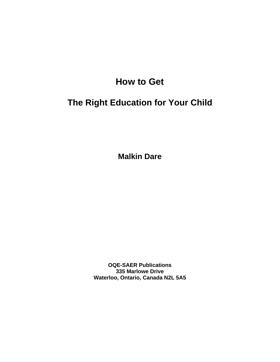# **How to Get**

# **The Right Education for Your Child**

**Malkin Dare** 

**OQE-SAER Publications 335 Marlowe Drive Waterloo, Ontario, Canada N2L 5A5**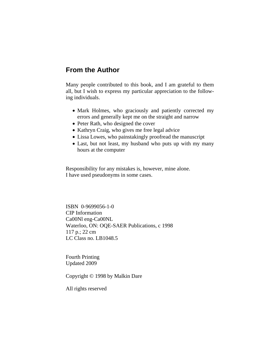# **From the Author**

Many people contributed to this book, and I am grateful to them all, but I wish to express my particular appreciation to the following individuals.

- Mark Holmes, who graciously and patiently corrected my errors and generally kept me on the straight and narrow
- Peter Rath, who designed the cover
- Kathryn Craig, who gives me free legal advice
- Lissa Lowes, who painstakingly proofread the manuscript
- Last, but not least, my husband who puts up with my many hours at the computer

Responsibility for any mistakes is, however, mine alone. I have used pseudonyms in some cases.

ISBN 0-9699056-1-0 CIP Information Ca00Nl eng-Ca00NL Waterloo, ON: OQE-SAER Publications, c 1998 117 p.; 22 cm LC Class no. LB1048.5

Fourth Printing Updated 2009

Copyright © 1998 by Malkin Dare

All rights reserved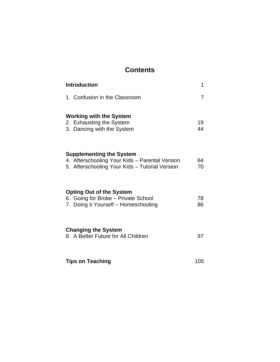# **Contents**

| <b>Introduction</b>                                                                                                                 | 1        |
|-------------------------------------------------------------------------------------------------------------------------------------|----------|
| 1. Confusion in the Classroom                                                                                                       | 7        |
| <b>Working with the System</b><br>2. Exhausting the System<br>3. Dancing with the System                                            | 19<br>44 |
| <b>Supplementing the System</b><br>4. Afterschooling Your Kids - Parental Version<br>5. Afterschooling Your Kids - Tutorial Version | 64<br>70 |
| <b>Opting Out of the System</b><br>6. Going for Broke - Private School<br>7. Doing it Yourself - Homeschooling                      | 78<br>86 |
| <b>Changing the System</b><br>8. A Better Future for All Children                                                                   | 97       |
| <b>Tips on Teaching</b>                                                                                                             | 105      |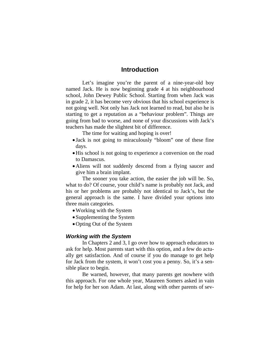## **Introduction**

 Let's imagine you're the parent of a nine-year-old boy named Jack. He is now beginning grade 4 at his neighbourhood school, John Dewey Public School. Starting from when Jack was in grade 2, it has become very obvious that his school experience is not going well. Not only has Jack not learned to read, but also he is starting to get a reputation as a "behaviour problem". Things are going from bad to worse, and none of your discussions with Jack's teachers has made the slightest bit of difference.

The time for waiting and hoping is over!

- Jack is not going to miraculously "bloom" one of these fine days.
- •His school is not going to experience a conversion on the road to Damascus.
- •Aliens will not suddenly descend from a flying saucer and give him a brain implant.

 The sooner you take action, the easier the job will be. So, what to do? Of course, your child's name is probably not Jack, and his or her problems are probably not identical to Jack's, but the general approach is the same. I have divided your options into three main categories.

- Working with the System
- Supplementing the System
- •Opting Out of the System

#### *Working with the System*

 In Chapters 2 and 3, I go over how to approach educators to ask for help. Most parents start with this option, and a few do actually get satisfaction. And of course if you do manage to get help for Jack from the system, it won't cost you a penny. So, it's a sensible place to begin.

 Be warned, however, that many parents get nowhere with this approach. For one whole year, Maureen Somers asked in vain for help for her son Adam. At last, along with other parents of sev-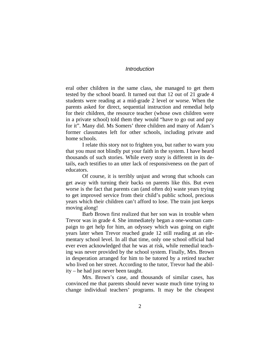#### *Introduction*

eral other children in the same class, she managed to get them tested by the school board. It turned out that 12 out of 21 grade 4 students were reading at a mid-grade 2 level or worse. When the parents asked for direct, sequential instruction and remedial help for their children, the resource teacher (whose own children were in a private school) told them they would "have to go out and pay for it". Many did. Ms Somers' three children and many of Adam's former classmates left for other schools, including private and home schools.

 I relate this story not to frighten you, but rather to warn you that you must not blindly put your faith in the system. I have heard thousands of such stories. While every story is different in its details, each testifies to an utter lack of responsiveness on the part of educators.

 Of course, it is terribly unjust and wrong that schools can get away with turning their backs on parents like this. But even worse is the fact that parents can (and often do) waste years trying to get improved service from their child's public school, precious years which their children can't afford to lose. The train just keeps moving along!

 Barb Brown first realized that her son was in trouble when Trevor was in grade 4. She immediately began a one-woman campaign to get help for him, an odyssey which was going on eight years later when Trevor reached grade 12 still reading at an elementary school level. In all that time, only one school official had ever even acknowledged that he was at risk, while remedial teaching was never provided by the school system. Finally, Mrs. Brown in desperation arranged for him to be tutored by a retired teacher who lived on her street. According to the tutor, Trevor had the ability – he had just never been taught.

 Mrs. Brown's case, and thousands of similar cases, has convinced me that parents should never waste much time trying to change individual teachers' programs. It may be the cheapest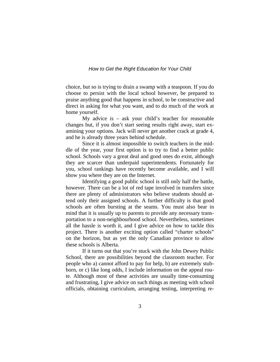choice, but so is trying to drain a swamp with a teaspoon. If you do choose to persist with the local school however, be prepared to praise anything good that happens in school, to be constructive and direct in asking for what you want, and to do much of the work at home yourself.

 My advice is – ask your child's teacher for reasonable changes but, if you don't start seeing results right away, start examining your options. Jack will never get another crack at grade 4, and he is already three years behind schedule.

Since it is almost impossible to switch teachers in the middle of the year, your first option is to try to find a better public school. Schools vary a great deal and good ones do exist, although they are scarcer than underpaid superintendents. Fortunately for you, school rankings have recently become available, and I will show you where they are on the Internet.

 Identifying a good public school is still only half the battle, however. There can be a lot of red tape involved in transfers since there are plenty of administrators who believe students should attend only their assigned schools. A further difficulty is that good schools are often bursting at the seams. You must also bear in mind that it is usually up to parents to provide any necessary transportation to a non-neighbourhood school. Nevertheless, sometimes all the hassle is worth it, and I give advice on how to tackle this project. There is another exciting option called "charter schools" on the horizon, but as yet the only Canadian province to allow these schools is Alberta.

 If it turns out that you're stuck with the John Dewey Public School, there are possibilities beyond the classroom teacher. For people who a) cannot afford to pay for help, b) are extremely stubborn, or c) like long odds, I include information on the appeal route. Although most of these activities are usually time-consuming and frustrating, I give advice on such things as meeting with school officials, obtaining curriculum, arranging testing, interpreting re-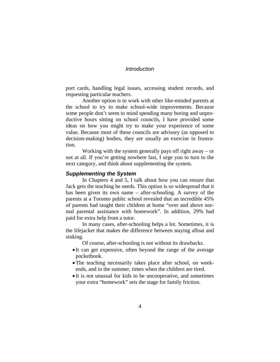#### *Introduction*

port cards, handling legal issues, accessing student records, and requesting particular teachers.

 Another option is to work with other like-minded parents at the school to try to make school-wide improvements. Because some people don't seem to mind spending many boring and unproductive hours sitting on school councils, I have provided some ideas on how you might try to make your experience of some value. Because most of these councils are advisory (as opposed to decision-making) bodies, they are usually an exercise in frustration.

 Working with the system generally pays off right away – or not at all. If you're getting nowhere fast, I urge you to turn to the next category, and think about supplementing the system.

#### *Supplementing the System*

 In Chapters 4 and 5, I talk about how you can ensure that Jack gets the teaching he needs. This option is so widespread that it has been given its own name – after-schooling. A survey of the parents at a Toronto public school revealed that an incredible 45% of parents had taught their children at home "over and above normal parental assistance with homework". In addition, 29% had paid for extra help from a tutor.

 In many cases, after-schooling helps a lot. Sometimes, it is the lifejacket that makes the difference between staying afloat and sinking.

Of course, after-schooling is not without its drawbacks.

- It can get expensive, often beyond the range of the average pocketbook.
- •The teaching necessarily takes place after school, on weekends, and in the summer, times when the children are tired.
- It is not unusual for kids to be uncooperative, and sometimes your extra "homework" sets the stage for family friction.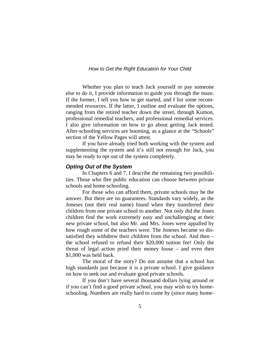Whether you plan to teach Jack yourself or pay someone else to do it, I provide information to guide you through the maze. If the former, I tell you how to get started, and I list some recommended resources. If the latter, I outline and evaluate the options, ranging from the retired teacher down the street, through Kumon, professional remedial teachers, and professional remedial services. I also give information on how to go about getting Jack tested. After-schooling services are booming, as a glance at the "Schools" section of the Yellow Pages will attest.

If you have already tried both working with the system and supplementing the system and it's still not enough for Jack, you may be ready to opt out of the system completely.

#### *Opting Out of the System*

 In Chapters 6 and 7, I describe the remaining two possibilities. Those who flee public education can choose between private schools and home-schooling.

 For those who can afford them, private schools may be the answer. But there are no guarantees. Standards vary widely, as the Joneses (not their real name) found when they transferred their children from one private school to another. Not only did the Jones children find the work extremely easy and unchallenging at their new private school, but also Mr. and Mrs. Jones were appalled by how rough some of the teachers were. The Joneses became so dissatisfied they withdrew their children from the school. And then – the school refused to refund their \$20,000 tuition fee! Only the threat of legal action pried their money loose – and even then \$1,000 was held back.

 The moral of the story? Do not assume that a school has high standards just because it is a private school. I give guidance on how to seek out and evaluate good private schools.

 If you don't have several thousand dollars lying around or if you can't find a good private school, you may wish to try homeschooling. Numbers are really hard to come by (since many home-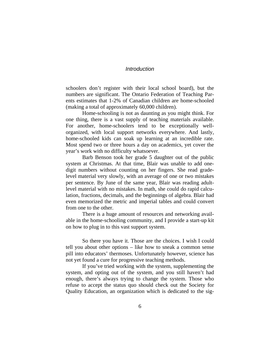#### *Introduction*

schoolers don't register with their local school board), but the numbers are significant. The Ontario Federation of Teaching Parents estimates that 1-2% of Canadian children are home-schooled (making a total of approximately 60,000 children).

 Home-schooling is not as daunting as you might think. For one thing, there is a vast supply of teaching materials available. For another, home-schoolers tend to be exceptionally wellorganized, with local support networks everywhere. And lastly, home-schooled kids can soak up learning at an incredible rate. Most spend two or three hours a day on academics, yet cover the year's work with no difficulty whatsoever.

 Barb Benson took her grade 5 daughter out of the public system at Christmas. At that time, Blair was unable to add onedigit numbers without counting on her fingers. She read gradelevel material very slowly, with an average of one or two mistakes per sentence. By June of the same year, Blair was reading adultlevel material with no mistakes. In math, she could do rapid calculation, fractions, decimals, and the beginnings of algebra. Blair had even memorized the metric and imperial tables and could convert from one to the other.

 There is a huge amount of resources and networking available in the home-schooling community, and I provide a start-up kit on how to plug in to this vast support system.

So there you have it. Those are the choices. I wish I could tell you about other options – like how to sneak a common sense pill into educators' thermoses. Unfortunately however, science has not yet found a cure for progressive teaching methods.

 If you've tried working with the system, supplementing the system, and opting out of the system, and you still haven't had enough, there's always trying to change the system. Those who refuse to accept the status quo should check out the Society for Quality Education, an organization which is dedicated to the sig-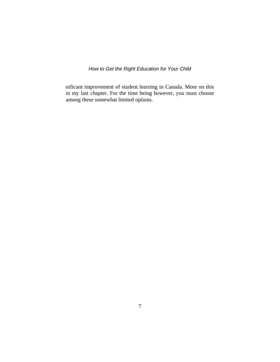nificant improvement of student learning in Canada. More on this in my last chapter. For the time being however, you must choose among these somewhat limited options.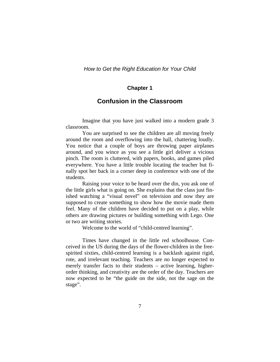#### **Chapter 1**

# **Confusion in the Classroom**

 Imagine that you have just walked into a modern grade 3 classroom.

 You are surprised to see the children are all moving freely around the room and overflowing into the hall, chattering loudly. You notice that a couple of boys are throwing paper airplanes around, and you wince as you see a little girl deliver a vicious pinch. The room is cluttered, with papers, books, and games piled everywhere. You have a little trouble locating the teacher but finally spot her back in a corner deep in conference with one of the students.

 Raising your voice to be heard over the din, you ask one of the little girls what is going on. She explains that the class just finished watching a "visual novel" on television and now they are supposed to create something to show how the movie made them feel. Many of the children have decided to put on a play, while others are drawing pictures or building something with Lego. One or two are writing stories.

Welcome to the world of "child-centred learning".

 Times have changed in the little red schoolhouse. Conceived in the US during the days of the flower-children in the freespirited sixties, child-centred learning is a backlash against rigid, rote, and irrelevant teaching. Teachers are no longer expected to merely transfer facts to their students – active learning, higherorder thinking, and creativity are the order of the day. Teachers are now expected to be "the guide on the side, not the sage on the stage".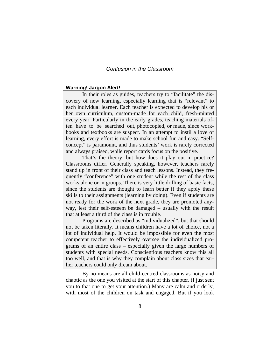#### *Confusion in the Classroom*

#### **Warning! Jargon Alert!**

 In their roles as guides, teachers try to "facilitate" the discovery of new learning, especially learning that is "relevant" to each individual learner. Each teacher is expected to develop his or her own curriculum, custom-made for each child, fresh-minted every year. Particularly in the early grades, teaching materials often have to be searched out, photocopied, or made, since workbooks and textbooks are suspect. In an attempt to instil a love of learning, every effort is made to make school fun and easy. "Selfconcept" is paramount, and thus students' work is rarely corrected and always praised, while report cards focus on the positive.

 That's the theory, but how does it play out in practice? Classrooms differ. Generally speaking, however, teachers rarely stand up in front of their class and teach lessons. Instead, they frequently "conference" with one student while the rest of the class works alone or in groups. There is very little drilling of basic facts, since the students are thought to learn better if they apply these skills to their assignments (learning by doing). Even if students are not ready for the work of the next grade, they are promoted anyway, lest their self-esteem be damaged – usually with the result that at least a third of the class is in trouble.

 Programs are described as "individualized", but that should not be taken literally. It means children have a lot of choice, not a lot of individual help. It would be impossible for even the most competent teacher to effectively oversee the individualized programs of an entire class – especially given the large numbers of students with special needs. Conscientious teachers know this all too well, and that is why they complain about class sizes that earlier teachers could only dream about.

By no means are all child-centred classrooms as noisy and chaotic as the one you visited at the start of this chapter. (I just sent you to that one to get your attention.) Many are calm and orderly, with most of the children on task and engaged. But if you look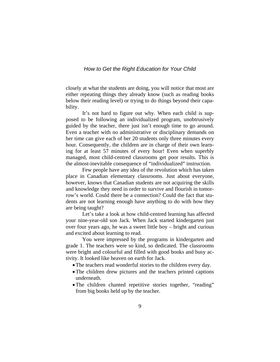closely at what the students are doing, you will notice that most are either repeating things they already know (such as reading books below their reading level) or trying to do things beyond their capability.

 It's not hard to figure out why. When each child is supposed to be following an individualized program, unobtrusively guided by the teacher, there just isn't enough time to go around. Even a teacher with no administrative or disciplinary demands on her time can give each of her 20 students only three minutes every hour. Consequently, the children are in charge of their own learning for at least 57 minutes of every hour! Even when superbly managed, most child-centred classrooms get poor results. This is the almost-inevitable consequence of "individualized" instruction.

 Few people have any idea of the revolution which has taken place in Canadian elementary classrooms. Just about everyone, however, knows that Canadian students are not acquiring the skills and knowledge they need in order to survive and flourish in tomorrow's world. Could there be a connection? Could the fact that students are not learning enough have anything to do with how they are being taught?

 Let's take a look at how child-centred learning has affected your nine-year-old son Jack. When Jack started kindergarten just over four years ago, he was a sweet little boy – bright and curious and excited about learning to read.

 You were impressed by the programs in kindergarten and grade 1. The teachers were so kind, so dedicated. The classrooms were bright and colourful and filled with good books and busy activity. It looked like heaven on earth for Jack.

- •The teachers read wonderful stories to the children every day.
- The children drew pictures and the teachers printed captions underneath.
- The children chanted repetitive stories together, "reading" from big books held up by the teacher.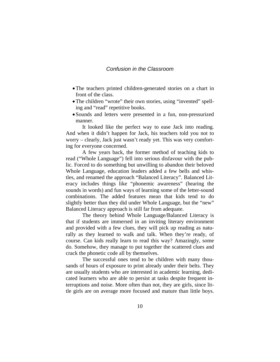#### *Confusion in the Classroom*

- •The teachers printed children-generated stories on a chart in front of the class.
- The children "wrote" their own stories, using "invented" spelling and "read" repetitive books.
- Sounds and letters were presented in a fun, non-pressurized manner.

It looked like the perfect way to ease Jack into reading. And when it didn't happen for Jack, his teachers told you not to worry – clearly, Jack just wasn't ready yet. This was very comforting for everyone concerned.

A few years back, the former method of teaching kids to read ("Whole Language") fell into serious disfavour with the public. Forced to do something but unwilling to abandon their beloved Whole Language, education leaders added a few bells and whistles, and renamed the approach "Balanced Literacy". Balanced Literacy includes things like "phonemic awareness" (hearing the sounds in words) and fun ways of learning some of the letter-sound combinations. The added features mean that kids tend to do slightly better than they did under Whole Language, but the "new" Balanced Literacy approach is still far from adequate.

The theory behind Whole Language/Balanced Literacy is that if students are immersed in an inviting literary environment and provided with a few clues, they will pick up reading as naturally as they learned to walk and talk. When they're ready, of course. Can kids really learn to read this way? Amazingly, some do. Somehow, they manage to put together the scattered clues and crack the phonetic code all by themselves.

The successful ones tend to be children with many thousands of hours of exposure to print already under their belts. They are usually students who are interested in academic learning, dedicated learners who are able to persist at tasks despite frequent interruptions and noise. More often than not, they are girls, since little girls are on average more focused and mature than little boys.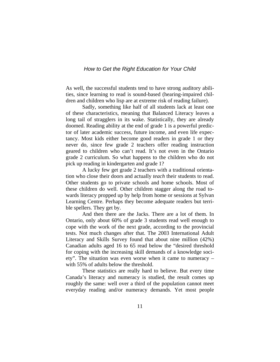As well, the successful students tend to have strong auditory abilities, since learning to read is sound-based (hearing-impaired children and children who lisp are at extreme risk of reading failure).

Sadly, something like half of all students lack at least one of these characteristics, meaning that Balanced Literacy leaves a long tail of stragglers in its wake. Statistically, they are already doomed. Reading ability at the end of grade 1 is a powerful predictor of later academic success, future income, and even life expectancy. Most kids either become good readers in grade 1 or they never do, since few grade 2 teachers offer reading instruction geared to children who can't read. It's not even in the Ontario grade 2 curriculum. So what happens to the children who do not pick up reading in kindergarten and grade 1?

A lucky few get grade 2 teachers with a traditional orientation who close their doors and actually *teach* their students to read. Other students go to private schools and home schools. Most of these children do well. Other children stagger along the road towards literacy propped up by help from home or sessions at Sylvan Learning Centre. Perhaps they become adequate readers but terrible spellers. They get by.

And then there are the Jacks. There are a lot of them. In Ontario, only about 60% of grade 3 students read well enough to cope with the work of the next grade, according to the provincial tests. Not much changes after that. The 2003 International Adult Literacy and Skills Survey found that about nine million (42%) Canadian adults aged 16 to 65 read below the "desired threshold for coping with the increasing skill demands of a knowledge society". The situation was even worse when it came to numeracy – with 55% of adults below the threshold.

These statistics are really hard to believe. But every time Canada's literacy and numeracy is studied, the result comes up roughly the same: well over a third of the population cannot meet everyday reading and/or numeracy demands. Yet most people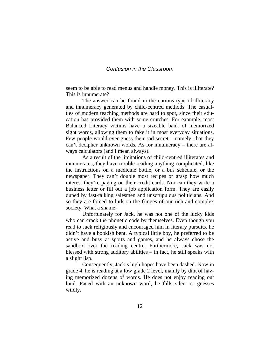#### *Confusion in the Classroom*

seem to be able to read menus and handle money. This is illiterate? This is innumerate?

The answer can be found in the curious type of illiteracy and innumeracy generated by child-centred methods. The casualties of modern teaching methods are hard to spot, since their education has provided them with some crutches. For example, most Balanced Literacy victims have a sizeable bank of memorized sight words, allowing them to fake it in most everyday situations. Few people would ever guess their sad secret – namely, that they can't decipher unknown words. As for innumeracy – there are always calculators (and I mean always).

As a result of the limitations of child-centred illiterates and innumerates, they have trouble reading anything complicated, like the instructions on a medicine bottle, or a bus schedule, or the newspaper. They can't double most recipes or grasp how much interest they're paying on their credit cards. Nor can they write a business letter or fill out a job application form. They are easily duped by fast-talking salesmen and unscrupulous politicians. And so they are forced to lurk on the fringes of our rich and complex society. What a shame!

Unfortunately for Jack, he was not one of the lucky kids who can crack the phonetic code by themselves. Even though you read to Jack religiously and encouraged him in literary pursuits, he didn't have a bookish bent. A typical little boy, he preferred to be active and busy at sports and games, and he always chose the sandbox over the reading centre. Furthermore, Jack was not blessed with strong auditory abilities – in fact, he still speaks with a slight lisp.

Consequently, Jack's high hopes have been dashed. Now in grade 4, he is reading at a low grade 2 level, mainly by dint of having memorized dozens of words. He does not enjoy reading out loud. Faced with an unknown word, he falls silent or guesses wildly.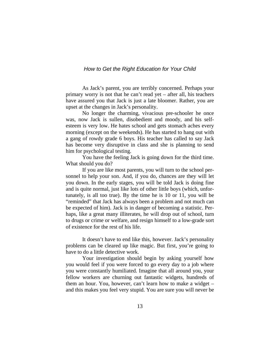As Jack's parent, you are terribly concerned. Perhaps your primary worry is not that he can't read yet – after all, his teachers have assured you that Jack is just a late bloomer. Rather, you are upset at the changes in Jack's personality.

No longer the charming, vivacious pre-schooler he once was, now Jack is sullen, disobedient and moody, and his selfesteem is very low. He hates school and gets stomach aches every morning (except on the weekends). He has started to hang out with a gang of rowdy grade 6 boys. His teacher has called to say Jack has become very disruptive in class and she is planning to send him for psychological testing.

You have the feeling Jack is going down for the third time. What should you do?

If you are like most parents, you will turn to the school personnel to help your son. And, if you do, chances are they will let you down. In the early stages, you will be told Jack is doing fine and is quite normal, just like lots of other little boys (which, unfortunately, is all too true). By the time he is 10 or 11, you will be "reminded" that Jack has always been a problem and not much can be expected of him). Jack is in danger of becoming a statistic. Perhaps, like a great many illiterates, he will drop out of school, turn to drugs or crime or welfare, and resign himself to a low-grade sort of existence for the rest of his life.

It doesn't have to end like this, however. Jack's personality problems can be cleared up like magic. But first, you're going to have to do a little detective work.

Your investigation should begin by asking yourself how you would feel if you were forced to go every day to a job where you were constantly humiliated. Imagine that all around you, your fellow workers are churning out fantastic widgets, hundreds of them an hour. You, however, can't learn how to make a widget – and this makes you feel very stupid. You are sure you will never be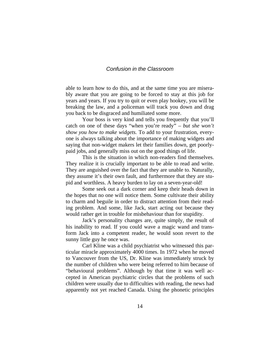#### *Confusion in the Classroom*

able to learn how to do this, and at the same time you are miserably aware that you are going to be forced to stay at this job for years and years. If you try to quit or even play hookey, you will be breaking the law, and a policeman will track you down and drag you back to be disgraced and humiliated some more.

Your boss is very kind and tells you frequently that you'll catch on one of these days "when you're ready" – *but she won't show you how to make widgets.* To add to your frustration, everyone is always talking about the importance of making widgets and saying that non-widget makers let their families down, get poorlypaid jobs, and generally miss out on the good things of life.

This is the situation in which non-readers find themselves. They realize it is crucially important to be able to read and write. They are anguished over the fact that they are unable to. Naturally, they assume it's their own fault, and furthermore that they are stupid and worthless. A heavy burden to lay on a seven-year-old!

 Some seek out a dark corner and keep their heads down in the hopes that no one will notice them. Some cultivate their ability to charm and beguile in order to distract attention from their reading problem. And some, like Jack, start acting out because they would rather get in trouble for misbehaviour than for stupidity.

 Jack's personality changes are, quite simply, the result of his inability to read. If you could wave a magic wand and transform Jack into a competent reader, he would soon revert to the sunny little guy he once was.

 Carl Kline was a child psychiatrist who witnessed this particular miracle approximately 4000 times. In 1972 when he moved to Vancouver from the US, Dr. Kline was immediately struck by the number of children who were being referred to him because of "behavioural problems". Although by that time it was well accepted in American psychiatric circles that the problems of such children were usually due to difficulties with reading, the news had apparently not yet reached Canada. Using the phonetic principles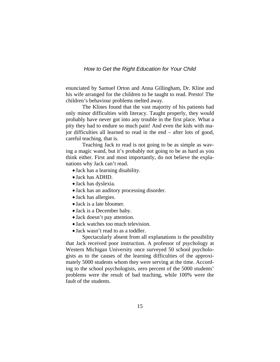enunciated by Samuel Orton and Anna Gillingham, Dr. Kline and his wife arranged for the children to be taught to read. Presto! The children's behaviour problems melted away.

 The Klines found that the vast majority of his patients had only minor difficulties with literacy. Taught properly, they would probably have never got into any trouble in the first place. What a pity they had to endure so much pain! And even the kids with major difficulties all learned to read in the end – after lots of good, careful teaching, that is.

 Teaching Jack to read is not going to be as simple as waving a magic wand, but it's probably not going to be as hard as you think either. First and most importantly, do not believe the explanations why Jack can't read.

- Jack has a learning disability.
- Jack has ADHD.
- Jack has dyslexia.
- Jack has an auditory processing disorder.
- Jack has allergies.
- Jack is a late bloomer.
- Jack is a December baby.
- Jack doesn't pay attention.
- Jack watches too much television.
- Jack wasn't read to as a toddler.

 Spectacularly absent from all explanations is the possibility that Jack received poor instruction. A professor of psychology at Western Michigan University once surveyed 50 school psychologists as to the causes of the learning difficulties of the approximately 5000 students whom they were serving at the time. According to the school psychologists, zero percent of the 5000 students' problems were the result of bad teaching, while 100% were the fault of the students.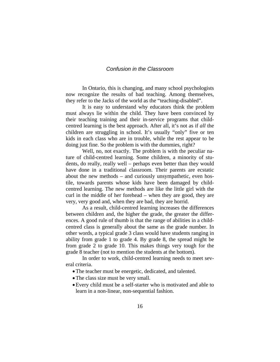#### *Confusion in the Classroom*

 In Ontario, this is changing, and many school psychologists now recognize the results of bad teaching. Among themselves, they refer to the Jacks of the world as the "teaching-disabled".

 It is easy to understand why educators think the problem must always lie within the child. They have been convinced by their teaching training and their in-service programs that childcentred learning is the best approach. After all, it's not as if *all* the children are struggling in school. It's usually "only" five or ten kids in each class who are in trouble, while the rest appear to be doing just fine. So the problem is with the dummies, right?

 Well, no, not exactly. The problem is with the peculiar nature of child-centred learning. Some children, a minority of students, do really, really well – perhaps even better than they would have done in a traditional classroom. Their parents are ecstatic about the new methods – and curiously unsympathetic, even hostile, towards parents whose kids have been damaged by childcentred learning. The new methods are like the little girl with the curl in the middle of her forehead – when they are good, they are very, very good and, when they are bad, they are horrid.

 As a result, child-centred learning increases the differences between children and, the higher the grade, the greater the differences. A good rule of thumb is that the range of abilities in a childcentred class is generally about the same as the grade number. In other words, a typical grade 3 class would have students ranging in ability from grade 1 to grade 4. By grade 8, the spread might be from grade 2 to grade 10. This makes things very tough for the grade 8 teacher (not to mention the students at the bottom).

 In order to work, child-centred learning needs to meet several criteria.

- •The teacher must be energetic, dedicated, and talented.
- The class size must be very small.
- •Every child must be a self-starter who is motivated and able to learn in a non-linear, non-sequential fashion.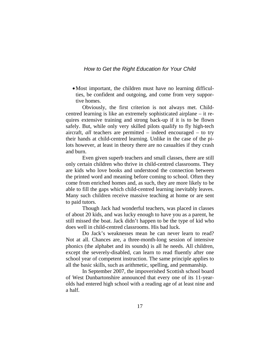• Most important, the children must have no learning difficulties, be confident and outgoing, and come from very supportive homes.

 Obviously, the first criterion is not always met. Childcentred learning is like an extremely sophisticated airplane – it requires extensive training and strong back-up if it is to be flown safely. But, while only very skilled pilots qualify to fly high-tech aircraft, *all* teachers are permitted – indeed encouraged – to try their hands at child-centred learning. Unlike in the case of the pilots however, at least in theory there are no casualties if they crash and burn.

 Even given superb teachers and small classes, there are still only certain children who thrive in child-centred classrooms. They are kids who love books and understood the connection between the printed word and meaning before coming to school. Often they come from enriched homes and, as such, they are more likely to be able to fill the gaps which child-centred learning inevitably leaves. Many such children receive massive teaching at home or are sent to paid tutors.

 Though Jack had wonderful teachers, was placed in classes of about 20 kids, and was lucky enough to have you as a parent, he still missed the boat. Jack didn't happen to be the type of kid who does well in child-centred classrooms. His bad luck.

 Do Jack's weaknesses mean he can never learn to read? Not at all. Chances are, a three-month-long session of intensive phonics (the alphabet and its sounds) is all he needs. All children, except the severely-disabled, can learn to read fluently after one school year of competent instruction. The same principle applies to all the basic skills, such as arithmetic, spelling, and penmanship.

 In September 2007, the impoverished Scottish school board of West Dunbartonshire announced that every one of its 11-yearolds had entered high school with a reading age of at least nine and a half.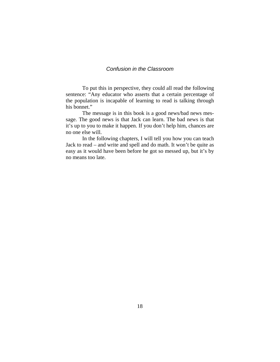# *Confusion in the Classroom*

 To put this in perspective, they could all read the following sentence: "Any educator who asserts that a certain percentage of the population is incapable of learning to read is talking through his bonnet."

 The message is in this book is a good news/bad news message. The good news is that Jack can learn. The bad news is that it's up to you to make it happen. If you don't help him, chances are no one else will.

 In the following chapters, I will tell you how you can teach Jack to read – and write and spell and do math. It won't be quite as easy as it would have been before he got so messed up, but it's by no means too late.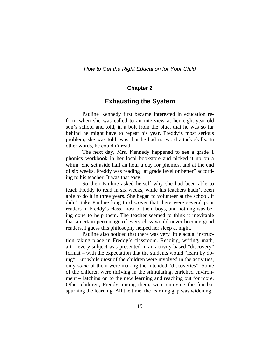#### **Chapter 2**

### **Exhausting the System**

 Pauline Kennedy first became interested in education reform when she was called to an interview at her eight-year-old son's school and told, in a bolt from the blue, that he was so far behind he might have to repeat his year. Freddy's most serious problem, she was told, was that he had no word attack skills. In other words, he couldn't read.

 The next day, Mrs. Kennedy happened to see a grade 1 phonics workbook in her local bookstore and picked it up on a whim. She set aside half an hour a day for phonics, and at the end of six weeks, Freddy was reading "at grade level or better" according to his teacher. It was that easy.

 So then Pauline asked herself why she had been able to teach Freddy to read in six weeks, while his teachers hadn't been able to do it in three years. She began to volunteer at the school. It didn't take Pauline long to discover that there were several poor readers in Freddy's class, most of them boys, and nothing was being done to help them. The teacher seemed to think it inevitable that a certain percentage of every class would never become good readers. I guess this philosophy helped her sleep at night.

 Pauline also noticed that there was very little actual instruction taking place in Freddy's classroom. Reading, writing, math, art – every subject was presented in an activity-based "discovery" format – with the expectation that the students would "learn by doing". But while *most* of the children were involved in the activities, only *some* of them were making the intended "discoveries". Some of the children were thriving in the stimulating, enriched environment – latching on to the new learning and reaching out for more. Other children, Freddy among them, were enjoying the fun but spurning the learning. All the time, the learning gap was widening.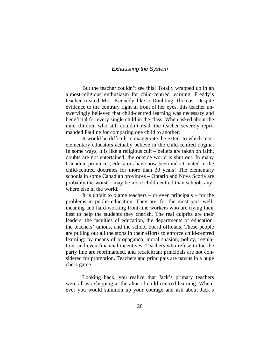#### *Exhausting the System*

 But the teacher couldn't see this! Totally wrapped up in an almost-religious enthusiasm for child-centred learning, Freddy's teacher treated Mrs. Kennedy like a Doubting Thomas. Despite evidence to the contrary right in front of her eyes, this teacher unswervingly believed that child-centred learning was necessary and beneficial for every single child in the class. When asked about the nine children who still couldn't read, the teacher severely reprimanded Pauline for comparing one child to another.

 It would be difficult to exaggerate the extent to which most elementary educators actually believe in the child-centred dogma. In some ways, it is like a religious cult – beliefs are taken on faith, doubts are not entertained, the outside world is shut out. In many Canadian provinces, educators have now been indoctrinated in the child-centred doctrines for more than 30 years! The elementary schools in some Canadian provinces – Ontario and Nova Scotia are probably the worst – may be more child-centred than schools anywhere else in the world.

 It is unfair to blame teachers – or even principals – for the problems in public education. They are, for the most part, wellmeaning and hard-working front-line workers who are trying their best to help the students they cherish. The real culprits are their leaders: the faculties of education, the departments of education, the teachers' unions, and the school board officials. These people are pulling out all the stops in their efforts to enforce child-centred learning: by means of propaganda, moral suasion, policy, regulation, and even financial incentives. Teachers who refuse to toe the party line are reprimanded, and recalcitrant principals are not considered for promotion. Teachers and principals are pawns in a huge chess game.

 Looking back, you realize that Jack's primary teachers were all worshipping at the altar of child-centred learning. Whenever you would summon up your courage and ask about Jack's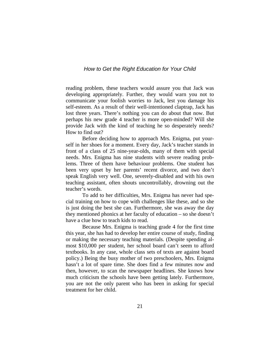reading problem, these teachers would assure you that Jack was developing appropriately. Further, they would warn you not to communicate your foolish worries to Jack, lest you damage his self-esteem. As a result of their well-intentioned claptrap, Jack has lost three years. There's nothing you can do about that now. But perhaps his new grade 4 teacher is more open-minded? Will she provide Jack with the kind of teaching he so desperately needs? How to find out?

 Before deciding how to approach Mrs. Enigma, put yourself in her shoes for a moment. Every day, Jack's teacher stands in front of a class of 25 nine-year-olds, many of them with special needs. Mrs. Enigma has nine students with severe reading problems. Three of them have behaviour problems. One student has been very upset by her parents' recent divorce, and two don't speak English very well. One, severely-disabled and with his own teaching assistant, often shouts uncontrollably, drowning out the teacher's words.

 To add to her difficulties, Mrs. Enigma has never had special training on how to cope with challenges like these, and so she is just doing the best she can. Furthermore, she was away the day they mentioned phonics at her faculty of education – so she doesn't have a clue how to teach kids to read.

 Because Mrs. Enigma is teaching grade 4 for the first time this year, she has had to develop her entire course of study, finding or making the necessary teaching materials. (Despite spending almost \$10,000 per student, her school board can't seem to afford textbooks. In any case, whole class sets of texts are against board policy.) Being the busy mother of two preschoolers, Mrs. Enigma hasn't a lot of spare time. She does find a few minutes now and then, however, to scan the newspaper headlines. She knows how much criticism the schools have been getting lately. Furthermore, you are not the only parent who has been in asking for special treatment for her child.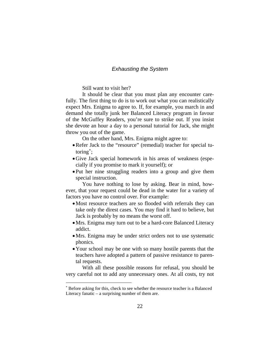#### *Exhausting the System*

Still want to visit her?

 It should be clear that you must plan any encounter carefully. The first thing to do is to work out what you can realistically expect Mrs. Enigma to agree to. If, for example, you march in and demand she totally junk her Balanced Literacy program in favour of the McGuffey Readers, you're sure to strike out. If you insist she devote an hour a day to a personal tutorial for Jack, she might throw you out of the game.

On the other hand, Mrs. Enigma might agree to:

- •Refer Jack to the "resource" (remedial) teacher for special tutoring[∗](#page-25-0) ;
- •Give Jack special homework in his areas of weakness (especially if you promise to mark it yourself); or
- Put her nine struggling readers into a group and give them special instruction.

 You have nothing to lose by asking. Bear in mind, however, that your request could be dead in the water for a variety of factors you have no control over. For example:

- •Most resource teachers are so flooded with referrals they can take only the direst cases. You may find it hard to believe, but Jack is probably by no means the worst off.
- •Mrs. Enigma may turn out to be a hard-core Balanced Literacy addict.
- •Mrs. Enigma may be under strict orders not to use systematic phonics.
- Your school may be one with so many hostile parents that the teachers have adopted a pattern of passive resistance to parental requests.

 With all these possible reasons for refusal, you should be very careful not to add any unnecessary ones. At all costs, try not

 $\overline{a}$ 

<span id="page-25-0"></span><sup>∗</sup> Before asking for this, check to see whether the resource teacher is a Balanced Literacy fanatic – a surprising number of them are.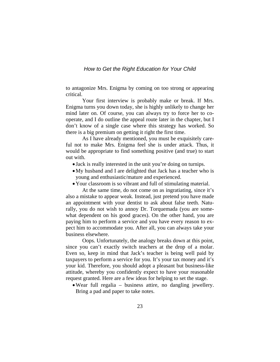to antagonize Mrs. Enigma by coming on too strong or appearing critical.

 Your first interview is probably make or break. If Mrs. Enigma turns you down today, she is highly unlikely to change her mind later on. Of course, you can always try to force her to cooperate, and I do outline the appeal route later in the chapter, but I don't know of a single case where this strategy has worked. So there is a big premium on getting it right the first time.

 As I have already mentioned, you must be exquisitely careful not to make Mrs. Enigma feel she is under attack. Thus, it would be appropriate to find something positive (and true) to start out with.

- Jack is really interested in the unit you're doing on turnips.
- •My husband and I are delighted that Jack has a teacher who is young and enthusiastic/mature and experienced.
- •Your classroom is so vibrant and full of stimulating material.

 At the same time, do not come on as ingratiating, since it's also a mistake to appear weak. Instead, just pretend you have made an appointment with your dentist to ask about false teeth. Naturally, you do not wish to annoy Dr. Torquemada (you are somewhat dependent on his good graces). On the other hand, you are paying him to perform a service and you have every reason to expect him to accommodate you. After all, you can always take your business elsewhere.

 Oops. Unfortunately, the analogy breaks down at this point, since you can't exactly switch teachers at the drop of a molar. Even so, keep in mind that Jack's teacher is being well paid by taxpayers to perform a service for you. It's your tax money and it's your kid. Therefore, you should adopt a pleasant but business-like attitude, whereby you confidently expect to have your reasonable request granted. Here are a few ideas for helping to set the stage.

•Wear full regalia – business attire, no dangling jewellery. Bring a pad and paper to take notes.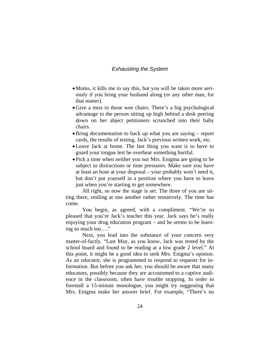#### *Exhausting the System*

- Moms, it kills me to say this, but you will be taken more seriously if you bring your husband along (or any other man, for that matter).
- •Give a miss to those wee chairs. There's a big psychological advantage to the person sitting up high behind a desk peering down on her abject petitioners scrunched into their baby chairs.
- •Bring documentation to back up what you are saying report cards, the results of testing, Jack's previous written work, etc.
- •Leave Jack at home. The last thing you want is to have to guard your tongue lest he overhear something hurtful.
- Pick a time when neither you nor Mrs. Enigma are going to be subject to distractions or time pressures. Make sure you have at least an hour at your disposal – your probably won't need it, but don't put yourself in a position where you have to leave just when you're starting to get somewhere.

 All right, so now the stage is set. The three of you are sitting there, smiling at one another rather tentatively. The time has come.

 You begin, as agreed, with a compliment. "We're so pleased that you're Jack's teacher this year. Jack says he's really enjoying your drug education program – and he seems to be learning so much too…."

 Next, you lead into the substance of your concern very matter-of-factly. "Last May, as you know, Jack was tested by the school board and found to be reading at a low grade 2 level." At this point, it might be a good idea to seek Mrs. Enigma's opinion. As an educator, she is programmed to respond to requests for information. But before you ask her, you should be aware that many educators, possibly because they are accustomed to a captive audience in the classroom, often have trouble stopping. In order to forestall a 15-minute monologue, you might try suggesting that Mrs. Enigma make her answer brief. For example, "There's no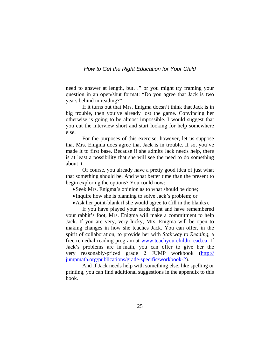need to answer at length, but…" or you might try framing your question in an open/shut format: "Do you agree that Jack is two years behind in reading?"

 If it turns out that Mrs. Enigma doesn't think that Jack is in big trouble, then you've already lost the game. Convincing her otherwise is going to be almost impossible. I would suggest that you cut the interview short and start looking for help somewhere else.

 For the purposes of this exercise, however, let us suppose that Mrs. Enigma does agree that Jack is in trouble. If so, you've made it to first base. Because if she admits Jack needs help, there is at least a possibility that she will see the need to do something about it.

 Of course, you already have a pretty good idea of just what that something should be. And what better time than the present to begin exploring the options? You could now:

- Seek Mrs. Enigma's opinion as to what should be done;
- Inquire how she is planning to solve Jack's problem; or
- Ask her point-blank if she would agree to (fill in the blanks).

 If you have played your cards right and have remembered your rabbit's foot, Mrs. Enigma will make a commitment to help Jack. If you are very, very lucky, Mrs. Enigma will be open to making changes in how she teaches Jack. You can offer, in the spirit of collaboration, to provide her with *Stairway to Reading,* a free remedial reading program at [www.teachyourchildtoread.ca](http://www.teachyourchildtoread.ca/). If Jack's problems are in math, you can offer to give her the very reasonably-priced grade 2 JUMP workbook (http:// jumpmath.org/publications/grade-specific/workbook-2).

 And if Jack needs help with something else, like spelling or printing, you can find additional suggestions in the appendix to this book.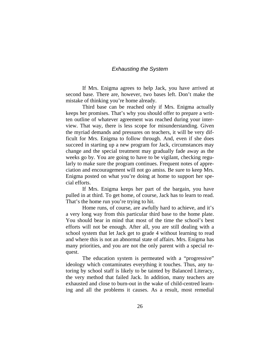#### *Exhausting the System*

 If Mrs. Enigma agrees to help Jack, you have arrived at second base. There are, however, two bases left. Don't make the mistake of thinking you're home already.

 Third base can be reached only if Mrs. Enigma actually keeps her promises. That's why you should offer to prepare a written outline of whatever agreement was reached during your interview. That way, there is less scope for misunderstanding. Given the myriad demands and pressures on teachers, it will be very difficult for Mrs. Enigma to follow through. And, even if she does succeed in starting up a new program for Jack, circumstances may change and the special treatment may gradually fade away as the weeks go by. You are going to have to be vigilant, checking regularly to make sure the program continues. Frequent notes of appreciation and encouragement will not go amiss. Be sure to keep Mrs. Enigma posted on what you're doing at home to support her special efforts.

 If Mrs. Enigma keeps her part of the bargain, you have pulled in at third. To get home, of course, Jack has to learn to read. That's the home run you're trying to hit.

 Home runs, of course, are awfully hard to achieve, and it's a very long way from this particular third base to the home plate. You should bear in mind that most of the time the school's best efforts will not be enough. After all, you are still dealing with a school system that let Jack get to grade 4 without learning to read and where this is not an abnormal state of affairs. Mrs. Enigma has many priorities, and you are not the only parent with a special request.

 The education system is permeated with a "progressive" ideology which contaminates everything it touches. Thus, any tutoring by school staff is likely to be tainted by Balanced Literacy, the very method that failed Jack. In addition, many teachers are exhausted and close to burn-out in the wake of child-centred learning and all the problems it causes. As a result, most remedial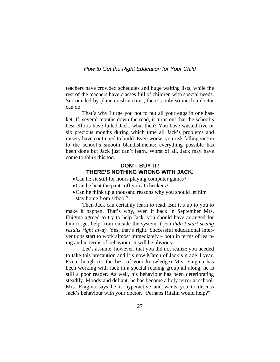teachers have crowded schedules and huge waiting lists, while the rest of the teachers have classes full of children with special needs. Surrounded by plane crash victims, there's only so much a doctor can do.

 That's why I urge you not to put all your eggs in one basket. If, several months down the road, it turns out that the school's best efforts have failed Jack, what then? You have wasted five or six precious months during which time all Jack's problems and misery have continued to build. Even worse, you risk falling victim to the school's smooth blandishments: everything possible has been done but Jack just can't learn. Worst of all, Jack may have come to think this too.

### **DON'T BUY IT! THERE'S NOTHING WRONG WITH JACK.**

- Can he sit still for hours playing computer games?
- •Can he beat the pants off you at checkers?
- •Can he think up a thousand reasons why you should let him stay home from school?

 Then Jack can certainly learn to read. But it's up to you to make it happen. That's why, even if back in September Mrs. Enigma agreed to try to help Jack, you should have arranged for him to get help from outside the system *if you didn't start seeing results right away.* Yes, that's right. Successful educational interventions start to work almost immediately – both in terms of learning and in terms of behaviour. It will be obvious.

 Let's assume, however, that you did not realize you needed to take this precaution and it's now March of Jack's grade 4 year. Even though (to the best of your knowledge) Mrs. Enigma has been working with Jack in a special reading group all along, he is still a poor reader. As well, his behaviour has been deteriorating steadily. Moody and defiant, he has become a holy terror at school. Mrs. Enigma says he is hyperactive and wants you to discuss Jack's behaviour with your doctor. "Perhaps Ritalin would help?"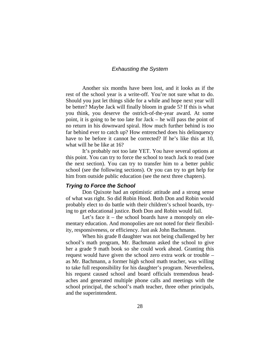#### *Exhausting the System*

 Another six months have been lost, and it looks as if the rest of the school year is a write-off. You're not sure what to do. Should you just let things slide for a while and hope next year will be better? Maybe Jack will finally bloom in grade 5? If this is what you think, you deserve the ostrich-of-the-year award. At some point, it is going to be too late for Jack – he will pass the point of no return in his downward spiral. How much further behind is *too* far behind ever to catch up? How entrenched does his delinquency have to be before it cannot be corrected? If he's like this at 10, what will he be like at 16?

 It's probably not too late YET. You have several options at this point. You can try to force the school to teach Jack to read (see the next section). You can try to transfer him to a better public school (see the following sections). Or you can try to get help for him from outside public education (see the next three chapters).

#### *Trying to Force the School*

 Don Quixote had an optimistic attitude and a strong sense of what was right. So did Robin Hood. Both Don and Robin would probably elect to do battle with their children's school boards, trying to get educational justice. Both Don and Robin would fail.

 Let's face it – the school boards have a monopoly on elementary education. And monopolies are not noted for their flexibility, responsiveness, or efficiency. Just ask John Bachmann.

When his grade 8 daughter was not being challenged by her school's math program, Mr. Bachmann asked the school to give her a grade 9 math book so she could work ahead. Granting this request would have given the school zero extra work or trouble – as Mr. Bachmann, a former high school math teacher, was willing to take full responsibility for his daughter's program. Nevertheless, his request caused school and board officials tremendous headaches and generated multiple phone calls and meetings with the school principal, the school's math teacher, three other principals, and the superintendent.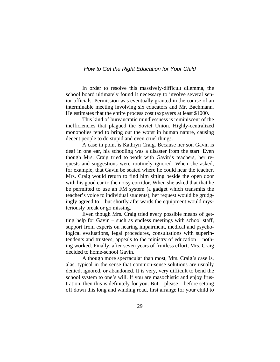In order to resolve this massively-difficult dilemma, the school board ultimately found it necessary to involve several senior officials. Permission was eventually granted in the course of an interminable meeting involving six educators and Mr. Bachmann. He estimates that the entire process cost taxpayers at least \$1000.

 This kind of bureaucratic mindlessness is reminiscent of the inefficiencies that plagued the Soviet Union. Highly-centralized monopolies tend to bring out the worst in human nature, causing decent people to do stupid and even cruel things.

 A case in point is Kathryn Craig. Because her son Gavin is deaf in one ear, his schooling was a disaster from the start. Even though Mrs. Craig tried to work with Gavin's teachers, her requests and suggestions were routinely ignored. When she asked, for example, that Gavin be seated where he could hear the teacher, Mrs. Craig would return to find him sitting beside the open door with his good ear to the noisy corridor. When she asked that that he be permitted to use an FM system (a gadget which transmits the teacher's voice to individual students), her request would be grudgingly agreed to – but shortly afterwards the equipment would mysteriously break or go missing.

Even though Mrs. Craig tried every possible means of getting help for Gavin – such as endless meetings with school staff, support from experts on hearing impairment, medical and psychological evaluations, legal procedures, consultations with superintendents and trustees, appeals to the ministry of education – nothing worked. Finally, after seven years of fruitless effort, Mrs. Craig decided to home-school Gavin.

 Although more spectacular than most, Mrs. Craig's case is, alas, typical in the sense that common-sense solutions are usually denied, ignored, or abandoned. It is very, very difficult to bend the school system to one's will. If you are masochistic and enjoy frustration, then this is definitely for you. But – please – before setting off down this long and winding road, first arrange for your child to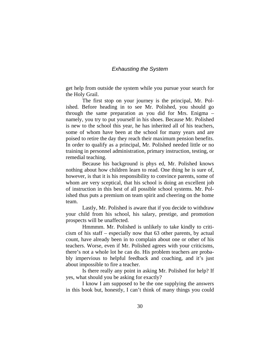#### *Exhausting the System*

get help from outside the system while you pursue your search for the Holy Grail.

 The first stop on your journey is the principal, Mr. Polished. Before heading in to see Mr. Polished, you should go through the same preparation as you did for Mrs. Enigma – namely, you try to put yourself in his shoes. Because Mr. Polished is new to the school this year, he has inherited all of his teachers, some of whom have been at the school for many years and are poised to retire the day they reach their maximum pension benefits. In order to qualify as a principal, Mr. Polished needed little or no training in personnel administration, primary instruction, testing, or remedial teaching.

 Because his background is phys ed, Mr. Polished knows nothing about how children learn to read. One thing he is sure of, however, is that it is his responsibility to convince parents, some of whom are very sceptical, that his school is doing an excellent job of instruction in this best of all possible school systems. Mr. Polished thus puts a premium on team spirit and cheering on the home team.

 Lastly, Mr. Polished is aware that if you decide to withdraw your child from his school, his salary, prestige, and promotion prospects will be unaffected.

 Hmmmm. Mr. Polished is unlikely to take kindly to criticism of his staff – especially now that 63 other parents, by actual count, have already been in to complain about one or other of his teachers. Worse, even if Mr. Polished agrees with your criticisms, there's not a whole lot he can do. His problem teachers are probably impervious to helpful feedback and coaching, and it's just about impossible to fire a teacher.

 Is there really any point in asking Mr. Polished for help? If yes, what should you be asking for exactly?

 I know I am supposed to be the one supplying the answers in this book but, honestly, I can't think of many things you could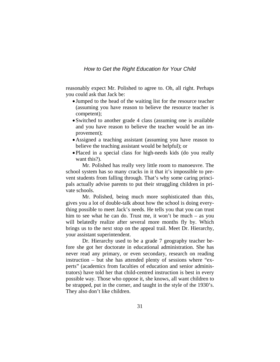reasonably expect Mr. Polished to agree to. Oh, all right. Perhaps you could ask that Jack be:

- Jumped to the head of the waiting list for the resource teacher (assuming you have reason to believe the resource teacher is competent);
- Switched to another grade 4 class (assuming one is available and you have reason to believe the teacher would be an improvement);
- •Assigned a teaching assistant (assuming you have reason to believe the teaching assistant would be helpful); or
- Placed in a special class for high-needs kids (do you really want this?).

 Mr. Polished has really very little room to manoeuvre. The school system has so many cracks in it that it's impossible to prevent students from falling through. That's why some caring principals actually advise parents to put their struggling children in private schools.

 Mr. Polished, being much more sophisticated than this, gives you a lot of double-talk about how the school is doing everything possible to meet Jack's needs. He tells you that you can trust him to see what he can do. Trust me, it won't be much – as you will belatedly realize after several more months fly by. Which brings us to the next stop on the appeal trail. Meet Dr. Hierarchy, your assistant superintendent.

 Dr. Hierarchy used to be a grade 7 geography teacher before she got her doctorate in educational administration. She has never read any primary, or even secondary, research on reading instruction – but she has attended plenty of sessions where "experts" (academics from faculties of education and senior administrators) have told her that child-centred instruction is best in every possible way. Those who oppose it, she knows, all want children to be strapped, put in the corner, and taught in the style of the 1930's. They also don't like children.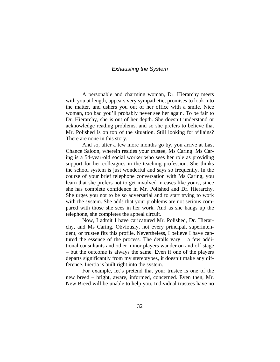#### *Exhausting the System*

A personable and charming woman, Dr. Hierarchy meets with you at length, appears very sympathetic, promises to look into the matter, and ushers you out of her office with a smile. Nice woman, too bad you'll probably never see her again. To be fair to Dr. Hierarchy, she is out of her depth. She doesn't understand or acknowledge reading problems, and so she prefers to believe that Mr. Polished is on top of the situation. Still looking for villains? There are none in this story.

 And so, after a few more months go by, you arrive at Last Chance Saloon, wherein resides your trustee, Ms Caring. Ms Caring is a 54-year-old social worker who sees her role as providing support for her colleagues in the teaching profession. She thinks the school system is just wonderful and says so frequently. In the course of your brief telephone conversation with Ms Caring, you learn that she prefers not to get involved in cases like yours, since she has complete confidence in Mr. Polished and Dr. Hierarchy. She urges you not to be so adversarial and to start trying to work with the system. She adds that your problems are not serious compared with those she sees in her work. And as she hangs up the telephone, she completes the appeal circuit.

 Now, I admit I have caricatured Mr. Polished, Dr. Hierarchy, and Ms Caring. Obviously, not every principal, superintendent, or trustee fits this profile. Nevertheless, I believe I have captured the essence of the process. The details vary – a few additional consultants and other minor players wander on and off stage – but the outcome is always the same. Even if one of the players departs significantly from my stereotypes, it doesn't make any difference. Inertia is built right into the system.

 For example, let's pretend that your trustee is one of the new breed – bright, aware, informed, concerned. Even then, Mr. New Breed will be unable to help you. Individual trustees have no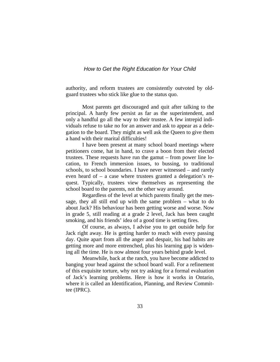authority, and reform trustees are consistently outvoted by oldguard trustees who stick like glue to the status quo.

 Most parents get discouraged and quit after talking to the principal. A hardy few persist as far as the superintendent, and only a handful go all the way to their trustee. A few intrepid individuals refuse to take no for an answer and ask to appear as a delegation to the board. They might as well ask the Queen to give them a hand with their marital difficulties!

 I have been present at many school board meetings where petitioners come, hat in hand, to crave a boon from their elected trustees. These requests have run the gamut – from power line location, to French immersion issues, to bussing, to traditional schools, to school boundaries. I have never witnessed – and rarely even heard of – a case where trustees granted a delegation's request. Typically, trustees view themselves as representing the school board to the parents, not the other way around.

 Regardless of the level at which parents finally get the message, they all still end up with the same problem – what to do about Jack? His behaviour has been getting worse and worse. Now in grade 5, still reading at a grade 2 level, Jack has been caught smoking, and his friends' idea of a good time is setting fires.

 Of course, as always, I advise you to get outside help for Jack right away. He is getting harder to reach with every passing day. Quite apart from all the anger and despair, his bad habits are getting more and more entrenched, plus his learning gap is widening all the time. He is now almost four years behind grade level.

 Meanwhile, back at the ranch, you have become addicted to banging your head against the school board wall. For a refinement of this exquisite torture, why not try asking for a formal evaluation of Jack's learning problems. Here is how it works in Ontario, where it is called an Identification, Planning, and Review Committee (IPRC).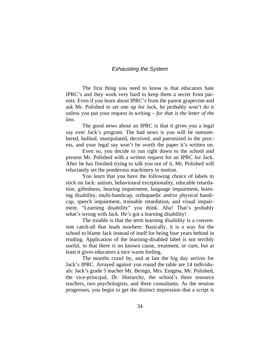## *Exhausting the System*

 The first thing you need to know is that educators hate IPRC's and they work very hard to keep them a secret from parents. Even if you learn about IPRC's from the parent grapevine and ask Mr. Polished to set one up for Jack, he probably won't do it unless you put your request in writing – *for that is the letter of the law.*

 The good news about an IPRC is that it gives you a legal say over Jack's program. The bad news is you will be outnumbered, bullied, manipulated, deceived, and patronized in the process, and your legal say won't be worth the paper it's written on.

 Even so, you decide to run right down to the school and present Mr. Polished with a written request for an IPRC for Jack. After he has finished trying to talk you out of it, Mr. Polished will reluctantly set the ponderous machinery in motion.

 You learn that you have the following choice of labels to stick on Jack: autism, behavioural exceptionality, educable retardation, giftedness, hearing impairment, language impairment, learning disability, multi-handicap, orthopaedic and/or physical handicap, speech impairment, trainable retardation, and visual impairment. "Learning disability" you think. Aha! That's probably what's wrong with Jack. He's got a learning disability!

 The trouble is that the term learning disability is a convenient catch-all that leads nowhere. Basically, it is a way for the school to blame Jack instead of itself for being four years behind in reading. Application of the learning-disabled label is not terribly useful, in that there is no known cause, treatment, or cure, but at least it gives educators a nice warm feeling.

 The months crawl by, and at last the big day arrives for Jack's IPRC. Arrayed against you round the table are 14 individuals: Jack's grade 5 teacher Mr. Benign, Mrs. Enigma, Mr. Polished, the vice-principal, Dr. Hierarchy, the school's three resource teachers, two psychologists, and three consultants. As the session progresses, you begin to get the distinct impression that a script is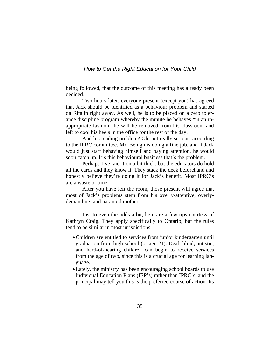being followed, that the outcome of this meeting has already been decided.

Two hours later, everyone present (except you) has agreed that Jack should be identified as a behaviour problem and started on Ritalin right away. As well, he is to be placed on a zero tolerance discipline program whereby the minute he behaves "in an inappropriate fashion" he will be removed from his classroom and left to cool his heels in the office for the rest of the day.

 And his reading problem? Oh, not really serious, according to the IPRC committee. Mr. Benign is doing a fine job, and if Jack would just start behaving himself and paying attention, he would soon catch up. It's this behavioural business that's the problem.

 Perhaps I've laid it on a bit thick, but the educators do hold all the cards and they know it. They stack the deck beforehand and honestly believe they're doing it for Jack's benefit. Most IPRC's are a waste of time.

After you have left the room, those present will agree that most of Jack's problems stem from his overly-attentive, overlydemanding, and paranoid mother.

 Just to even the odds a bit, here are a few tips courtesy of Kathryn Craig. They apply specifically to Ontario, but the rules tend to be similar in most jurisdictions.

- •Children are entitled to services from junior kindergarten until graduation from high school (or age 21). Deaf, blind, autistic, and hard-of-hearing children can begin to receive services from the age of two, since this is a crucial age for learning language.
- •Lately, the ministry has been encouraging school boards to use Individual Education Plans (IEP's) rather than IPRC's, and the principal may tell you this is the preferred course of action. Its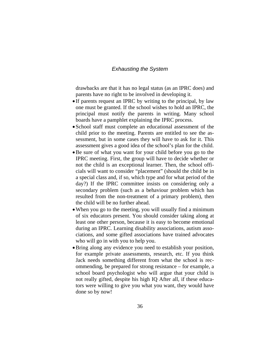## *Exhausting the System*

drawbacks are that it has no legal status (as an IPRC does) and parents have no right to be involved in developing it.

- If parents request an IPRC by writing to the principal, by law one must be granted. If the school wishes to hold an IPRC, the principal must notify the parents in writing. Many school boards have a pamphlet explaining the IPRC process.
- School staff must complete an educational assessment of the child prior to the meeting. Parents are entitled to see the assessment, but in some cases they will have to ask for it. This assessment gives a good idea of the school's plan for the child.
- •Be sure of what you want for your child before you go to the IPRC meeting. First, the group will have to decide whether or not the child is an exceptional learner. Then, the school officials will want to consider "placement" (should the child be in a special class and, if so, which type and for what period of the day?) If the IPRC committee insists on considering only a secondary problem (such as a behaviour problem which has resulted from the non-treatment of a primary problem), then the child will be no further ahead.
- When you go to the meeting, you will usually find a minimum of six educators present. You should consider taking along at least one other person, because it is easy to become emotional during an IPRC. Learning disability associations, autism associations, and some gifted associations have trained advocates who will go in with you to help you.
- •Bring along any evidence you need to establish your position, for example private assessments, research, etc. If you think Jack needs something different from what the school is recommending, be prepared for strong resistance – for example, a school board psychologist who will argue that your child is not really gifted, despite his high IQ After all, if these educators were willing to give you what you want, they would have done so by now!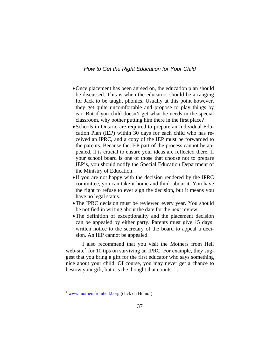- •Once placement has been agreed on, the education plan should be discussed. This is when the educators should be arranging for Jack to be taught phonics. Usually at this point however, they get quite uncomfortable and propose to play things by ear. But if you child doesn't get what he needs in the special classroom, why bother putting him there in the first place?
- Schools in Ontario are required to prepare an Individual Education Plan (IEP) within 30 days for each child who has received an IPRC, and a copy of the IEP must be forwarded to the parents. Because the IEP part of the process cannot be appealed, it is crucial to ensure your ideas are reflected there. If your school board is one of those that choose not to prepare IEP's, you should notify the Special Education Department of the Ministry of Education.
- If you are not happy with the decision rendered by the IPRC committee, you can take it home and think about it. You have the right to refuse to ever sign the decision, but it means you have no legal status.
- The IPRC decision must be reviewed every year. You should be notified in writing about the date for the next review.
- •The definition of exceptionality and the placement decision can be appealed by either party. Parents must give 15 days' written notice to the secretary of the board to appeal a decision. An IEP cannot be appealed.

I also recommend that you visit the Mothers from Hell web-site<sup>\*</sup> for 10 tips on surviving an IPRC. For example, they suggest that you bring a gift for the first educator who says something nice about your child. Of course, you may never get a chance to bestow your gift, but it's the thought that counts….

 $\overline{a}$ 

<span id="page-40-0"></span><sup>∗</sup> [www.mothersfromhell2.org](http://www.mothersfromhell2.org/) (click on Humor)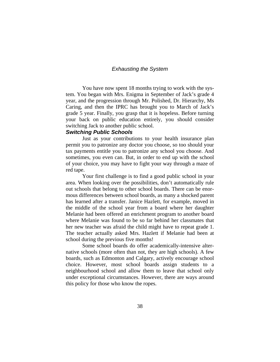## *Exhausting the System*

 You have now spent 18 months trying to work with the system. You began with Mrs. Enigma in September of Jack's grade 4 year, and the progression through Mr. Polished, Dr. Hierarchy, Ms Caring, and then the IPRC has brought you to March of Jack's grade 5 year. Finally, you grasp that it is hopeless. Before turning your back on public education entirely, you should consider switching Jack to another public school.

#### *Switching Public Schools*

 Just as your contributions to your health insurance plan permit you to patronize any doctor you choose, so too should your tax payments entitle you to patronize any school you choose. And sometimes, you even can. But, in order to end up with the school of your choice, you may have to fight your way through a maze of red tape.

 Your first challenge is to find a good public school in your area. When looking over the possibilities, don't automatically rule out schools that belong to other school boards. There can be enormous differences between school boards, as many a shocked parent has learned after a transfer. Janice Hazlett, for example, moved in the middle of the school year from a board where her daughter Melanie had been offered an enrichment program to another board where Melanie was found to be so far behind her classmates that her new teacher was afraid the child might have to repeat grade 1. The teacher actually asked Mrs. Hazlett if Melanie had been at school during the previous five months!

 Some school boards do offer academically-intensive alternative schools (more often than not, they are high schools). A few boards, such as Edmonton and Calgary, actively encourage school choice. However, most school boards assign students to a neighbourhood school and allow them to leave that school only under exceptional circumstances. However, there are ways around this policy for those who know the ropes.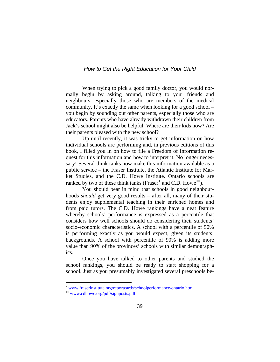When trying to pick a good family doctor, you would normally begin by asking around, talking to your friends and neighbours, especially those who are members of the medical community. It's exactly the same when looking for a good school – you begin by sounding out other parents, especially those who are educators. Parents who have already withdrawn their children from Jack's school might also be helpful. Where are their kids now? Are their parents pleased with the new school?

 Up until recently, it was tricky to get information on how individual schools are performing and, in previous editions of this book, I filled you in on how to file a Freedom of Information request for this information and how to interpret it. No longer necessary! Several think tanks now make this information available as a public service – the Fraser Institute, the Atlantic Institute for Market Studies, and the C.D. Howe Institute. Ontario schools are ranked by two of these think tanks (Fraser<sup>\*</sup> and C.D. Howe<sup>\*\*</sup>).

 You should bear in mind that schools in good neighbourhoods *should* get very good results – after all, many of their students enjoy supplemental teaching in their enriched homes and from paid tutors. The C.D. Howe rankings have a neat feature whereby schools' performance is expressed as a percentile that considers how well schools should do considering their students' socio-economic characteristics. A school with a percentile of 50% is performing exactly as you would expect, given its students' backgrounds. A school with percentile of 90% is adding more value than 90% of the provinces' schools with similar demographics.

 Once you have talked to other parents and studied the school rankings, you should be ready to start shopping for a school. Just as you presumably investigated several preschools be-

 $\overline{a}$ 

<span id="page-42-1"></span><span id="page-42-0"></span><sup>∗</sup> [www.fraserinstitute.org/reportcards/schoolperformance/ontario.htm](http://www.fraserinstitute.org/reportcards/schoolperformance/ontario.htm) 

<sup>∗∗</sup> [www.cdhowe.org/pdf/signposts.pdf](http://www.cdhowe.org/pdf/signposts.pdf)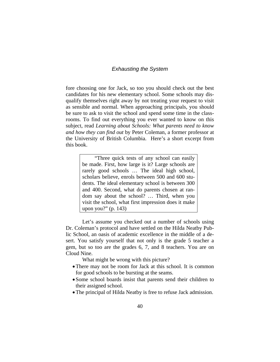## *Exhausting the System*

fore choosing one for Jack, so too you should check out the best candidates for his new elementary school. Some schools may disqualify themselves right away by not treating your request to visit as sensible and normal. When approaching principals, you should be sure to ask to visit the school and spend some time in the classrooms. To find out everything you ever wanted to know on this subject, read *Learning about Schools: What parents need to know and how they can find out* by Peter Coleman, a former professor at the University of British Columbia. Here's a short excerpt from this book.

> "Three quick tests of any school can easily be made. First, how large is it? Large schools are rarely good schools … The ideal high school, scholars believe, enrols between 500 and 600 students. The ideal elementary school is between 300 and 400. Second, what do parents chosen at random say about the school? … Third, when you visit the school, what first impression does it make upon you?" (p. 143)

 Let's assume you checked out a number of schools using Dr. Coleman's protocol and have settled on the Hilda Neatby Public School, an oasis of academic excellence in the middle of a desert. You satisfy yourself that not only is the grade 5 teacher a gem, but so too are the grades 6, 7, and 8 teachers. You are on Cloud Nine.

What might be wrong with this picture?

- There may not be room for Jack at this school. It is common for good schools to be bursting at the seams.
- Some school boards insist that parents send their children to their assigned school.
- •The principal of Hilda Neatby is free to refuse Jack admission.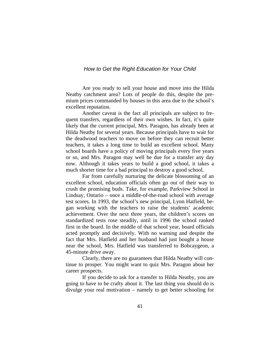Are you ready to sell your house and move into the Hilda Neatby catchment area? Lots of people do this, despite the premium prices commanded by houses in this area due to the school's excellent reputation.

 Another caveat is the fact all principals are subject to frequent transfers, regardless of their own wishes. In fact, it's quite likely that the current principal, Mrs. Paragon, has already been at Hilda Neatby for several years. Because principals have to wait for the deadwood teachers to move on before they can recruit better teachers, it takes a long time to build an excellent school. Many school boards have a policy of moving principals every five years or so, and Mrs. Paragon may well be due for a transfer any day now. Although it takes years to build a good school, it takes a much shorter time for a bad principal to destroy a good school.

 Far from carefully nurturing the delicate blossoming of an excellent school, education officials often go out of their way to crush the promising buds. Take, for example, Parkview School in Lindsay, Ontario – once a middle-of-the-road school with average test scores. In 1993, the school's new principal, Lynn Hatfield, began working with the teachers to raise the students' academic achievement. Over the next three years, the children's scores on standardized tests rose steadily, until in 1996 the school ranked first in the board. In the middle of that school year, board officials acted promptly and decisively. With no warning and despite the fact that Mrs. Hatfield and her husband had just bought a house near the school, Mrs. Hatfield was transferred to Bobcaygeon, a 45-minute drive away.

 Clearly, there are no guarantees that Hilda Neatby will continue to prosper. You might want to quiz Mrs. Paragon about her career prospects.

 If you decide to ask for a transfer to Hilda Neatby, you are going to have to be crafty about it. The last thing you should do is divulge your real motivation – namely to get better schooling for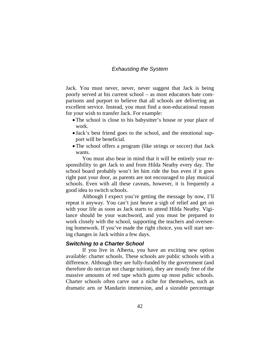## *Exhausting the System*

Jack. You must never, never, never suggest that Jack is being poorly served at his current school – as most educators hate comparisons and purport to believe that all schools are delivering an excellent service. Instead, you must find a non-educational reason for your wish to transfer Jack. For example:

- The school is close to his babysitter's house or your place of work.
- Jack's best friend goes to the school, and the emotional support will be beneficial.
- The school offers a program (like strings or soccer) that Jack wants.

 You must also bear in mind that it will be entirely your responsibility to get Jack to and from Hilda Neatby every day. The school board probably won't let him ride the bus even if it goes right past your door, as parents are not encouraged to play musical schools. Even with all these caveats, however, it is frequently a good idea to switch schools.

Although I expect you're getting the message by now, I'll repeat it anyway. You can't just heave a sigh of relief and get on with your life as soon as Jack starts to attend Hilda Neatby. Vigilance should be your watchword, and you must be prepared to work closely with the school, supporting the teachers and overseeing homework. If you've made the right choice, you will start seeing changes in Jack within a few days.

#### *Switching to a Charter School*

 If you live in Alberta, you have an exciting new option available: charter schools. These schools are public schools with a difference. Although they are fully-funded by the government (and therefore do not/can not charge tuition), they are mostly free of the massive amounts of red tape which gums up most pubic schools. Charter schools often carve out a niche for themselves, such as dramatic arts or Mandarin immersion, and a sizeable percentage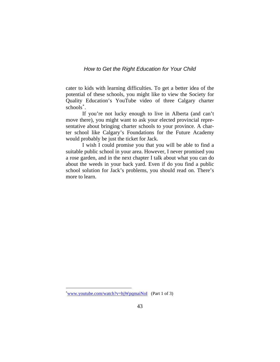cater to kids with learning difficulties. To get a better idea of the potential of these schools, you might like to view the Society for Quality Education's YouTube video of three Calgary charter schools<sup>\*</sup>.

 If you're not lucky enough to live in Alberta (and can't move there), you might want to ask your elected provincial representative about bringing charter schools to your province. A charter school like Calgary's Foundations for the Future Academy would probably be just the ticket for Jack.

 I wish I could promise you that you will be able to find a suitable public school in your area. However, I never promised you a rose garden, and in the next chapter I talk about what you can do about the weeds in your back yard. Even if do you find a public school solution for Jack's problems, you should read on. There's more to learn.

 $\overline{a}$ 

<span id="page-46-0"></span><sup>∗</sup> www.youtube.com/watch?v=hjWpqmaiNoI (Part 1 of 3)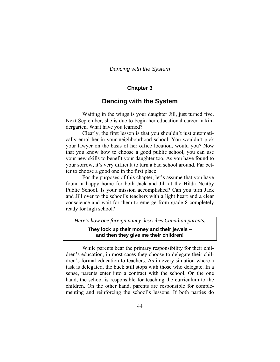## **Chapter 3**

## **Dancing with the System**

 Waiting in the wings is your daughter Jill, just turned five. Next September, she is due to begin her educational career in kindergarten. What have you learned?

 Clearly, the first lesson is that you shouldn't just automatically enrol her in your neighbourhood school. You wouldn't pick your lawyer on the basis of her office location, would you? Now that you know how to choose a good public school, you can use your new skills to benefit your daughter too. As you have found to your sorrow, it's very difficult to turn a bad school around. Far better to choose a good one in the first place!

 For the purposes of this chapter, let's assume that you have found a happy home for both Jack and Jill at the Hilda Neatby Public School. Is your mission accomplished? Can you turn Jack and Jill over to the school's teachers with a light heart and a clear conscience and wait for them to emerge from grade 8 completely ready for high school?

*Here's how one foreign nanny describes Canadian parents.* 

**They lock up their money and their jewels – and then they give me their children!** 

While parents bear the primary responsibility for their children's education, in most cases they choose to delegate their children's formal education to teachers. As in every situation where a task is delegated, the buck still stops with those who delegate. In a sense, parents enter into a contract with the school. On the one hand, the school is responsible for teaching the curriculum to the children. On the other hand, parents are responsible for complementing and reinforcing the school's lessons. If both parties do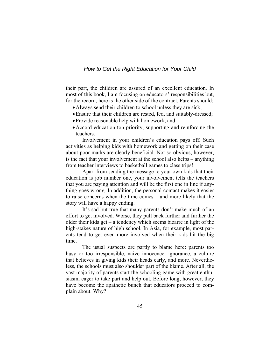their part, the children are assured of an excellent education. In most of this book, I am focusing on educators' responsibilities but, for the record, here is the other side of the contract. Parents should:

- •Always send their children to school unless they are sick;
- •Ensure that their children are rested, fed, and suitably-dressed;
- Provide reasonable help with homework; and
- •Accord education top priority, supporting and reinforcing the teachers.

 Involvement in your children's education pays off. Such activities as helping kids with homework and getting on their case about poor marks are clearly beneficial. Not so obvious, however, is the fact that your involvement at the school also helps – anything from teacher interviews to basketball games to class trips!

 Apart from sending the message to your own kids that their education is job number one, your involvement tells the teachers that you are paying attention and will be the first one in line if anything goes wrong. In addition, the personal contact makes it easier to raise concerns when the time comes – and more likely that the story will have a happy ending.

 It's sad but true that many parents don't make much of an effort to get involved. Worse, they pull back further and further the older their kids get – a tendency which seems bizarre in light of the high-stakes nature of high school. In Asia, for example, most parents tend to get even more involved when their kids hit the big time.

 The usual suspects are partly to blame here: parents too busy or too irresponsible, naive innocence, ignorance, a culture that believes in giving kids their heads early, and more. Nevertheless, the schools must also shoulder part of the blame. After all, the vast majority of parents start the schooling game with great enthusiasm, eager to take part and help out. Before long, however, they have become the apathetic bunch that educators proceed to complain about. Why?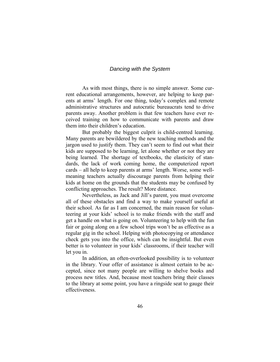As with most things, there is no simple answer. Some current educational arrangements, however, are helping to keep parents at arms' length. For one thing, today's complex and remote administrative structures and autocratic bureaucrats tend to drive parents away. Another problem is that few teachers have ever received training on how to communicate with parents and draw them into their children's education.

 But probably the biggest culprit is child-centred learning. Many parents are bewildered by the new teaching methods and the jargon used to justify them. They can't seem to find out what their kids are supposed to be learning, let alone whether or not they are being learned. The shortage of textbooks, the elasticity of standards, the lack of work coming home, the computerized report cards – all help to keep parents at arms' length. Worse, some wellmeaning teachers actually discourage parents from helping their kids at home on the grounds that the students may be confused by conflicting approaches. The result? More distance.

 Nevertheless, as Jack and Jill's parent, you must overcome all of these obstacles and find a way to make yourself useful at their school. As far as I am concerned, the main reason for volunteering at your kids' school is to make friends with the staff and get a handle on what is going on. Volunteering to help with the fun fair or going along on a few school trips won't be as effective as a regular gig in the school. Helping with photocopying or attendance check gets you into the office, which can be insightful. But even better is to volunteer in your kids' classrooms, if their teacher will let you in.

In addition, an often-overlooked possibility is to volunteer in the library. Your offer of assistance is almost certain to be accepted, since not many people are willing to shelve books and process new titles. And, because most teachers bring their classes to the library at some point, you have a ringside seat to gauge their effectiveness.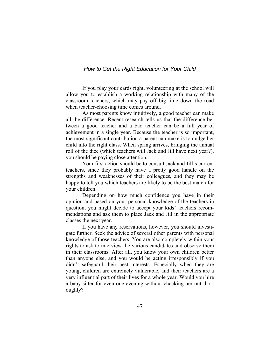If you play your cards right, volunteering at the school will allow you to establish a working relationship with many of the classroom teachers, which may pay off big time down the road when teacher-choosing time comes around.

 As most parents know intuitively, a good teacher can make all the difference. Recent research tells us that the difference between a good teacher and a bad teacher can be a full year of achievement in a single year. Because the teacher is so important, the most significant contribution a parent can make is to nudge her child into the right class. When spring arrives, bringing the annual roll of the dice (which teachers will Jack and Jill have next year?), you should be paying close attention.

Your first action should be to consult Jack and Jill's current teachers, since they probably have a pretty good handle on the strengths and weaknesses of their colleagues, and they may be happy to tell you which teachers are likely to be the best match for your children.

Depending on how much confidence you have in their opinion and based on your personal knowledge of the teachers in question, you might decide to accept your kids' teachers recommendations and ask them to place Jack and Jill in the appropriate classes the next year.

 If you have any reservations, however, you should investigate further. Seek the advice of several other parents with personal knowledge of those teachers. You are also completely within your rights to ask to interview the various candidates and observe them in their classrooms. After all, you know your own children better than anyone else, and you would be acting irresponsibly if you didn't safeguard their best interests. Especially when they are young, children are extremely vulnerable, and their teachers are a very influential part of their lives for a whole year. Would you hire a baby-sitter for even one evening without checking her out thoroughly?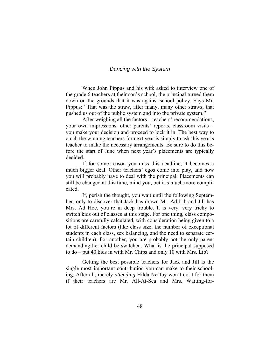When John Pippus and his wife asked to interview one of the grade 6 teachers at their son's school, the principal turned them down on the grounds that it was against school policy. Says Mr. Pippus: "That was the straw, after many, many other straws, that pushed us out of the public system and into the private system."

 After weighing all the factors – teachers' recommendations, your own impressions, other parents' reports, classroom visits – you make your decision and proceed to lock it in. The best way to cinch the winning teachers for next year is simply to ask this year's teacher to make the necessary arrangements. Be sure to do this before the start of June when next year's placements are typically decided.

 If for some reason you miss this deadline, it becomes a much bigger deal. Other teachers' egos come into play, and now you will probably have to deal with the principal. Placements can still be changed at this time, mind you, but it's much more complicated.

 If, perish the thought, you wait until the following September, only to discover that Jack has drawn Mr. Ad Lib and Jill has Mrs. Ad Hoc, you're in deep trouble. It is very, very tricky to switch kids out of classes at this stage. For one thing, class compositions are carefully calculated, with consideration being given to a lot of different factors (like class size, the number of exceptional students in each class, sex balancing, and the need to separate certain children). For another, you are probably not the only parent demanding her child be switched. What is the principal supposed to do – put 40 kids in with Mr. Chips and only 10 with Mrs. Lib?

 Getting the best possible teachers for Jack and Jill is the single most important contribution you can make to their schooling. After all, merely *attending* Hilda Neatby won't do it for them if their teachers are Mr. All-At-Sea and Mrs. Waiting-for-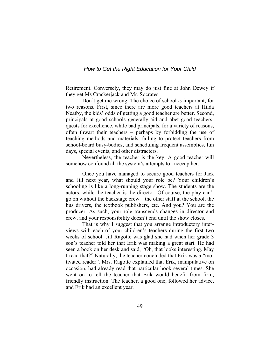Retirement. Conversely, they may do just fine at John Dewey if they get Ms Crackerjack and Mr. Socrates.

 Don't get me wrong. The choice of school *is* important, for two reasons. First, since there are more good teachers at Hilda Neatby, the kids' odds of getting a good teacher are better. Second, principals at good schools generally aid and abet good teachers' quests for excellence, while bad principals, for a variety of reasons, often thwart their teachers – perhaps by forbidding the use of teaching methods and materials, failing to protect teachers from school-board busy-bodies, and scheduling frequent assemblies, fun days, special events, and other distracters.

Nevertheless, the teacher is the key. A good teacher will somehow confound all the system's attempts to kneecap her.

 Once you have managed to secure good teachers for Jack and Jill next year, what should your role be? Your children's schooling is like a long-running stage show. The students are the actors, while the teacher is the director. Of course, the play can't go on without the backstage crew – the other staff at the school, the bus drivers, the textbook publishers, etc. And you? You are the producer. As such, your role transcends changes in director and crew, and your responsibility doesn't end until the show closes.

 That is why I suggest that you arrange introductory interviews with each of your children's teachers during the first two weeks of school. Jill Ragotte was glad she had when her grade 3 son's teacher told her that Erik was making a great start. He had seen a book on her desk and said, "Oh, that looks interesting. May I read that?" Naturally, the teacher concluded that Erik was a "motivated reader". Mrs. Ragotte explained that Erik, manipulative on occasion, had already read that particular book several times. She went on to tell the teacher that Erik would benefit from firm, friendly instruction. The teacher, a good one, followed her advice, and Erik had an excellent year.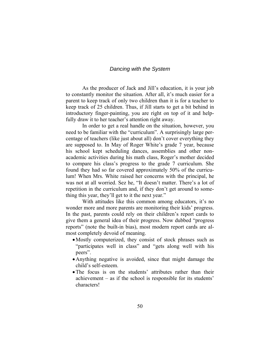As the producer of Jack and Jill's education, it is your job to constantly monitor the situation. After all, it's much easier for a parent to keep track of only two children than it is for a teacher to keep track of 25 children. Thus, if Jill starts to get a bit behind in introductory finger-painting, you are right on top of it and helpfully draw it to her teacher's attention right away.

 In order to get a real handle on the situation, however, you need to be familiar with the "curriculum". A surprisingly large percentage of teachers (like just about all) don't cover everything they are supposed to. In May of Roger White's grade 7 year, because his school kept scheduling dances, assemblies and other nonacademic activities during his math class, Roger's mother decided to compare his class's progress to the grade 7 curriculum. She found they had so far covered approximately 50% of the curriculum! When Mrs. White raised her concerns with the principal, he was not at all worried. Sez he, "It doesn't matter. There's a lot of repetition in the curriculum and, if they don't get around to something this year, they'll get to it the next year."

 With attitudes like this common among educators, it's no wonder more and more parents are monitoring their kids' progress. In the past, parents could rely on their children's report cards to give them a general idea of their progress. Now dubbed "progress reports" (note the built-in bias), most modern report cards are almost completely devoid of meaning.

- •Mostly computerized, they consist of stock phrases such as "participates well in class" and "gets along well with his peers".
- •Anything negative is avoided, since that might damage the child's self-esteem.
- •The focus is on the students' attributes rather than their achievement – as if the school is responsible for its students' characters!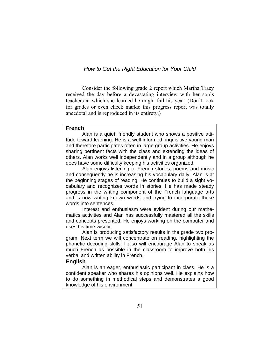Consider the following grade 2 report which Martha Tracy received the day before a devastating interview with her son's teachers at which she learned he might fail his year. (Don't look for grades or even check marks: this progress report was totally anecdotal and is reproduced in its entirety.)

## **French**

 Alan is a quiet, friendly student who shows a positive attitude toward learning. He is a well-informed, inquisitive young man and therefore participates often in large group activities. He enjoys sharing pertinent facts with the class and extending the ideas of others. Alan works well independently and in a group although he does have some difficulty keeping his activities organized.

 Alan enjoys listening to French stories, poems and music and consequently he is increasing his vocabulary daily. Alan is at the beginning stages of reading. He continues to build a sight vocabulary and recognizes words in stories. He has made steady progress in the writing component of the French language arts and is now writing known words and trying to incorporate these words into sentences.

 Interest and enthusiasm were evident during our mathematics activities and Alan has successfully mastered all the skills and concepts presented. He enjoys working on the computer and uses his time wisely.

 Alan is producing satisfactory results in the grade two program. Next term we will concentrate on reading, highlighting the phonetic decoding skills. I also will encourage Alan to speak as much French as possible in the classroom to improve both his verbal and written ability in French.

#### **English**

 Alan is an eager, enthusiastic participant in class. He is a confident speaker who shares his opinions well. He explains how to do something in methodical steps and demonstrates a good knowledge of his environment.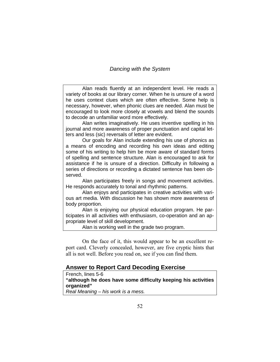Alan reads fluently at an independent level. He reads a variety of books at our library corner. When he is unsure of a word he uses context clues which are often effective. Some help is necessary, however, when phonic clues are needed. Alan must be encouraged to look more closely at vowels and blend the sounds to decode an unfamiliar word more effectively.

 Alan writes imaginatively. He uses inventive spelling in his journal and more awareness of proper punctuation and capital letters and less (sic) reversals of letter are evident.

 Our goals for Alan include extending his use of phonics as a means of encoding and recording his own ideas and editing some of his writing to help him be more aware of standard forms of spelling and sentence structure. Alan is encouraged to ask for assistance if he is unsure of a direction. Difficulty in following a series of directions or recording a dictated sentence has been observed.

 Alan participates freely in songs and movement activities. He responds accurately to tonal and rhythmic patterns.

 Alan enjoys and participates in creative activities with various art media. With discussion he has shown more awareness of body proportion.

 Alan is enjoying our physical education program. He participates in all activities with enthusiasm, co-operation and an appropriate level of skill development.

Alan is working well in the grade two program.

 On the face of it, this would appear to be an excellent report card. Cleverly concealed, however, are five cryptic hints that all is not well. Before you read on, see if you can find them.

#### **Answer to Report Card Decoding Exercise**

French, lines 5-6

**"although he does have some difficulty keeping his activities organized"** 

*Real Meaning – his work is a mess.*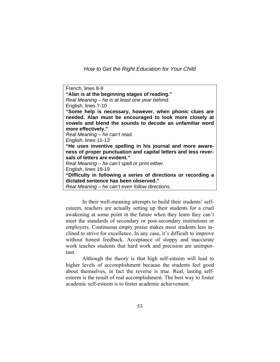French, lines 8-9 **"Alan is at the beginning stages of reading."**  *Real Meaning – he is at least one year behind.*  English, lines 7-10 **"Some help is necessary, however, when phonic clues are needed. Alan must be encouraged to look more closely at vowels and blend the sounds to decode an unfamiliar word more effectively."**  *Real Meaning – he can't read.*  English, lines 11-13 **"He uses inventive spelling in his journal and more awareness of proper punctuation and capital letters and less reversals of letters are evident."**  *Real Meaning – he can't spell or print either.*  English, lines 18-19 **"Difficulty in following a series of directions or recording a dictated sentence has been observed."**  *Real Meaning – he can't even follow directions.* 

 In their well-meaning attempts to build their students' selfesteem, teachers are actually setting up their students for a cruel awakening at some point in the future when they learn they can't meet the standards of secondary or post-secondary institutions or employers. Continuous empty praise makes most students less inclined to strive for excellence. In any case, it's difficult to improve without honest feedback. Acceptance of sloppy and inaccurate work teaches students that hard work and precision are unimportant.

 Although the theory is that high self-esteem will lead to higher levels of accomplishment because the students feel good about themselves, in fact the reverse is true. Real, lasting selfesteem is the result of real accomplishment. The best way to foster academic self-esteem is to foster academic achievement.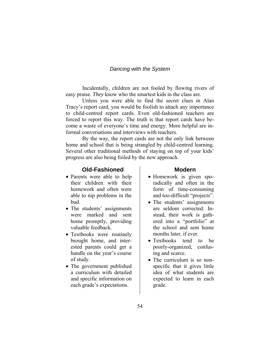Incidentally, children are not fooled by flowing rivers of easy praise. *They* know who the smartest kids in the class are.

 Unless you were able to find the secret clues in Alan Tracy's report card, you would be foolish to attach any importance to child-centred report cards. Even old-fashioned teachers are forced to report this way. The truth is that report cards have become a waste of everyone's time and energy. More helpful are informal conversations and interviews with teachers.

 By the way, the report cards are not the only link between home and school that is being strangled by child-centred learning. Several other traditional methods of staying on top of your kids' progress are also being foiled by the new approach.

## **Old-Fashioned**

- Parents were able to help their children with their homework and often were able to nip problems in the bud.
- The students' assignments were marked and sent home promptly, providing valuable feedback.
- Textbooks were routinely brought home, and interested parents could get a handle on the year's course of study.
- The government published a curriculum with detailed and specific information on each grade's expectations.

#### **Modern**

- Homework is given sporadically and often in the form of time-consuming and too-difficult "projects".
- The students' assignments are seldom corrected. Instead, their work is gathered into a "portfolio" at the school and sent home months later, if ever.
- Textbooks tend to be poorly-organized, confusing and scarce.
- The curriculum is so nonspecific that it gives little idea of what students are expected to learn in each grade.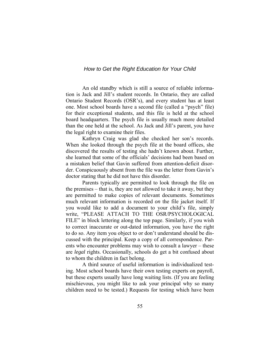An old standby which is still a source of reliable information is Jack and Jill's student records. In Ontario, they are called Ontario Student Records (OSR's), and every student has at least one. Most school boards have a second file (called a "psych" file) for their exceptional students, and this file is held at the school board headquarters. The psych file is usually much more detailed than the one held at the school. As Jack and Jill's parent, you have the legal right to examine their files.

 Kathryn Craig was glad she checked her son's records. When she looked through the psych file at the board offices, she discovered the results of testing she hadn't known about. Further, she learned that some of the officials' decisions had been based on a mistaken belief that Gavin suffered from attention-deficit disorder. Conspicuously absent from the file was the letter from Gavin's doctor stating that he did not have this disorder.

 Parents typically are permitted to look through the file on the premises – that is, they are not allowed to take it away, but they are permitted to make copies of relevant documents. Sometimes much relevant information is recorded *on* the file jacket itself. If you would like to add a document to your child's file, simply write, "PLEASE ATTACH TO THE OSR/PSYCHOLOGICAL FILE" in block lettering along the top page. Similarly, if you wish to correct inaccurate or out-dated information, you have the right to do so. Any item you object to or don't understand should be discussed with the principal. Keep a copy of all correspondence. Parents who encounter problems may wish to consult a lawyer – these are *legal* rights. Occasionally, schools do get a bit confused about to whom the children in fact belong.

 A third source of useful information is individualized testing. Most school boards have their own testing experts on payroll, but these experts usually have long waiting lists. (If you are feeling mischievous, you might like to ask your principal why so many children need to be tested.) Requests for testing which have been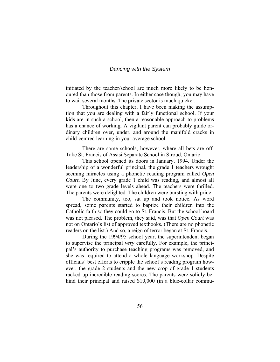initiated by the teacher/school are much more likely to be honoured than those from parents. In either case though, you may have to wait several months. The private sector is much quicker.

 Throughout this chapter, I have been making the assumption that you are dealing with a fairly functional school. If your kids are in such a school, then a reasonable approach to problems has a chance of working. A vigilant parent can probably guide ordinary children over, under, and around the manifold cracks in child-centred learning in your average school.

 There are some schools, however, where all bets are off. Take St. Francis of Assisi Separate School in Stroud, Ontario.

 This school opened its doors in January, 1994. Under the leadership of a wonderful principal, the grade 1 teachers wrought seeming miracles using a phonetic reading program called *Open Court.* By June, every grade 1 child was reading, and almost all were one to two grade levels ahead. The teachers were thrilled. The parents were delighted. The children were bursting with pride.

 The community, too, sat up and took notice. As word spread, some parents started to baptize their children into the Catholic faith so they could go to St. Francis. But the school board was not pleased. The problem, they said, was that *Open Court* was not on Ontario's list of approved textbooks. (There are no phonetic readers on the list.) And so, a reign of terror began at St. Francis.

 During the 1994/95 school year, the superintendent began to supervise the principal *very* carefully. For example, the principal's authority to purchase teaching programs was removed, and she was required to attend a whole language workshop. Despite officials' best efforts to cripple the school's reading program however, the grade 2 students and the new crop of grade 1 students racked up incredible reading scores. The parents were solidly behind their principal and raised \$10,000 (in a blue-collar commu-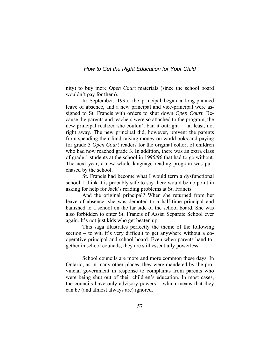nity) to buy more *Open Court* materials (since the school board wouldn't pay for them).

 In September, 1995, the principal began a long-planned leave of absence, and a new principal and vice-principal were assigned to St. Francis with orders to shut down *Open Court.* Because the parents and teachers were so attached to the program, the new principal realized she couldn't ban it outright — at least, not right away. The new principal did, however, prevent the parents from spending their fund-raising money on workbooks and paying for grade 3 *Open Court* readers for the original cohort of children who had now reached grade 3. In addition, there was an extra class of grade 1 students at the school in 1995/96 that had to go without. The next year, a new whole language reading program was purchased by the school.

 St. Francis had become what I would term a dysfunctional school. I think it is probably safe to say there would be no point in asking for help for Jack's reading problems at St. Francis.

 And the original principal? When she returned from her leave of absence, she was demoted to a half-time principal and banished to a school on the far side of the school board. She was also forbidden to enter St. Francis of Assisi Separate School ever again. It's not just kids who get beaten up.

 This saga illustrates perfectly the theme of the following section – to wit, it's very difficult to get anywhere without a cooperative principal and school board. Even when parents band together in school councils, they are still essentially powerless.

 School councils are more and more common these days. In Ontario, as in many other places, they were mandated by the provincial government in response to complaints from parents who were being shut out of their children's education. In most cases, the councils have only advisory powers – which means that they can be (and almost always are) ignored.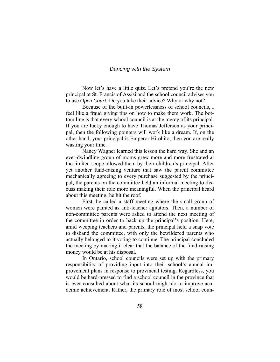Now let's have a little quiz. Let's pretend you're the new principal at St. Francis of Assisi and the school council advises you to use *Open Court.* Do you take their advice? Why or why not?

 Because of the built-in powerlessness of school councils, I feel like a fraud giving tips on how to make them work. The bottom line is that every school council is at the mercy of its principal. If you are lucky enough to have Thomas Jefferson as your principal, then the following pointers will work like a dream. If, on the other hand, your principal is Emperor Hirohito, then you are really wasting your time.

 Nancy Wagner learned this lesson the hard way. She and an ever-dwindling group of moms grew more and more frustrated at the limited scope allowed them by their children's principal. After yet another fund-raising venture that saw the parent committee mechanically agreeing to every purchase suggested by the principal, the parents on the committee held an informal meeting to discuss making their role more meaningful. When the principal heard about this meeting, he hit the roof.

First, he called a staff meeting where the small group of women were painted as anti-teacher agitators. Then, a number of non-committee parents were asked to attend the next meeting of the committee in order to back up the principal's position. Here, amid weeping teachers and parents, the principal held a snap vote to disband the committee, with only the bewildered parents who actually belonged to it voting to continue. The principal concluded the meeting by making it clear that the balance of the fund-raising money would be at his disposal.

 In Ontario, school councils were set up with the primary responsibility of providing input into their school's annual improvement plans in response to provincial testing. Regardless, you would be hard-pressed to find a school council in the province that is ever consulted about what its school might do to improve academic achievement. Rather, the primary role of most school coun-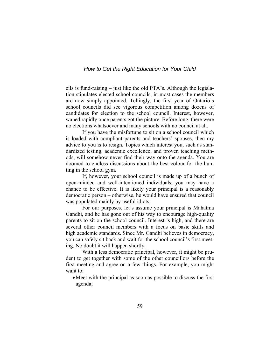cils is fund-raising – just like the old PTA's. Although the legislation stipulates elected school councils, in most cases the members are now simply appointed. Tellingly, the first year of Ontario's school councils did see vigorous competition among dozens of candidates for election to the school council. Interest, however, waned rapidly once parents got the picture. Before long, there were no elections whatsoever and many schools with no council at all.

 If you have the misfortune to sit on a school council which is loaded with compliant parents and teachers' spouses, then my advice to you is to resign. Topics which interest you, such as standardized testing, academic excellence, and proven teaching methods, will somehow never find their way onto the agenda. You are doomed to endless discussions about the best colour for the bunting in the school gym.

 If, however, your school council is made up of a bunch of open-minded and well-intentioned individuals, you may have a chance to be effective. It is likely your principal is a reasonably democratic person – otherwise, he would have ensured that council was populated mainly by useful idiots.

 For our purposes, let's assume your principal is Mahatma Gandhi, and he has gone out of his way to encourage high-quality parents to sit on the school council. Interest is high, and there are several other council members with a focus on basic skills and high academic standards. Since Mr. Gandhi believes in democracy, you can safely sit back and wait for the school council's first meeting. No doubt it will happen shortly.

 With a less democratic principal, however, it might be prudent to get together with some of the other councillors before the first meeting and agree on a few things. For example, you might want to:

• Meet with the principal as soon as possible to discuss the first agenda;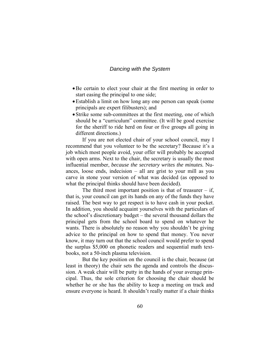- •Be certain to elect your chair at the first meeting in order to start easing the principal to one side;
- •Establish a limit on how long any one person can speak (some principals are expert filibusters); and
- Strike some sub-committees at the first meeting, one of which should be a "curriculum" committee. (It will be good exercise for the sheriff to ride herd on four or five groups all going in different directions.)

 If you are not elected chair of your school council, may I recommend that you volunteer to be the secretary? Because it's a job which most people avoid, your offer will probably be accepted with open arms. Next to the chair, the secretary is usually the most influential member, *because the secretary writes the minutes.* Nuances, loose ends, indecision – all are grist to your mill as you carve in stone your version of what was decided (as opposed to what the principal thinks should have been decided).

The third most important position is that of treasurer  $-$  if, that is, your council can get its hands on any of the funds they have raised. The best way to get respect is to have cash in your pocket. In addition, you should acquaint yourselves with the particulars of the school's discretionary budget – the several thousand dollars the principal gets from the school board to spend on whatever he wants. There is absolutely no reason why you shouldn't be giving advice to the principal on how to spend that money. You never know, it may turn out that the school council would prefer to spend the surplus \$5,000 on phonetic readers and sequential math textbooks, not a 50-inch plasma television.

 But the key position on the council is the chair, because (at least in theory) the chair sets the agenda and controls the discussion. A weak chair will be putty in the hands of your average principal. Thus, the sole criterion for choosing the chair should be whether he or she has the ability to keep a meeting on track and ensure everyone is heard. It shouldn't really matter if a chair thinks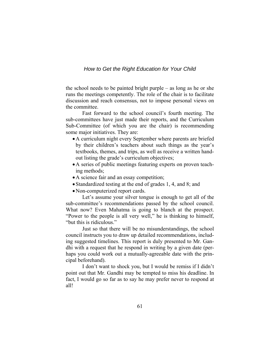the school needs to be painted bright purple – as long as he or she runs the meetings competently. The role of the chair is to facilitate discussion and reach consensus, not to impose personal views on the committee.

 Fast forward to the school council's fourth meeting. The sub-committees have just made their reports, and the Curriculum Sub-Committee (of which you are the chair) is recommending some major initiatives. They are:

- •A curriculum night every September where parents are briefed by their children's teachers about such things as the year's textbooks, themes, and trips, as well as receive a written handout listing the grade's curriculum objectives;
- •A series of public meetings featuring experts on proven teaching methods;
- •A science fair and an essay competition;
- Standardized testing at the end of grades 1, 4, and 8; and
- •Non-computerized report cards.

 Let's assume your silver tongue is enough to get all of the sub-committee's recommendations passed by the school council. What now? Even Mahatma is going to blanch at the prospect. "Power to the people is all very well," he is thinking to himself, "but this is ridiculous."

 Just so that there will be no misunderstandings, the school council instructs you to draw up detailed recommendations, including suggested timelines. This report is duly presented to Mr. Gandhi with a request that he respond in writing by a given date (perhaps you could work out a mutually-agreeable date with the principal beforehand).

 I don't want to shock you, but I would be remiss if I didn't point out that Mr. Gandhi may be tempted to miss his deadline. In fact, I would go so far as to say he may prefer never to respond at all!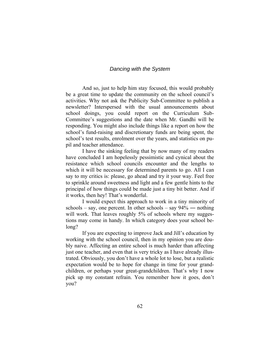And so, just to help him stay focused, this would probably be a great time to update the community on the school council's activities. Why not ask the Publicity Sub-Committee to publish a newsletter? Interspersed with the usual announcements about school doings, you could report on the Curriculum Sub-Committee's suggestions and the date when Mr. Gandhi will be responding. You might also include things like a report on how the school's fund-raising and discretionary funds are being spent, the school's test results, enrolment over the years, and statistics on pupil and teacher attendance.

 I have the sinking feeling that by now many of my readers have concluded I am hopelessly pessimistic and cynical about the resistance which school councils encounter and the lengths to which it will be necessary for determined parents to go. All I can say to my critics is: please, go ahead and try it your way. Feel free to sprinkle around sweetness and light and a few gentle hints to the principal of how things could be made just a tiny bit better. And if it works, then hey! That's wonderful.

 I would expect this approach to work in a tiny minority of schools – say, one percent. In other schools – say  $94\%$  — nothing will work. That leaves roughly 5% of schools where my suggestions may come in handy. In which category does your school belong?

 If you are expecting to improve Jack and Jill's education by working with the school council, then in my opinion you are doubly naive. Affecting an entire school is much harder than affecting just one teacher, and even that is very tricky as I have already illustrated. Obviously, you don't have a whole lot to lose, but a realistic expectation would be to hope for change in time for your grandchildren, or perhaps your great-grandchildren. That's why I now pick up my constant refrain. You remember how it goes, don't you?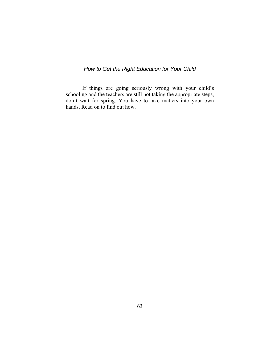If things are going seriously wrong with your child's schooling and the teachers are still not taking the appropriate steps, don't wait for spring. You have to take matters into your own hands. Read on to find out how.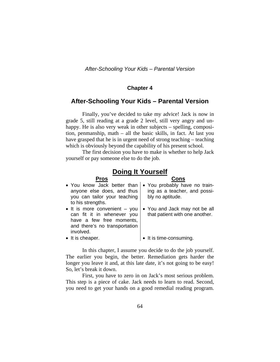## **Chapter 4**

## **After-Schooling Your Kids – Parental Version**

 Finally, you've decided to take my advice! Jack is now in grade 5, still reading at a grade 2 level, still very angry and unhappy. He is also very weak in other subjects – spelling, composition, penmanship, math – all the basic skills, in fact. At last you have grasped that he is in urgent need of strong teaching – teaching which is obviously beyond the capability of his present school.

 The first decision you have to make is whether to help Jack yourself or pay someone else to do the job.

## **Doing It Yourself**

| <b>Pros</b>                           |                                |
|---------------------------------------|--------------------------------|
| • You know Jack better than           | • You probably have no train-  |
| anyone else does, and thus            | ing as a teacher, and possi-   |
| you can tailor your teaching          | bly no aptitude.               |
| to his strengths.                     |                                |
| $\bullet$ It is more convenient - you | • You and Jack may not be all  |
| can fit it in whenever you            | that patient with one another. |
| have a few free moments,              |                                |
| and there's no transportation         |                                |
| involved.                             |                                |
| • It is cheaper.                      | • It is time-consuming.        |

 In this chapter, I assume you decide to do the job yourself. The earlier you begin, the better. Remediation gets harder the longer you leave it and, at this late date, it's not going to be easy! So, let's break it down.

 First, you have to zero in on Jack's most serious problem. This step is a piece of cake. Jack needs to learn to read. Second, you need to get your hands on a good remedial reading program.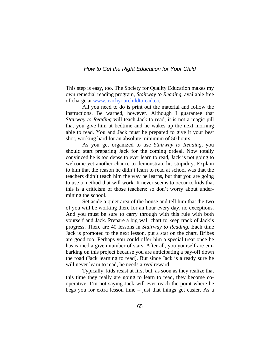This step is easy, too. The Society for Quality Education makes my own remedial reading program, *Stairway to Reading,* available free of charge at www.teachyourchildtoread.ca.

 All you need to do is print out the material and follow the instructions. Be warned, however. Although I guarantee that *Stairway to Reading* will teach Jack to read, it is not a magic pill that you give him at bedtime and he wakes up the next morning able to read. You and Jack must be prepared to give it your best shot, working hard for an absolute minimum of 50 hours.

 As you get organized to use *Stairway to Reading,* you should start preparing Jack for the coming ordeal. Now totally convinced he is too dense to ever learn to read, Jack is not going to welcome yet another chance to demonstrate his stupidity. Explain to him that the reason he didn't learn to read at school was that the teachers didn't teach him the way he learns, but that you are going to use a method that will work. It never seems to occur to kids that this is a criticism of those teachers; so don't worry about undermining the school.

Set aside a quiet area of the house and tell him that the two of you will be working there for an hour every day, no exceptions. And you must be sure to carry through with this rule with both yourself and Jack. Prepare a big wall chart to keep track of Jack's progress. There are 40 lessons in *Stairway to Reading.* Each time Jack is promoted to the next lesson, put a star on the chart. Bribes are good too. Perhaps you could offer him a special treat once he has earned a given number of stars. After all, you yourself are embarking on this project because you are anticipating a pay-off down the road (Jack learning to read). But since Jack is already sure he will never learn to read, he needs a *real* reward.

 Typically, kids resist at first but, as soon as they realize that this time they really are going to learn to read, they become cooperative. I'm not saying Jack will ever reach the point where he begs you for extra lesson time – just that things get easier. As a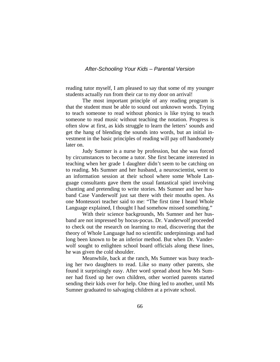#### *After-Schooling Your Kids – Parental Version*

reading tutor myself, I am pleased to say that some of my younger students actually run from their car to my door on arrival!

 The most important principle of any reading program is that the student must be able to sound out unknown words. Trying to teach someone to read without phonics is like trying to teach someone to read music without teaching the notation. Progress is often slow at first, as kids struggle to learn the letters' sounds and get the hang of blending the sounds into words, but an initial investment in the basic principles of reading will pay off handsomely later on.

 Judy Sumner is a nurse by profession, but she was forced by circumstances to become a tutor. She first became interested in teaching when her grade 1 daughter didn't seem to be catching on to reading. Ms Sumner and her husband, a neuroscientist, went to an information session at their school where some Whole Language consultants gave them the usual fantastical spiel involving chanting and pretending to write stories. Ms Sumner and her husband Case Vanderwolf just sat there with their mouths open. As one Montessori teacher said to me: "The first time I heard Whole Language explained, I thought I had somehow missed something."

With their science backgrounds, Ms Sumner and her husband are not impressed by hocus-pocus. Dr. Vanderwolf proceeded to check out the research on learning to read, discovering that the theory of Whole Language had no scientific underpinnings and had long been known to be an inferior method. But when Dr. Vanderwolf sought to enlighten school board officials along these lines, he was given the cold shoulder.

 Meanwhile, back at the ranch, Ms Sumner was busy teaching her two daughters to read. Like so many other parents, she found it surprisingly easy. After word spread about how Ms Sumner had fixed up her own children, other worried parents started sending their kids over for help. One thing led to another, until Ms Sumner graduated to salvaging children at a private school.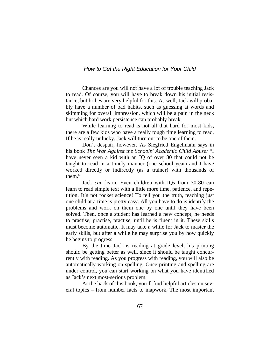Chances are you will not have a lot of trouble teaching Jack to read. Of course, you will have to break down his initial resistance, but bribes are very helpful for this. As well, Jack will probably have a number of bad habits, such as guessing at words and skimming for overall impression, which will be a pain in the neck but which hard work persistence can probably break.

 While learning to read is not all that hard for most kids, there are a few kids who have a really tough time learning to read. If he is really unlucky, Jack will turn out to be one of them.

 Don't despair, however. As Siegfried Engelmann says in his book *The War Against the Schools' Academic Child Abuse:* "I have never seen a kid with an IQ of over 80 that could not be taught to read in a timely manner (one school year) and I have worked directly or indirectly (as a trainer) with thousands of them."

Jack *can* learn. Even children with IQs from 70-80 can learn to read simple text with a little more time, patience, and repetition. It's not rocket science! To tell you the truth, teaching just one child at a time is pretty easy. All you have to do is identify the problems and work on them one by one until they have been solved. Then, once a student has learned a new concept, he needs to practise, practise, practise, until he is fluent in it. These skills must become automatic. It may take a while for Jack to master the early skills, but after a while he may surprise you by how quickly he begins to progress.

 By the time Jack is reading at grade level, his printing should be getting better as well, since it should be taught concurrently with reading. As you progress with reading, you will also be automatically working on spelling. Once printing and spelling are under control, you can start working on what you have identified as Jack's next most-serious problem.

At the back of this book, you'll find helpful articles on several topics – from number facts to mapwork. The most important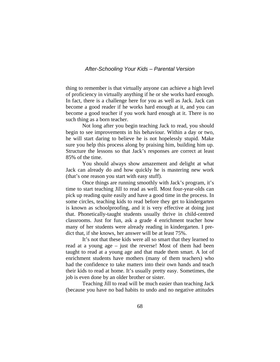#### *After-Schooling Your Kids – Parental Version*

thing to remember is that virtually anyone can achieve a high level of proficiency in virtually anything if he or she works hard enough. In fact, there is a challenge here for you as well as Jack. Jack can become a good reader if he works hard enough at it, and you can become a good teacher if you work hard enough at it. There is no such thing as a born teacher.

 Not long after you begin teaching Jack to read, you should begin to see improvements in his behaviour. Within a day or two, he will start daring to believe he is not hopelessly stupid. Make sure you help this process along by praising him, building him up. Structure the lessons so that Jack's responses are correct at least 85% of the time.

You should always show amazement and delight at what Jack can already do and how quickly he is mastering new work (that's one reason you start with easy stuff).

Once things are running smoothly with Jack's program, it's time to start teaching Jill to read as well. Most four-year-olds can pick up reading quite easily and have a good time in the process. In some circles, teaching kids to read before they get to kindergarten is known as schoolproofing, and it is very effective at doing just that. Phonetically-taught students usually thrive in child-centred classrooms. Just for fun, ask a grade 4 enrichment teacher how many of her students were already reading in kindergarten. I predict that, if she knows, her answer will be at least 75%.

It's not that these kids were all so smart that they learned to read at a young age – just the reverse! Most of them had been taught to read at a young age and that made them smart. A lot of enrichment students have mothers (many of them teachers) who had the confidence to take matters into their own hands and teach their kids to read at home. It's usually pretty easy. Sometimes, the job is even done by an older brother or sister.

 Teaching Jill to read will be much easier than teaching Jack (because you have no bad habits to undo and no negative attitudes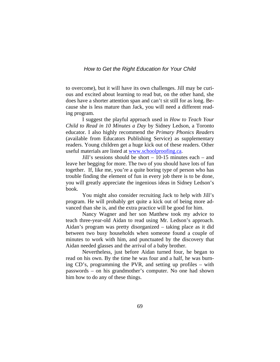to overcome), but it will have its own challenges. Jill may be curious and excited about learning to read but, on the other hand, she does have a shorter attention span and can't sit still for as long. Because she is less mature than Jack, you will need a different reading program.

I suggest the playful approach used in *How to Teach Your Child to Read in 10 Minutes a Day* by Sidney Ledson, a Toronto educator. I also highly recommend the *Primary Phonics Readers* (available from Educators Publishing Service) as supplementary readers. Young children get a huge kick out of these readers. Other useful materials are listed at [www.schoolproofing.ca.](http://www.schoolproofing.ca/)

 Jill's sessions should be short – 10-15 minutes each – and leave her begging for more. The two of you should have lots of fun together. If, like me, you're a quite boring type of person who has trouble finding the element of fun in every job there is to be done, you will greatly appreciate the ingenious ideas in Sidney Ledson's book.

 You might also consider recruiting Jack to help with Jill's program. He will probably get quite a kick out of being more advanced than she is, and the extra practice will be good for him.

 Nancy Wagner and her son Matthew took my advice to teach three-year-old Aidan to read using Mr. Ledson's approach. Aidan's program was pretty disorganized – taking place as it did between two busy households when someone found a couple of minutes to work with him, and punctuated by the discovery that Aidan needed glasses and the arrival of a baby brother.

 Nevertheless, just before Aidan turned four, he began to read on his own. By the time he was four and a half, he was burning CD's, programming the PVR, and setting up profiles – with passwords – on his grandmother's computer. No one had shown him how to do any of these things.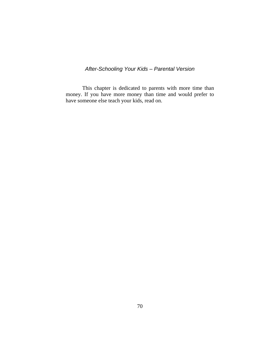# *After-Schooling Your Kids – Parental Version*

 This chapter is dedicated to parents with more time than money. If you have more money than time and would prefer to have someone else teach your kids, read on.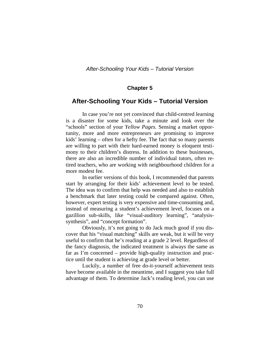### **Chapter 5**

# **After-Schooling Your Kids – Tutorial Version**

 In case you're not yet convinced that child-centred learning is a disaster for some kids, take a minute and look over the "schools" section of your *Yellow Pages.* Sensing a market opportunity, more and more entrepreneurs are promising to improve kids' learning – often for a hefty fee. The fact that so many parents are willing to part with their hard-earned money is eloquent testimony to their children's distress. In addition to these businesses, there are also an incredible number of individual tutors, often retired teachers, who are working with neighbourhood children for a more modest fee.

 In earlier versions of this book, I recommended that parents start by arranging for their kids' achievement level to be tested. The idea was to confirm that help was needed and also to establish a benchmark that later testing could be compared against. Often, however, expert testing is very expensive and time-consuming and, instead of measuring a student's achievement level, focuses on a gazillion sub-skills, like "visual-auditory learning", "analysissynthesis", and "concept formation".

Obviously, it's not going to do Jack much good if you discover that his "visual matching" skills are weak, but it will be very useful to confirm that he's reading at a grade 2 level. Regardless of the fancy diagnosis, the indicated treatment is always the same as far as I'm concerned – provide high-quality instruction and practice until the student is achieving at grade level or better.

 Luckily, a number of free do-it-yourself achievement tests have become available in the meantime, and I suggest you take full advantage of them. To determine Jack's reading level, you can use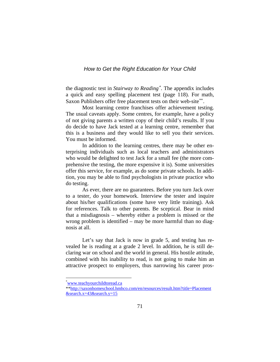the diagnostic test in *Stairway to Reading*[∗](#page-75-0) . The appendix includes a quick and easy spelling placement test (page 118). For math, Saxon Publishers offer free placement tests on their web-site<sup>\*\*</sup>.

 Most learning centre franchises offer achievement testing. The usual caveats apply. Some centres, for example, have a policy of not giving parents a written copy of their child's results. If you do decide to have Jack tested at a learning centre, remember that this is a business and they would like to sell you their services. You must be informed.

 In addition to the learning centres, there may be other enterprising individuals such as local teachers and administrators who would be delighted to test Jack for a small fee (the more comprehensive the testing, the more expensive it is). Some universities offer this service, for example, as do some private schools. In addition, you may be able to find psychologists in private practice who do testing.

 As ever, there are no guarantees. Before you turn Jack over to a tester, do your homework. Interview the tester and inquire about his/her qualifications (some have very little training). Ask for references. Talk to other parents. Be sceptical. Bear in mind that a misdiagnosis – whereby either a problem is missed or the wrong problem is identified – may be more harmful than no diagnosis at all.

 Let's say that Jack is now in grade 5, and testing has revealed he is reading at a grade 2 level. In addition, he is still declaring war on school and the world in general. His hostile attitude, combined with his inability to read, is not going to make him an attractive prospect to employers, thus narrowing his career pros-

 $\overline{a}$ 

<span id="page-75-0"></span><sup>\*</sup> [www.teachyourchildtoread.ca](http://www.teachyourchildtoread.ca/)

<span id="page-75-1"></span><sup>\*</sup>[\\*http://saxonhomeschool.hmhco.com/en/resources/result.htm?title=Placement](http://saxonhomeschool.hmhco.com/en/resources/result.htm?title=Placement&search.x=43&search.y=15)  $&\text{search.x}=43&\text{search.y}=15$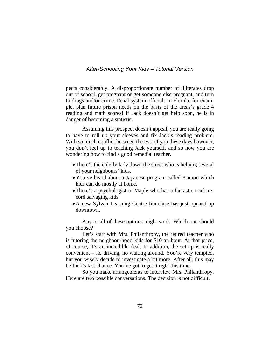#### *After-Schooling Your Kids – Tutorial Version*

pects considerably. A disproportionate number of illiterates drop out of school, get pregnant or get someone else pregnant, and turn to drugs and/or crime. Penal system officials in Florida, for example, plan future prison needs on the basis of the areas's grade 4 reading and math scores! If Jack doesn't get help soon, he is in danger of becoming a statistic.

 Assuming this prospect doesn't appeal, you are really going to have to roll up your sleeves and fix Jack's reading problem. With so much conflict between the two of you these days however, you don't feel up to teaching Jack yourself, and so now you are wondering how to find a good remedial teacher.

- There's the elderly lady down the street who is helping several of your neighbours' kids.
- •You've heard about a Japanese program called Kumon which kids can do mostly at home.
- •There's a psychologist in Maple who has a fantastic track record salvaging kids.
- •A new Sylvan Learning Centre franchise has just opened up downtown.

 Any or all of these options might work. Which one should you choose?

 Let's start with Mrs. Philanthropy, the retired teacher who is tutoring the neighbourhood kids for \$10 an hour. At that price, of course, it's an incredible deal. In addition, the set-up is really convenient – no driving, no waiting around. You're very tempted, but you wisely decide to investigate a bit more. After all, this may be Jack's last chance. You've got to get it right this time.

 So you make arrangements to interview Mrs. Philanthropy. Here are two possible conversations. The decision is not difficult.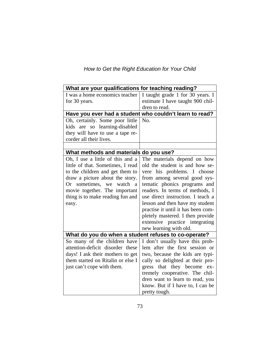| How to Get the Right Education for Your Child |  |
|-----------------------------------------------|--|
|-----------------------------------------------|--|

| What are your qualifications for teaching reading?               |                                                                     |  |
|------------------------------------------------------------------|---------------------------------------------------------------------|--|
| I was a home economics teacher                                   | I taught grade 1 for 30 years. I                                    |  |
| for 30 years.                                                    | estimate I have taught 900 chil-                                    |  |
|                                                                  | dren to read.                                                       |  |
|                                                                  | Have you ever had a student who couldn't learn to read?             |  |
| Oh, certainly. Some poor little                                  | No.                                                                 |  |
| kids are so learning-disabled                                    |                                                                     |  |
| they will have to use a tape re-                                 |                                                                     |  |
| corder all their lives.                                          |                                                                     |  |
|                                                                  |                                                                     |  |
| What methods and materials do you use?                           |                                                                     |  |
| Oh, I use a little of this and a                                 | The materials depend on how                                         |  |
| little of that. Sometimes, I read                                | old the student is and how se-                                      |  |
| to the children and get them to                                  | vere his problems. I choose                                         |  |
| draw a picture about the story.                                  | from among several good sys-                                        |  |
| Or sometimes, we watch a                                         | tematic phonics programs and                                        |  |
| movie together. The important                                    | readers. In terms of methods, I                                     |  |
| thing is to make reading fun and                                 | use direct instruction. I teach a                                   |  |
| easy.                                                            | lesson and then have my student                                     |  |
|                                                                  | practise it until it has been com-                                  |  |
|                                                                  | pletely mastered. I then provide                                    |  |
|                                                                  | extensive practice integrating                                      |  |
|                                                                  | new learning with old.                                              |  |
| What do you do when a student refuses to co-operate?             |                                                                     |  |
| So many of the children have<br>attention-deficit disorder these | I don't usually have this prob-<br>lem after the first session or   |  |
| days! I ask their mothers to get                                 |                                                                     |  |
| them started on Ritalin or else I                                | two, because the kids are typi-<br>cally so delighted at their pro- |  |
| just can't cope with them.                                       | gress that they become ex-                                          |  |
|                                                                  | tremely cooperative. The chil-                                      |  |
|                                                                  | dren want to learn to read, you                                     |  |
|                                                                  |                                                                     |  |
|                                                                  | know. But if I have to, I can be                                    |  |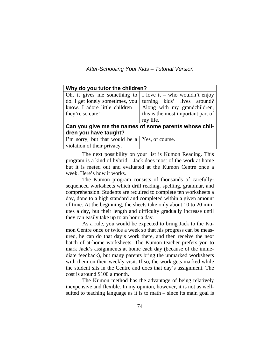*After-Schooling Your Kids – Tutorial Version* 

| Why do you tutor the children?                        |                                                                |  |
|-------------------------------------------------------|----------------------------------------------------------------|--|
|                                                       | Oh, it gives me something to   I love it – who wouldn't enjoy  |  |
|                                                       | do. I get lonely sometimes, you   turning kids' lives around?  |  |
|                                                       | know. I adore little children $-$ Along with my grandchildren, |  |
| they're so cute!                                      | this is the most important part of                             |  |
|                                                       | my life.                                                       |  |
| Can you give me the names of some parents whose chil- |                                                                |  |
| dren you have taught?                                 |                                                                |  |
| I'm sorry, but that would be a Yes, of course.        |                                                                |  |
| violation of their privacy.                           |                                                                |  |

The next possibility on your list is Kumon Reading. This program is a kind of hybrid – Jack does most of the work at home but it is meted out and evaluated at the Kumon Centre once a week. Here's how it works.

 The Kumon program consists of thousands of carefullysequenced worksheets which drill reading, spelling, grammar, and comprehension. Students are required to complete ten worksheets a day, done to a high standard and completed within a given amount of time. At the beginning, the sheets take only about 10 to 20 minutes a day, but their length and difficulty gradually increase until they can easily take up to an hour a day.

 As a rule, you would be expected to bring Jack to the Kumon Centre once or twice a week so that his progress can be measured, he can do that day's work there, and then receive the next batch of at-home worksheets. The Kumon teacher prefers you to mark Jack's assignments at home each day (because of the immediate feedback), but many parents bring the unmarked worksheets with them on their weekly visit. If so, the work gets marked while the student sits in the Centre and does that day's assignment. The cost is around \$100 a month.

 The Kumon method has the advantage of being relatively inexpensive and flexible. In my opinion, however, it is not as wellsuited to teaching language as it is to math – since its main goal is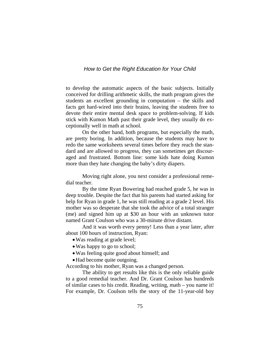to develop the automatic aspects of the basic subjects. Initially conceived for drilling arithmetic skills, the math program gives the students an excellent grounding in computation – the skills and facts get hard-wired into their brains, leaving the students free to devote their entire mental desk space to problem-solving. If kids stick with Kumon Math past their grade level, they usually do exceptionally well in math at school.

 On the other hand, both programs, but especially the math, are pretty boring. In addition, because the students may have to redo the same worksheets several times before they reach the standard and are allowed to progress, they can sometimes get discouraged and frustrated. Bottom line: some kids hate doing Kumon more than they hate changing the baby's dirty diapers.

 Moving right alone, you next consider a professional remedial teacher.

 By the time Ryan Bowering had reached grade 5, he was in deep trouble. Despite the fact that his parents had started asking for help for Ryan in grade 1, he was still reading at a grade 2 level. His mother was so desperate that she took the advice of a total stranger (me) and signed him up at \$30 an hour with an unknown tutor named Grant Coulson who was a 30-minute drive distant.

 And it was worth every penny! Less than a year later, after about 100 hours of instruction, Ryan:

- Was reading at grade level;
- •Was happy to go to school;
- •Was feeling quite good about himself; and
- Had become quite outgoing.

According to his mother, Ryan was a changed person.

 The ability to get results like this is the only reliable guide to a good remedial teacher. And Dr. Grant Coulson has hundreds of similar cases to his credit. Reading, writing, math – you name it! For example, Dr. Coulson tells the story of the 11-year-old boy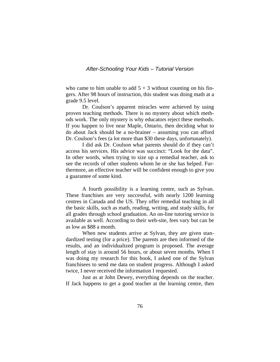#### *After-Schooling Your Kids – Tutorial Version*

who came to him unable to add  $5 + 3$  without counting on his fingers. After 98 hours of instruction, this student was doing math at a grade 9.5 level.

 Dr. Coulson's apparent miracles were achieved by using proven teaching methods. There is no mystery about which methods work. The only mystery is why educators reject these methods. If you happen to live near Maple, Ontario, then deciding what to do about Jack should be a no-brainer – assuming you can afford Dr. Coulson's fees (a lot more than \$30 these days, unfortunately).

 I did ask Dr. Coulson what parents should do if they can't access his services. His advice was succinct: "Look for the data". In other words, when trying to size up a remedial teacher, ask to see the records of other students whom he or she has helped. Furthermore, an effective teacher will be confident enough to give you a guarantee of some kind.

 A fourth possibility is a learning centre, such as Sylvan. These franchises are very successful, with nearly 1200 learning centres in Canada and the US. They offer remedial teaching in all the basic skills, such as math, reading, writing, and study skills, for all grades through school graduation. An on-line tutoring service is available as well. According to their web-site, fees vary but can be as low as \$88 a month.

When new students arrive at Sylvan, they are given standardized testing (for a price). The parents are then informed of the results, and an individualized program is proposed. The average length of stay is around 56 hours, or about seven months. When I was doing my research for this book, I asked one of the Sylvan franchisees to send me data on student progress. Although I asked twice, I never received the information I requested.

 Just as at John Dewey, everything depends on the teacher. If Jack happens to get a good teacher at the learning centre, then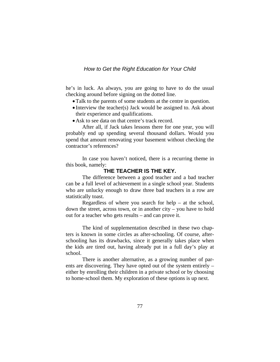he's in luck. As always, you are going to have to do the usual checking around before signing on the dotted line.

- •Talk to the parents of some students at the centre in question.
- Interview the teacher(s) Jack would be assigned to. Ask about their experience and qualifications.
- •Ask to see data on that centre's track record.

 After all, if Jack takes lessons there for one year, you will probably end up spending several thousand dollars. Would you spend that amount renovating your basement without checking the contractor's references?

In case you haven't noticed, there is a recurring theme in this book, namely:

### **THE TEACHER IS THE KEY.**

The difference between a good teacher and a bad teacher can be a full level of achievement in a single school year. Students who are unlucky enough to draw three bad teachers in a row are statistically toast.

Regardless of where you search for help  $-$  at the school, down the street, across town, or in another city – you have to hold out for a teacher who gets results – and can prove it.

 The kind of supplementation described in these two chapters is known in some circles as after-schooling. Of course, afterschooling has its drawbacks, since it generally takes place when the kids are tired out, having already put in a full day's play at school.

 There is another alternative, as a growing number of parents are discovering. They have opted out of the system entirely – either by enrolling their children in a private school or by choosing to home-school them. My exploration of these options is up next.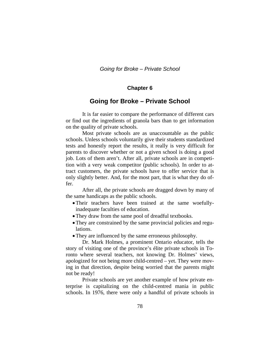*Going for Broke – Private School* 

#### **Chapter 6**

## **Going for Broke – Private School**

 It is far easier to compare the performance of different cars or find out the ingredients of granola bars than to get information on the quality of private schools.

 Most private schools are as unaccountable as the public schools. Unless schools voluntarily give their students standardized tests and honestly report the results, it really is very difficult for parents to discover whether or not a given school is doing a good job. Lots of them aren't. After all, private schools are in competition with a very weak competitor (public schools). In order to attract customers, the private schools have to offer service that is only slightly better. And, for the most part, that is what they do offer.

After all, the private schools are dragged down by many of the same handicaps as the public schools.

- •Their teachers have been trained at the same woefullyinadequate faculties of education.
- They draw from the same pool of dreadful textbooks.
- They are constrained by the same provincial policies and regulations.
- They are influenced by the same erroneous philosophy.

 Dr. Mark Holmes, a prominent Ontario educator, tells the story of visiting one of the province's élite private schools in Toronto where several teachers, not knowing Dr. Holmes' views, apologized for not being more child-centred – yet. They were moving in that direction, despite being worried that the parents might not be ready!

 Private schools are yet another example of how private enterprise is capitalizing on the child-centred mania in public schools. In 1976, there were only a handful of private schools in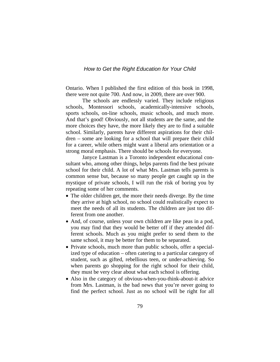Ontario. When I published the first edition of this book in 1998, there were not quite 700. And now, in 2009, there are over 900.

 The schools are endlessly varied. They include religious schools, Montessori schools, academically-intensive schools, sports schools, on-line schools, music schools, and much more. And that's good! Obviously, not all students are the same, and the more choices they have, the more likely they are to find a suitable school. Similarly, parents have different aspirations for their children – some are looking for a school that will prepare their child for a career, while others might want a liberal arts orientation or a strong moral emphasis. There should be schools for everyone.

 Janyce Lastman is a Toronto independent educational consultant who, among other things, helps parents find the best private school for their child. A lot of what Mrs. Lastman tells parents is common sense but, because so many people get caught up in the mystique of private schools, I will run the risk of boring you by repeating some of her comments.

- The older children get, the more their needs diverge. By the time they arrive at high school, no school could realistically expect to meet the needs of all its students. The children are just too different from one another.
- And, of course, unless your own children are like peas in a pod, you may find that they would be better off if they attended different schools. Much as you might prefer to send them to the same school, it may be better for them to be separated.
- Private schools, much more than public schools, offer a specialized type of education – often catering to a particular category of student, such as gifted, rebellious teen, or under-achieving. So when parents go shopping for the right school for their child, they must be very clear about what each school is offering.
- Also in the category of obvious-when-you-think-about-it advice from Mrs. Lastman, is the bad news that you're never going to find the perfect school. Just as no school will be right for all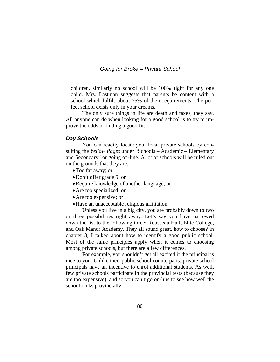*Going for Broke – Private School* 

children, similarly no school will be 100% right for any one child. Mrs. Lastman suggests that parents be content with a school which fulfils about 75% of their requirements. The perfect school exists only in your dreams.

 The only sure things in life are death and taxes, they say. All anyone can do when looking for a good school is to try to improve the odds of finding a good fit.

#### *Day Schools*

 You can readily locate your local private schools by consulting the *Yellow Pages* under "Schools – Academic – Elementary and Secondary" or going on-line. A lot of schools will be ruled out on the grounds that they are:

- •Too far away; or
- Don't offer grade 5; or
- •Require knowledge of another language; or
- •Are too specialized; or
- •Are too expensive; or
- •Have an unacceptable religious affiliation.

 Unless you live in a big city, you are probably down to two or three possibilities right away. Let's say you have narrowed down the list to the following three: Rousseau Hall, Elite College, and Oak Manor Academy. They all sound great, how to choose? In chapter 3, I talked about how to identify a good public school. Most of the same principles apply when it comes to choosing among private schools, but there are a few differences.

For example, you shouldn't get all excited if the principal is nice to you. Unlike their public school counterparts, private school principals have an incentive to enrol additional students. As well, few private schools participate in the provincial tests (because they are too expensive), and so you can't go on-line to see how well the school ranks provincially.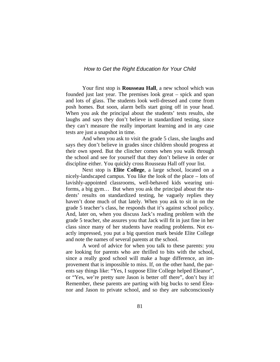Your first stop is **Rousseau Hall**, a new school which was founded just last year. The premises look great – spick and span and lots of glass. The students look well-dressed and come from posh homes. But soon, alarm bells start going off in your head. When you ask the principal about the students' tests results, she laughs and says they don't believe in standardized testing, since they can't measure the really important learning and in any case tests are just a snapshot in time.

And when you ask to visit the grade 5 class, she laughs and says they don't believe in grades since children should progress at their own speed. But the clincher comes when you walk through the school and see for yourself that they don't believe in order or discipline either. You quickly cross Rousseau Hall off your list.

 Next stop is **Elite College**, a large school, located on a nicely-landscaped campus. You like the look of the place – lots of lavishly-appointed classrooms, well-behaved kids wearing uniforms, a big gym… But when you ask the principal about the students' results on standardized testing, he vaguely replies they haven't done much of that lately. When you ask to sit in on the grade 5 teacher's class, he responds that it's against school policy. And, later on, when you discuss Jack's reading problem with the grade 5 teacher, she assures you that Jack will fit in just fine in her class since many of her students have reading problems. Not exactly impressed, you put a big question mark beside Elite College and note the names of several parents at the school.

 A word of advice for when you talk to these parents: you are looking for parents who are thrilled to bits with the school, since a really good school will make a huge difference, an improvement that is impossible to miss. If, on the other hand, the parents say things like: "Yes, I suppose Elite College helped Eleanor", or "Yes, we're pretty sure Jason is better off there", don't buy it! Remember, these parents are parting with big bucks to send Eleanor and Jason to private school, and so they are subconsciously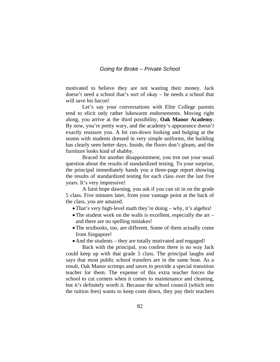motivated to believe they are not wasting their money. Jack doesn't need a school that's sort of okay – he needs a school that will save his bacon!

 Let's say your conversations with Elite College parents tend to elicit only rather lukewarm endorsements. Moving right along, you arrive at the third possibility, **Oak Manor Academy**. By now, you're pretty wary, and the academy's appearance doesn't exactly reassure you. A bit run-down looking and bulging at the seams with students dressed in very simple uniforms, the building has clearly seen better days. Inside, the floors don't gleam, and the furniture looks kind of shabby.

Braced for another disappointment, you trot out your usual question about the results of standardized testing. To your surprise, the principal immediately hands you a three-page report showing the results of standardized testing for each class over the last five years. It's very impressive!

 A faint hope dawning, you ask if you can sit in on the grade 5 class. Five minutes later, from your vantage point at the back of the class, you are amazed.

- •That's very high-level math they're doing why, it's algebra!
- The student work on the walls is excellent, especially the art and there are no spelling mistakes!
- •The textbooks, too, are different. Some of them actually come from Singapore!
- And the students they are totally motivated and engaged!

 Back with the principal, you confess there is no way Jack could keep up with that grade 5 class. The principal laughs and says that most public school transfers are in the same boat. As a result, Oak Manor scrimps and saves to provide a special transition teacher for them. The expense of this extra teacher forces the school to cut corners when it comes to maintenance and cleaning, but it's definitely worth it. Because the school council (which sets the tuition fees) wants to keep costs down, they pay their teachers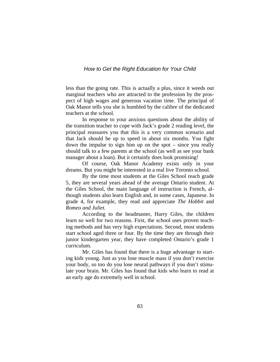less than the going rate. This is actually a plus, since it weeds out marginal teachers who are attracted to the profession by the prospect of high wages and generous vacation time. The principal of Oak Manor tells you she is humbled by the calibre of the dedicated teachers at the school.

 In response to your anxious questions about the ability of the transition teacher to cope with Jack's grade 2 reading level, the principal reassures you that this is a very common scenario and that Jack should be up to speed in about six months. You fight down the impulse to sign him up on the spot – since you really should talk to a few parents at the school (as well as see your bank manager about a loan). But it certainly does look promising!

 Of course, Oak Manor Academy exists only in your dreams. But you might be interested in a real live Toronto school.

 By the time most students at the Giles School reach grade 5, they are several years ahead of the average Ontario student. At the Giles School, the main language of instruction is French, although students also learn English and, in some cases, Japanese. In grade 4, for example, they read and appreciate *The Hobbit* and *Romeo and Juliet.* 

 According to the headmaster, Harry Giles, the children learn so well for two reasons. First, the school uses proven teaching methods and has very high expectations. Second, most students start school aged three or four. By the time they are through their junior kindergarten year, they have completed Ontario's grade 1 curriculum.

 Mr. Giles has found that there is a huge advantage to starting kids young. Just as you lose muscle mass if you don't exercise your body, so too do you lose neural pathways if you don't stimulate your brain. Mr. Giles has found that kids who learn to read at an early age do extremely well in school.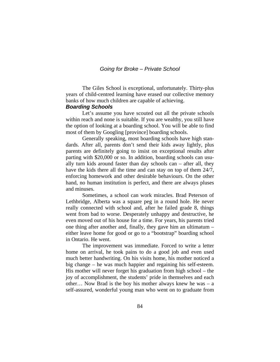#### *Going for Broke – Private School*

 The Giles School is exceptional, unfortunately. Thirty-plus years of child-centred learning have erased our collective memory banks of how much children are capable of achieving.

## *Boarding Schools*

 Let's assume you have scouted out all the private schools within reach and none is suitable. If you are wealthy, you still have the option of looking at a boarding school. You will be able to find most of them by Googling [province] boarding schools.

 Generally speaking, most boarding schools have high standards. After all, parents don't send their kids away lightly, plus parents are definitely going to insist on exceptional results after parting with \$20,000 or so. In addition, boarding schools can usually turn kids around faster than day schools can – after all, they have the kids there all the time and can stay on top of them 24/7, enforcing homework and other desirable behaviours. On the other hand, no human institution is perfect, and there are always pluses and minuses.

 Sometimes, a school can work miracles. Brad Peterson of Lethbridge, Alberta was a square peg in a round hole. He never really connected with school and, after he failed grade 8, things went from bad to worse. Desperately unhappy and destructive, he even moved out of his house for a time. For years, his parents tried one thing after another and, finally, they gave him an ultimatum – either leave home for good or go to a "bootstrap" boarding school in Ontario. He went.

 The improvement was immediate. Forced to write a letter home on arrival, he took pains to do a good job and even used much better handwriting. On his visits home, his mother noticed a big change – he was much happier and regaining his self-esteem. His mother will never forget his graduation from high school – the joy of accomplishment, the students' pride in themselves and each other… Now Brad is the boy his mother always knew he was – a self-assured, wonderful young man who went on to graduate from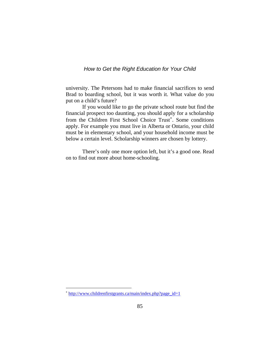university. The Petersons had to make financial sacrifices to send Brad to boarding school, but it was worth it. What value do you put on a child's future?

 If you would like to go the private school route but find the financial prospect too daunting, you should apply for a scholarship from the Children First School Choice Trust<sup>\*</sup>. Some conditions apply. For example you must live in Alberta or Ontario, your child must be in elementary school, and your household income must be below a certain level. Scholarship winners are chosen by lottery.

 There's only one more option left, but it's a good one. Read on to find out more about home-schooling.

 $\overline{a}$ 

<span id="page-89-0"></span><sup>\*</sup> [http://www.childrenfirstgrants.ca/main/index.php?page\\_id=1](http://www.childrenfirstgrants.ca/main/index.php?page_id=1)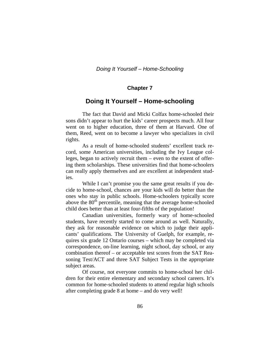#### **Chapter 7**

## **Doing It Yourself – Home-schooling**

 The fact that David and Micki Colfax home-schooled their sons didn't appear to hurt the kids' career prospects much. All four went on to higher education, three of them at Harvard. One of them, Reed, went on to become a lawyer who specializes in civil rights.

 As a result of home-schooled students' excellent track record, some American universities, including the Ivy League colleges, began to actively recruit them – even to the extent of offering them scholarships. These universities find that home-schoolers can really apply themselves and are excellent at independent studies.

While I can't promise you the same great results if you decide to home-school, chances are your kids will do better than the ones who stay in public schools. Home-schoolers typically score above the 80<sup>th</sup> percentile, meaning that the average home-schooled child does better than at least four-fifths of the population!

Canadian universities, formerly wary of home-schooled students, have recently started to come around as well. Naturally, they ask for reasonable evidence on which to judge their applicants' qualifications. The University of Guelph, for example, requires six grade 12 Ontario courses – which may be completed via correspondence, on-line learning, night school, day school, or any combination thereof – or acceptable test scores from the SAT Reasoning Test/ACT and three SAT Subject Tests in the appropriate subject areas.

Of course, not everyone commits to home-school her children for their entire elementary and secondary school careers. It's common for home-schooled students to attend regular high schools after completing grade 8 at home – and do very well!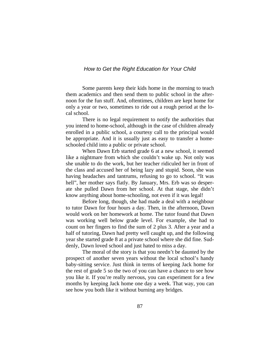Some parents keep their kids home in the morning to teach them academics and then send them to public school in the afternoon for the fun stuff. And, oftentimes, children are kept home for only a year or two, sometimes to ride out a rough period at the local school.

There is no legal requirement to notify the authorities that you intend to home-school, although in the case of children already enrolled in a public school, a courtesy call to the principal would be appropriate. And it is usually just as easy to transfer a homeschooled child into a public or private school.

When Dawn Erb started grade 6 at a new school, it seemed like a nightmare from which she couldn't wake up. Not only was she unable to do the work, but her teacher ridiculed her in front of the class and accused her of being lazy and stupid. Soon, she was having headaches and tantrums, refusing to go to school. "It was hell", her mother says flatly. By January, Mrs. Erb was so desperate she pulled Dawn from her school. At that stage, she didn't know anything about home-schooling, not even if it was legal!

Before long, though, she had made a deal with a neighbour to tutor Dawn for four hours a day. Then, in the afternoon, Dawn would work on her homework at home. The tutor found that Dawn was working well below grade level. For example, she had to count on her fingers to find the sum of 2 plus 3. After a year and a half of tutoring, Dawn had pretty well caught up, and the following year she started grade 8 at a private school where she did fine. Suddenly, Dawn loved school and just hated to miss a day.

The moral of the story is that you needn't be daunted by the prospect of another seven years without the local school's handy baby-sitting service. Just think in terms of keeping Jack home for the rest of grade 5 so the two of you can have a chance to see how you like it. If you're really nervous, you can experiment for a few months by keeping Jack home one day a week. That way, you can see how you both like it without burning any bridges.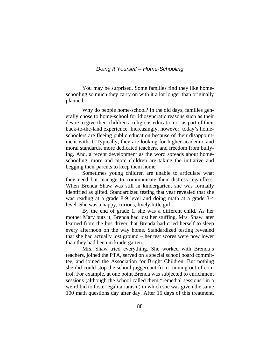#### *Doing It Yourself – Home-Schooling*

You may be surprised. Some families find they like homeschooling so much they carry on with it a lot longer than originally planned.

Why do people home-school? In the old days, families generally chose to home-school for idiosyncratic reasons such as their desire to give their children a religious education or as part of their back-to-the-land experience. Increasingly, however, today's homeschoolers are fleeing public education because of their disappointment with it. Typically, they are looking for higher academic and moral standards, more dedicated teachers, and freedom from bullying. And, a recent development as the word spreads about homeschooling, more and more children are taking the initiative and begging their parents to keep them home.

Sometimes young children are unable to articulate what they need but manage to communicate their distress regardless. When Brenda Shaw was still in kindergarten, she was formally identified as gifted. Standardized testing that year revealed that she was reading at a grade 8-9 level and doing math at a grade 3-4 level. She was a happy, curious, lively little girl.

By the end of grade 1, she was a different child. As her mother Mary puts it, Brenda had lost her stuffing. Mrs. Shaw later learned from the bus driver that Brenda had cried herself to sleep every afternoon on the way home. Standardized testing revealed that she had actually lost ground – her test scores were now lower than they had been in kindergarten.

Mrs. Shaw tried everything. She worked with Brenda's teachers, joined the PTA, served on a special school board committee, and joined the Association for Bright Children. But nothing she did could stop the school juggernaut from running out of control. For example, at one point Brenda was subjected to enrichment sessions (although the school called them "remedial sessions" in a weird bid to foster egalitarianism) in which she was given the same 100 math questions day after day. After 15 days of this treatment,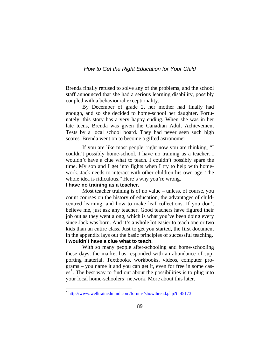Brenda finally refused to solve any of the problems, and the school staff announced that she had a serious learning disability, possibly coupled with a behavioural exceptionality.

By December of grade 2, her mother had finally had enough, and so she decided to home-school her daughter. Fortunately, this story has a very happy ending. When she was in her late teens, Brenda was given the Canadian Adult Achievement Tests by a local school board. They had never seen such high scores. Brenda went on to become a gifted astronomer.

If you are like most people, right now you are thinking, "I couldn't possibly home-school. I have no training as a teacher. I wouldn't have a clue what to teach. I couldn't possibly spare the time. My son and I get into fights when I try to help with homework. Jack needs to interact with other children his own age. The whole idea is ridiculous." Here's why you're wrong.

#### **I have no training as a teacher.**

<span id="page-93-0"></span> $\overline{a}$ 

 Most teacher training is of no value – unless, of course, you count courses on the history of education, the advantages of childcentred learning, and how to make leaf collections. If you don't believe me, just ask any teacher. Good teachers have figured their job out as they went along, which is what you've been doing every since Jack was born. And it's a whole lot easier to teach one or two kids than an entire class. Just to get you started, the first document in the appendix lays out the basic principles of successful teaching. **I wouldn't have a clue what to teach.** 

 With so many people after-schooling and home-schooling these days, the market has responded with an abundance of supporting material. Textbooks, workbooks, videos, computer programs – you name it and you can get it, even for free in some cases[\\*](#page-93-0) . The best way to find out about the possibilities is to plug into your local home-schoolers' network. More about this later.

<http://www.welltrainedmind.com/forums/showthread.php?t=45173>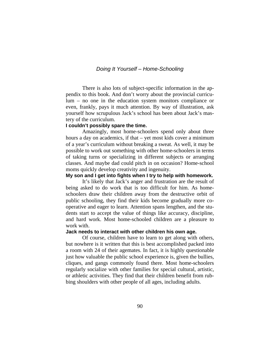## *Doing It Yourself – Home-Schooling*

There is also lots of subject-specific information in the appendix to this book. And don't worry about the provincial curriculum – no one in the education system monitors compliance or even, frankly, pays it much attention. By way of illustration, ask yourself how scrupulous Jack's school has been about Jack's mastery of the curriculum.

#### **I couldn't possibly spare the time.**

 Amazingly, most home-schoolers spend only about three hours a day on academics, if that – yet most kids cover a minimum of a year's curriculum without breaking a sweat. As well, it may be possible to work out something with other home-schoolers in terms of taking turns or specializing in different subjects or arranging classes. And maybe dad could pitch in on occasion? Home-school moms quickly develop creativity and ingenuity.

#### **My son and I get into fights when I try to help with homework.**

 It's likely that Jack's anger and frustration are the result of being asked to do work that is too difficult for him. As homeschoolers draw their children away from the destructive orbit of public schooling, they find their kids become gradually more cooperative and eager to learn. Attention spans lengthen, and the students start to accept the value of things like accuracy, discipline, and hard work. Most home-schooled children are a pleasure to work with.

#### **Jack needs to interact with other children his own age.**

 Of course, children have to learn to get along with others, but nowhere is it written that this is best accomplished packed into a room with 24 of their agemates. In fact, it is highly questionable just how valuable the public school experience is, given the bullies, cliques, and gangs commonly found there. Most home-schoolers regularly socialize with other families for special cultural, artistic, or athletic activities. They find that their children benefit from rubbing shoulders with other people of all ages, including adults.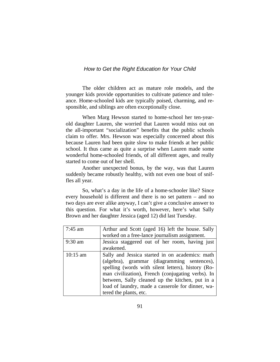The older children act as mature role models, and the younger kids provide opportunities to cultivate patience and tolerance. Home-schooled kids are typically poised, charming, and responsible, and siblings are often exceptionally close.

When Marg Hewson started to home-school her ten-yearold daughter Lauren, she worried that Lauren would miss out on the all-important "socialization" benefits that the public schools claim to offer. Mrs. Hewson was especially concerned about this because Lauren had been quite slow to make friends at her public school. It thus came as quite a surprise when Lauren made some wonderful home-schooled friends, of all different ages, and really started to come out of her shell.

Another unexpected bonus, by the way, was that Lauren suddenly became robustly healthy, with not even one bout of sniffles all year.

 So, what's a day in the life of a home-schooler like? Since every household is different and there is no set pattern – and no two days are ever alike anyway, I can't give a conclusive answer to this question. For what it's worth, however, here's what Sally Brown and her daughter Jessica (aged 12) did last Tuesday.

| $7:45$ am  | Arthur and Scott (aged 16) left the house. Sally                                                                                                                                                                                                                                                                                            |
|------------|---------------------------------------------------------------------------------------------------------------------------------------------------------------------------------------------------------------------------------------------------------------------------------------------------------------------------------------------|
|            | worked on a free-lance journalism assignment.                                                                                                                                                                                                                                                                                               |
| 9:30 am    | Jessica staggered out of her room, having just                                                                                                                                                                                                                                                                                              |
|            | awakened.                                                                                                                                                                                                                                                                                                                                   |
| $10:15$ am | Sally and Jessica started in on academics: math<br>(algebra), grammar (diagramming sentences),<br>spelling (words with silent letters), history (Ro-<br>man civilization), French (conjugating verbs). In<br>between, Sally cleaned up the kitchen, put in a<br>load of laundry, made a casserole for dinner, wa-<br>tered the plants, etc. |
|            |                                                                                                                                                                                                                                                                                                                                             |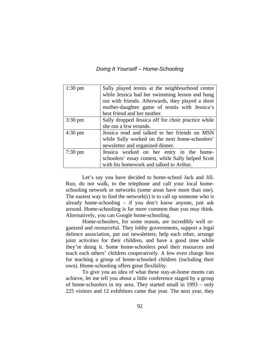*Doing It Yourself – Home-Schooling* 

| $1:30 \text{ pm}$ | Sally played tennis at the neighbourhood centre    |
|-------------------|----------------------------------------------------|
|                   | while Jessica had her swimming lesson and hung     |
|                   | out with friends. Afterwards, they played a short  |
|                   | mother-daughter game of tennis with Jessica's      |
|                   | best friend and her mother.                        |
| $3:30 \text{ pm}$ | Sally dropped Jessica off for choir practice while |
|                   | she ran a few errands.                             |
| $4:30 \text{ pm}$ | Jessica read and talked to her friends on MSN      |
|                   | while Sally worked on the next home-schoolers'     |
|                   | newsletter and organized dinner.                   |
| $7:30 \text{ pm}$ | Jessica worked on her entry in the home-           |
|                   | schoolers' essay contest, while Sally helped Scott |
|                   | with his homework and talked to Arthur.            |

 Let's say you have decided to home-school Jack and Jill. Run, do not walk, to the telephone and call your local homeschooling network or networks (some areas have more than one). The easiest way to find the network $(s)$  is to call up someone who is already home-schooling – if you don't know anyone, just ask around. Home-schooling is far more common than you may think. Alternatively, you can Google home-schooling.

 Home-schoolers, for some reason, are incredibly well organized and resourceful. They lobby governments, support a legal defence association, put out newsletters, help each other, arrange joint activities for their children, and have a good time while they're doing it. Some home-schoolers pool their resources and teach each others' children cooperatively. A few even charge fees for teaching a group of home-schooled children (including their own). Home-schooling offers great flexibility.

 To give you an idea of what these stay-at-home moms can achieve, let me tell you about a little conference staged by a group of home-schoolers in my area. They started small in 1993 – only 225 visitors and 12 exhibitors came that year. The next year, they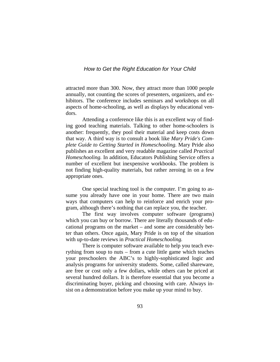attracted more than 300. Now, they attract more than 1000 people annually, not counting the scores of presenters, organizers, and exhibitors. The conference includes seminars and workshops on all aspects of home-schooling, as well as displays by educational vendors.

 Attending a conference like this is an excellent way of finding good teaching materials. Talking to other home-schoolers is another: frequently, they pool their material and keep costs down that way. A third way is to consult a book like *Mary Pride's Complete Guide to Getting Started in Homeschooling.* Mary Pride also publishes an excellent and very readable magazine called *Practical Homeschooling.* In addition, Educators Publishing Service offers a number of excellent but inexpensive workbooks. The problem is not finding high-quality materials, but rather zeroing in on a few appropriate ones.

 One special teaching tool is the computer. I'm going to assume you already have one in your home. There are two main ways that computers can help to reinforce and enrich your program, although there's nothing that can replace you, the teacher.

 The first way involves computer software (programs) which you can buy or borrow. There are literally thousands of educational programs on the market – and some are considerably better than others. Once again, Mary Pride is on top of the situation with up-to-date reviews in *Practical Homeschooling.* 

 There is computer software available to help you teach everything from soup to nuts – from a cute little game which teaches your preschoolers the ABC's to highly-sophisticated logic and analysis programs for university students. Some, called shareware, are free or cost only a few dollars, while others can be priced at several hundred dollars. It is therefore essential that you become a discriminating buyer, picking and choosing with care. Always insist on a demonstration before you make up your mind to buy.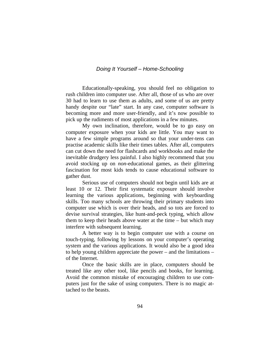## *Doing It Yourself – Home-Schooling*

 Educationally-speaking, you should feel no obligation to rush children into computer use. After all, those of us who are over 30 had to learn to use them as adults, and some of us are pretty handy despite our "late" start. In any case, computer software is becoming more and more user-friendly, and it's now possible to pick up the rudiments of most applications in a few minutes.

 My own inclination, therefore, would be to go easy on computer exposure when your kids are little. You may want to have a few simple programs around so that your under-tens can practise academic skills like their times tables. After all, computers can cut down the need for flashcards and workbooks and make the inevitable drudgery less painful. I also highly recommend that you avoid stocking up on *non-*educational games, as their glittering fascination for most kids tends to cause educational software to gather dust.

 Serious use of computers should not begin until kids are at least 10 or 12. Their first systematic exposure should involve learning the various applications, beginning with keyboarding skills. Too many schools are throwing their primary students into computer use which is over their heads, and so tots are forced to devise survival strategies, like hunt-and-peck typing, which allow them to keep their heads above water at the time – but which may interfere with subsequent learning.

 A better way is to begin computer use with a course on touch-typing, following by lessons on your computer's operating system and the various applications. It would also be a good idea to help young children appreciate the power – and the limitations – of the Internet.

Once the basic skills are in place, computers should be treated like any other tool, like pencils and books, for learning. Avoid the common mistake of encouraging children to use computers just for the sake of using computers. There is no magic attached to the beasts.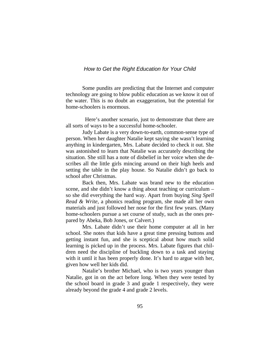Some pundits are predicting that the Internet and computer technology are going to blow public education as we know it out of the water. This is no doubt an exaggeration, but the potential for home-schoolers is enormous.

 Here's another scenario, just to demonstrate that there are all sorts of ways to be a successful home-schooler.

 Judy Labate is a very down-to-earth, common-sense type of person. When her daughter Natalie kept saying she wasn't learning anything in kindergarten, Mrs. Labate decided to check it out. She was astonished to learn that Natalie was accurately describing the situation. She still has a note of disbelief in her voice when she describes all the little girls mincing around on their high heels and setting the table in the play house. So Natalie didn't go back to school after Christmas.

 Back then, Mrs. Labate was brand new to the education scene, and she didn't know a thing about teaching or curriculum – so she did everything the hard way. Apart from buying *Sing Spell Read & Write,* a phonics reading program, she made all her own materials and just followed her nose for the first few years. (Many home-schoolers pursue a set course of study, such as the ones prepared by Abeka, Bob Jones, or Calvert.)

 Mrs. Labate didn't use their home computer at all in her school. She notes that kids have a great time pressing buttons and getting instant fun, and she is sceptical about how much solid learning is picked up in the process. Mrs. Labate figures that children need the discipline of buckling down to a task and staying with it until it has been properly done. It's hard to argue with her, given how well her kids did.

 Natalie's brother Michael, who is two years younger than Natalie, got in on the act before long. When they were tested by the school board in grade 3 and grade 1 respectively, they were already beyond the grade 4 and grade 2 levels.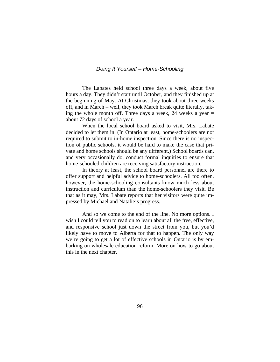#### *Doing It Yourself – Home-Schooling*

The Labates held school three days a week, about five hours a day. They didn't start until October, and they finished up at the beginning of May. At Christmas, they took about three weeks off, and in March – well, they took March break quite literally, taking the whole month off. Three days a week, 24 weeks a year  $=$ about 72 days of school a year.

 When the local school board asked to visit, Mrs. Labate decided to let them in. (In Ontario at least, home-schoolers are not required to submit to in-home inspection. Since there is no inspection of public schools, it would be hard to make the case that private and home schools should be any different.) School boards can, and very occasionally do, conduct formal inquiries to ensure that home-schooled children are receiving satisfactory instruction.

 In theory at least, the school board personnel are there to offer support and helpful advice to home-schoolers. All too often, however, the home-schooling consultants know much less about instruction and curriculum than the home-schoolers they visit. Be that as it may, Mrs. Labate reports that her visitors were quite impressed by Michael and Natalie's progress.

 And so we come to the end of the line. No more options. I wish I could tell you to read on to learn about all the free, effective, and responsive school just down the street from you, but you'd likely have to move to Alberta for that to happen. The only way we're going to get a lot of effective schools in Ontario is by embarking on wholesale education reform. More on how to go about this in the next chapter.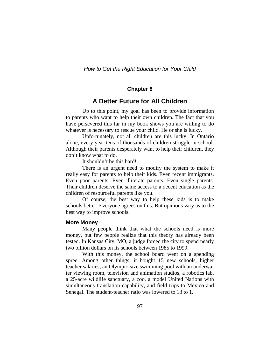#### **Chapter 8**

## **A Better Future for All Children**

 Up to this point, my goal has been to provide information to parents who want to help their own children. The fact that you have persevered this far in my book shows you are willing to do whatever is necessary to rescue your child. He or she is lucky.

 Unfortunately, not all children are this lucky. In Ontario alone, every year tens of thousands of children struggle in school. Although their parents desperately want to help their children, they don't know what to do.

It shouldn't be this hard!

 There is an urgent need to modify the system to make it really easy for parents to help their kids. Even recent immigrants. Even poor parents. Even illiterate parents. Even single parents. Their children deserve the same access to a decent education as the children of resourceful parents like you.

 Of course, the best way to help these kids is to make schools better. Everyone agrees on this. But opinions vary as to the best way to improve schools.

#### **More Money**

Many people think that what the schools need is more money, but few people realize that this theory has already been tested. In Kansas City, MO, a judge forced the city to spend nearly two billion dollars on its schools between 1985 to 1999.

With this money, the school board went on a spending spree. Among other things, it bought 15 new schools, higher teacher salaries, an Olympic-size swimming pool with an underwater viewing room, television and animation studios, a robotics lab, a 25-acre wildlife sanctuary, a zoo, a model United Nations with simultaneous translation capability, and field trips to Mexico and Senegal. The student-teacher ratio was lowered to 13 to 1.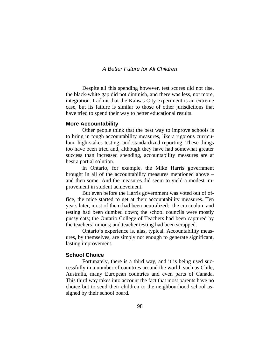## *A Better Future for All Children*

Despite all this spending however, test scores did not rise, the black-white gap did not diminish, and there was less, not more, integration. I admit that the Kansas City experiment is an extreme case, but its failure is similar to those of other jurisdictions that have tried to spend their way to better educational results.

#### **More Accountability**

Other people think that the best way to improve schools is to bring in tough accountability measures, like a rigorous curriculum, high-stakes testing, and standardized reporting. These things too have been tried and, although they have had somewhat greater success than increased spending, accountability measures are at best a partial solution.

In Ontario, for example, the Mike Harris government brought in all of the accountability measures mentioned above – and then some. And the measures did seem to yield a modest improvement in student achievement.

But even before the Harris government was voted out of office, the mice started to get at their accountability measures. Ten years later, most of them had been neutralized: the curriculum and testing had been dumbed down; the school councils were mostly pussy cats; the Ontario College of Teachers had been captured by the teachers' unions; and teacher testing had been scrapped.

Ontario's experience is, alas, typical. Accountability measures, by themselves, are simply not enough to generate significant, lasting improvement.

#### **School Choice**

 Fortunately, there is a third way, and it is being used successfully in a number of countries around the world, such as Chile, Australia, many European countries and even parts of Canada. This third way takes into account the fact that most parents have no choice but to send their children to the neighbourhood school assigned by their school board.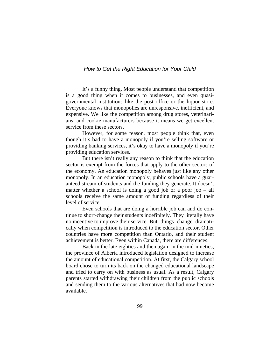It's a funny thing. Most people understand that competition is a good thing when it comes to businesses, and even quasigovernmental institutions like the post office or the liquor store. Everyone knows that monopolies are unresponsive, inefficient, and expensive. We like the competition among drug stores, veterinarians, and cookie manufacturers because it means we get excellent service from these sectors.

 However, for some reason, most people think that, even though it's bad to have a monopoly if you're selling software or providing banking services, it's okay to have a monopoly if you're providing education services.

But there isn't really any reason to think that the education sector is exempt from the forces that apply to the other sectors of the economy. An education monopoly behaves just like any other monopoly. In an education monopoly, public schools have a guaranteed stream of students and the funding they generate. It doesn't matter whether a school is doing a good job or a poor job – all schools receive the same amount of funding regardless of their level of service.

 Even schools that are doing a horrible job can and do continue to short-change their students indefinitely. They literally have no incentive to improve their service. But things change dramatically when competition is introduced to the education sector. Other countries have more competition than Ontario, and their student achievement is better. Even within Canada, there are differences.

 Back in the late eighties and then again in the mid-nineties, the province of Alberta introduced legislation designed to increase the amount of educational competition. At first, the Calgary school board chose to turn its back on the changed educational landscape and tried to carry on with business as usual. As a result, Calgary parents started withdrawing their children from the public schools and sending them to the various alternatives that had now become available.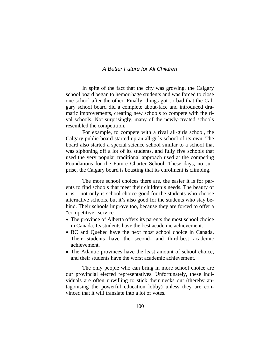## *A Better Future for All Children*

 In spite of the fact that the city was growing, the Calgary school board began to hemorrhage students and was forced to close one school after the other. Finally, things got so bad that the Calgary school board did a complete about-face and introduced dramatic improvements, creating new schools to compete with the rival schools. Not surprisingly, many of the newly-created schools resembled the competition.

 For example, to compete with a rival all-girls school, the Calgary public board started up an all-girls school of its own. The board also started a special science school similar to a school that was siphoning off a lot of its students, and fully five schools that used the very popular traditional approach used at the competing Foundations for the Future Charter School. These days, no surprise, the Calgary board is boasting that its enrolment is climbing.

The more school choices there are, the easier it is for parents to find schools that meet their children's needs. The beauty of it is – not only is school choice good for the students who choose alternative schools, but it's also good for the students who stay behind. Their schools improve too, because they are forced to offer a "competitive" service.

- The province of Alberta offers its parents the most school choice in Canada. Its students have the best academic achievement.
- BC and Quebec have the next most school choice in Canada. Their students have the second- and third-best academic achievement.
- The Atlantic provinces have the least amount of school choice, and their students have the worst academic achievement.

The only people who can bring in more school choice are our provincial elected representatives. Unfortunately, these individuals are often unwilling to stick their necks out (thereby antagonising the powerful education lobby) unless they are convinced that it will translate into a lot of votes.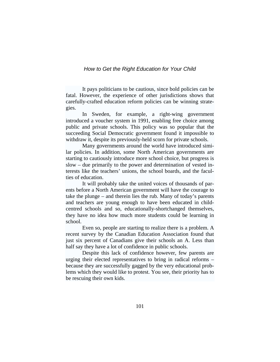It pays politicians to be cautious, since bold policies can be fatal. However, the experience of other jurisdictions shows that carefully-crafted education reform policies can be winning strategies.

In Sweden, for example, a right-wing government introduced a voucher system in 1991, enabling free choice among public and private schools. This policy was so popular that the succeeding Social Democratic government found it impossible to withdraw it, despite its previously-held scorn for private schools.

 Many governments around the world have introduced similar policies. In addition, some North American governments are starting to cautiously introduce more school choice, but progress is slow – due primarily to the power and determination of vested interests like the teachers' unions, the school boards, and the faculties of education.

It will probably take the united voices of thousands of parents before a North American government will have the courage to take the plunge – and therein lies the rub. Many of today's parents and teachers are young enough to have been educated in childcentred schools and so, educationally-shortchanged themselves, they have no idea how much more students could be learning in school.

Even so, people are starting to realize there is a problem. A recent survey by the Canadian Education Association found that just six percent of Canadians give their schools an A. Less than half say they have a lot of confidence in public schools.

Despite this lack of confidence however, few parents are urging their elected representatives to bring in radical reforms – because they are successfully gagged by the very educational problems which they would like to protest. You see, their priority has to be rescuing their own kids.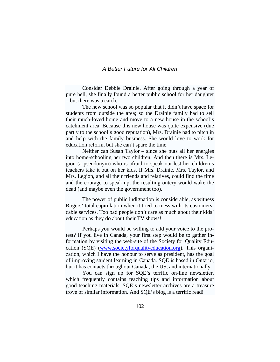#### *A Better Future for All Children*

Consider Debbie Drainie. After going through a year of pure hell, she finally found a better public school for her daughter – but there was a catch.

The new school was so popular that it didn't have space for students from outside the area; so the Drainie family had to sell their much-loved home and move to a new house in the school's catchment area. Because this new house was quite expensive (due partly to the school's good reputation), Mrs. Drainie had to pitch in and help with the family business. She would love to work for education reform, but she can't spare the time.

Neither can Susan Taylor – since she puts all her energies into home-schooling her two children. And then there is Mrs. Legion (a pseudonym) who is afraid to speak out lest her children's teachers take it out on her kids. If Mrs. Drainie, Mrs. Taylor, and Mrs. Legion, and all their friends and relatives, could find the time and the courage to speak up, the resulting outcry would wake the dead (and maybe even the government too).

The power of public indignation is considerable, as witness Rogers' total capitulation when it tried to mess with its customers' cable services. Too bad people don't care as much about their kids' education as they do about their TV shows!

 Perhaps you would be willing to add your voice to the protest? If you live in Canada, your first step would be to gather information by visiting the web-site of the Society for Quality Education (SQE) ([www.societyforqualityeducation.org\)](http://www.societyforqualityeducation.org/). This organization, which I have the honour to serve as president, has the goal of improving student learning in Canada. SQE is based in Ontario, but it has contacts throughout Canada, the US, and internationally.

You can sign up for SQE's terrific on-line newsletter, which frequently contains teaching tips and information about good teaching materials. SQE's newsletter archives are a treasure trove of similar information. And SQE's blog is a terrific read!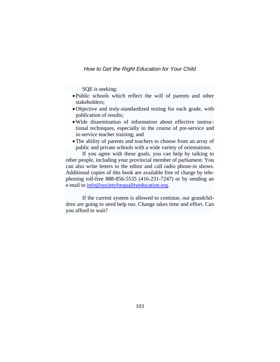SQE is seeking:

- Public schools which reflect the will of parents and other stakeholders;
- •Objective and truly-standardized testing for each grade, with publication of results;
- •Wide dissemination of information about effective instructional techniques, especially in the course of pre-service and in-service teacher training; and
- The ability of parents and teachers to choose from an array of public and private schools with a wide variety of orientations.

 If you agree with these goals, you can help by talking to other people, including your provincial member of parliament. You can also write letters to the editor and call radio phone-in shows. Additional copies of this book are available free of charge by telephoning toll-free 888-856-5535 (416-231-7247) or by sending an e-mail to  $\frac{info@{\text{societyforqualityeduction.org}}}{info@{\text{tlambda.org}}}$ .

 If the current system is allowed to continue, our grandchildren are going to need help too. Change takes time and effort. Can you afford to wait?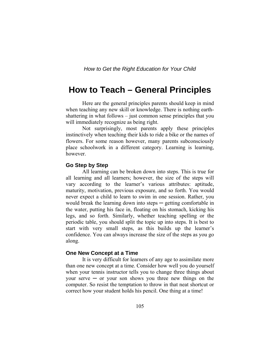## **How to Teach – General Principles**

 Here are the general principles parents should keep in mind when teaching any new skill or knowledge. There is nothing earthshattering in what follows – just common sense principles that you will immediately recognize as being right.

Not surprisingly, most parents apply these principles instinctively when teaching their kids to ride a bike or the names of flowers. For some reason however, many parents subconsciously place schoolwork in a different category. Learning is learning, however.

#### **Go Step by Step**

 All learning can be broken down into steps. This is true for all learning and all learners; however, the size of the steps will vary according to the learner's various attributes: aptitude, maturity, motivation, previous exposure, and so forth. You would never expect a child to learn to swim in one session. Rather, you would break the learning down into steps  $-$  getting comfortable in the water, putting his face in, floating on his stomach, kicking his legs, and so forth. Similarly, whether teaching spelling or the periodic table, you should split the topic up into steps. It is best to start with very small steps, as this builds up the learner's confidence. You can always increase the size of the steps as you go along.

#### **One New Concept at a Time**

 It is very difficult for learners of any age to assimilate more than one new concept at a time. Consider how well you do yourself when your tennis instructor tells you to change three things about your serve  $-$  or your son shows you three new things on the computer. So resist the temptation to throw in that neat shortcut or correct how your student holds his pencil. One thing at a time!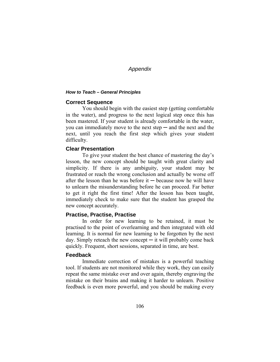#### *How to Teach – General Principles*

## **Correct Sequence**

 You should begin with the easiest step (getting comfortable in the water), and progress to the next logical step once this has been mastered. If your student is already comfortable in the water, you can immediately move to the next step  $-$  and the next and the next, until you reach the first step which gives your student difficulty.

## **Clear Presentation**

 To give your student the best chance of mastering the day's lesson, the new concept should be taught with great clarity and simplicity. If there is any ambiguity, your student may be frustrated or reach the wrong conclusion and actually be worse off after the lesson than he was before it  $-$  because now he will have to unlearn the misunderstanding before he can proceed. Far better to get it right the first time! After the lesson has been taught, immediately check to make sure that the student has grasped the new concept accurately.

## **Practise, Practise, Practise**

 In order for new learning to be retained, it must be practised to the point of overlearning and then integrated with old learning. It is normal for new learning to be forgotten by the next day. Simply reteach the new concept  $-$  it will probably come back quickly. Frequent, short sessions, separated in time, are best.

## **Feedback**

 Immediate correction of mistakes is a powerful teaching tool. If students are not monitored while they work, they can easily repeat the same mistake over and over again, thereby engraving the mistake on their brains and making it harder to unlearn. Positive feedback is even more powerful, and you should be making every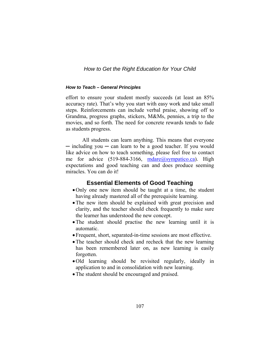#### *How to Teach – General Principles*

effort to ensure your student mostly succeeds (at least an 85% accuracy rate). That's why you start with easy work and take small steps. Reinforcements can include verbal praise, showing off to Grandma, progress graphs, stickers, M&Ms, pennies, a trip to the movies, and so forth. The need for concrete rewards tends to fade as students progress.

All students can learn anything. This means that everyone ─ including you ─ can learn to be a good teacher. If you would like advice on how to teach something, please feel free to contact me for advice (519-884-3166, [mdare@sympatico.ca](mailto:mdare@sympatico.ca)). High expectations and good teaching can and does produce seeming miracles. You can do it!

## **Essential Elements of Good Teaching**

- •Only one new item should be taught at a time, the student having already mastered all of the prerequisite learning.
- The new item should be explained with great precision and clarity, and the teacher should check frequently to make sure the learner has understood the new concept.
- •The student should practise the new learning until it is automatic.
- Frequent, short, separated-in-time sessions are most effective.
- The teacher should check and recheck that the new learning has been remembered later on, as new learning is easily forgotten.
- •Old learning should be revisited regularly, ideally in application to and in consolidation with new learning.
- •The student should be encouraged and praised.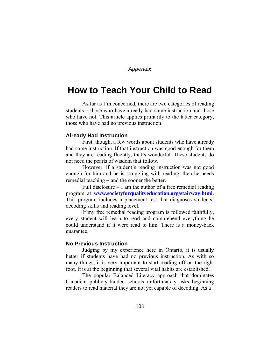# **How to Teach Your Child to Read**

As far as I'm concerned, there are two categories of reading students – those who have already had some instruction and those who have not. This article applies primarily to the latter category, those who have had no previous instruction.

#### **Already Had Instruction**

 First, though, a few words about students who have already had some instruction. If that instruction was good enough for them and they are reading fluently, that's wonderful. These students do not need the pearls of wisdom that follow.

 However, if a student's reading instruction was not good enough for him and he is struggling with reading, then he needs remedial teaching − and the sooner the better.

 Full disclosure − I am the author of a free remedial reading program at **[www.societyforqualityeducation.org/stairway.html](http://www.societyforqualityeducation.org/stairway.html)***.*  This program includes a placement test that diagnoses students' decoding skills and reading level.

 If my free remedial reading program is followed faithfully, every student will learn to read and comprehend everything he could understand if it were read to him. There is a money-back guarantee.

#### **No Previous Instruction**

 Judging by my experience here in Ontario, it is usually better if students have had no previous instruction. As with so many things, it is very important to start reading off on the right foot. It is at the beginning that several vital habits are established.

 The popular Balanced Literacy approach that dominates Canadian publicly-funded schools unfortunately asks beginning readers to read material they are not yet capable of decoding. As a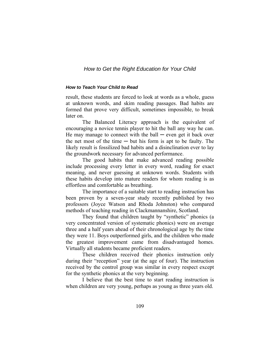#### *How to Teach Your Child to Read*

result, these students are forced to look at words as a whole, guess at unknown words, and skim reading passages. Bad habits are formed that prove very difficult, sometimes impossible, to break later on.

The Balanced Literacy approach is the equivalent of encouraging a novice tennis player to hit the ball any way he can. He may manage to connect with the ball  $-$  even get it back over the net most of the time  $-$  but his form is apt to be faulty. The likely result is fossilized bad habits and a disinclination ever to lay the groundwork necessary for advanced performance.

 The good habits that make advanced reading possible include processing every letter in every word, reading for exact meaning, and never guessing at unknown words. Students with these habits develop into mature readers for whom reading is as effortless and comfortable as breathing.

 The importance of a suitable start to reading instruction has been proven by a seven-year study recently published by two professors (Joyce Watson and Rhoda Johnston) who compared methods of teaching reading in Clackmannanshire, Scotland.

 They found that children taught by "synthetic" phonics (a very concentrated version of systematic phonics) were on average three and a half years ahead of their chronological age by the time they were 11. Boys outperformed girls, and the children who made the greatest improvement came from disadvantaged homes. Virtually all students became proficient readers.

 These children received their phonics instruction only during their "reception" year (at the age of four). The instruction received by the control group was similar in every respect except for the synthetic phonics at the very beginning.

 I believe that the best time to start reading instruction is when children are very young, perhaps as young as three years old.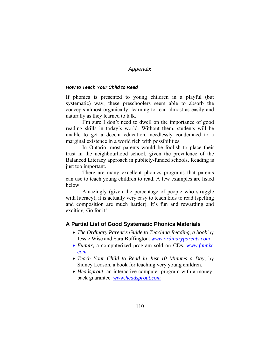#### *How to Teach Your Child to Read*

If phonics is presented to young children in a playful (but systematic) way, these preschoolers seem able to absorb the concepts almost organically, learning to read almost as easily and naturally as they learned to talk.

I'm sure I don't need to dwell on the importance of good reading skills in today's world. Without them, students will be unable to get a decent education, needlessly condemned to a marginal existence in a world rich with possibilities.

 In Ontario, most parents would be foolish to place their trust in the neighbourhood school, given the prevalence of the Balanced Literacy approach in publicly-funded schools. Reading is just too important.

 There are many excellent phonics programs that parents can use to teach young children to read. A few examples are listed below.

 Amazingly (given the percentage of people who struggle with literacy), it is actually very easy to teach kids to read (spelling and composition are much harder). It's fun and rewarding and exciting. Go for it!

#### **A Partial List of Good Systematic Phonics Materials**

- *The Ordinary Parent's Guide to Teaching Reading, a book* by Jessie Wise and Sara Buffington. *www.ordinaryparents.com*
- *Funnix,* a computerized program sold on CDs. *www.funnix. com*
- *Teach Your Child to Read in Just 10 Minutes a Day*, by Sidney Ledson, a book for teaching very young children.
- *Headsprout*, an interactive computer program with a moneyback guarantee. *[www.headsprout.com](http://www.headsprout.com/)*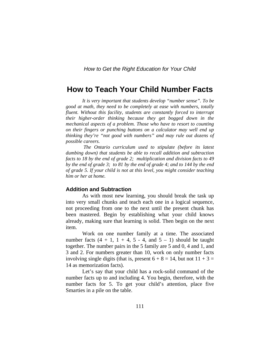## **How to Teach Your Child Number Facts**

*It is very important that students develop "number sense". To be good at math, they need to be completely at ease with numbers, totally fluent. Without this facility, students are constantly forced to interrupt their higher-order thinking because they get bogged down in the mechanical aspects of a problem. Those who have to resort to counting on their fingers or punching buttons on a calculator may well end up thinking they're "not good with numbers" and may rule out dozens of possible careers.* 

 *The Ontario curriculum used to stipulate (before its latest dumbing down) that students be able to recall addition and subtraction facts to 18 by the end of grade 2; multiplication and division facts to 49 by the end of grade 3; to 81 by the end of grade 4; and to 144 by the end of grade 5. If your child is not at this level, you might consider teaching him or her at home.*

#### **Addition and Subtraction**

 As with most new learning, you should break the task up into very small chunks and teach each one in a logical sequence, not proceeding from one to the next until the present chunk has been mastered. Begin by establishing what your child knows already, making sure that learning is solid. Then begin on the next item.

 Work on one number family at a time. The associated number facts  $(4 + 1, 1 + 4, 5 - 4,$  and  $5 - 1)$  should be taught together. The number pairs in the 5 family are 5 and 0, 4 and 1, and 3 and 2. For numbers greater than 10, work on only number facts involving single digits (that is, present  $6 + 8 = 14$ , but not  $11 + 3 =$ 14 as memorization facts).

 Let's say that your child has a rock-solid command of the number facts up to and including 4. You begin, therefore, with the number facts for 5. To get your child's attention, place five Smarties in a pile on the table.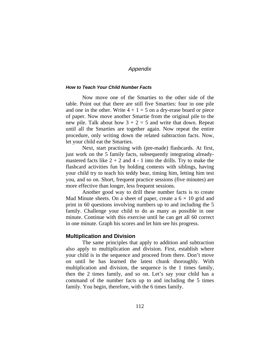#### *How to Teach Your Child Number Facts*

Now move one of the Smarties to the other side of the table. Point out that there are still five Smarties: four in one pile and one in the other. Write  $4 + 1 = 5$  on a dry-erase board or piece of paper. Now move another Smartie from the original pile to the new pile. Talk about how  $3 + 2 = 5$  and write that down. Repeat until all the Smarties are together again. Now repeat the entire procedure, only writing down the related subtraction facts. Now, let your child eat the Smarties.

 Next, start practising with (pre-made) flashcards. At first, just work on the 5 family facts, subsequently integrating alreadymastered facts like  $2 + 2$  and  $4 - 1$  into the drills. Try to make the flashcard activities fun by holding contests with siblings, having your child try to teach his teddy bear, timing him, letting him test you, and so on. Short, frequent practice sessions (five minutes) are more effective than longer, less frequent sessions.

 Another good way to drill these number facts is to create Mad Minute sheets. On a sheet of paper, create a  $6 \times 10$  grid and print in 60 questions involving numbers up to and including the 5 family. Challenge your child to do as many as possible in one minute. Continue with this exercise until he can get all 60 correct in one minute. Graph his scores and let him see his progress.

## **Multiplication and Division**

 The same principles that apply to addition and subtraction also apply to multiplication and division. First, establish where your child is in the sequence and proceed from there. Don't move on until he has learned the latest chunk thoroughly. With multiplication and division, the sequence is the 1 times family, then the 2 times family, and so on. Let's say your child has a command of the number facts up to and including the 5 times family. You begin, therefore, with the 6 times family.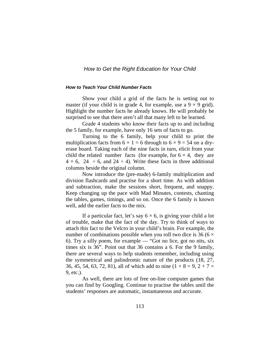#### *How to Teach Your Child Number Facts*

Show your child a grid of the facts he is setting out to master (if your child is in grade 4, for example, use a  $9 \times 9$  grid). Highlight the number facts he already knows. He will probably be surprised to see that there aren't all that many left to be learned.

Grade 4 students who know their facts up to and including the 5 family, for example, have only 16 sets of facts to go.

 Turning to the 6 family, help your child to print the multiplication facts from  $6 \times 1 = 6$  through to  $6 \times 9 = 54$  on a dryerase board. Taking each of the nine facts in turn, elicit from your child the related number facts (for example, for  $6 \times 4$ , they are  $4 \times 6$ ,  $24 \div 6$ , and  $24 \div 4$ ). Write these facts in three additional columns beside the original column.

 Now introduce the (pre-made) 6-family multiplication and division flashcards and practise for a short time. As with addition and subtraction, make the sessions short, frequent, and snappy. Keep changing up the pace with Mad Minutes, contests, chanting the tables, games, timings, and so on. Once the 6 family is known well, add the earlier facts to the mix.

If a particular fact, let's say  $6 \times 6$ , is giving your child a lot of trouble, make that the fact of the day. Try to think of ways to attach this fact to the Velcro in your child's brain. For example, the number of combinations possible when you roll two dice is 36 ( $6 \times$ 6). Try a silly poem, for example — "Got no lice, got no nits, six times six is 36". Point out that 36 contains a 6. For the 9 family, there are several ways to help students remember, including using the symmetrical and palindromic nature of the products (18, 27, 36, 45, 54, 63, 72, 81), all of which add to nine  $(1 + 8 = 9, 2 + 7 = 1)$ 9, etc.).

As well, there are lots of free on-line computer games that you can find by Googling. Continue to practise the tables until the students' responses are automatic, instantaneous and accurate.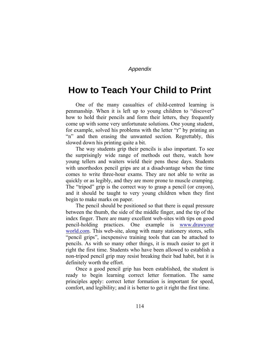# **How to Teach Your Child to Print**

One of the many casualties of child-centred learning is penmanship. When it is left up to young children to "discover" how to hold their pencils and form their letters, they frequently come up with some very unfortunate solutions. One young student, for example, solved his problems with the letter "r" by printing an "n" and then erasing the unwanted section. Regrettably, this slowed down his printing quite a bit.

The way students grip their pencils is also important. To see the surprisingly wide range of methods out there, watch how young tellers and waiters wield their pens these days. Students with unorthodox pencil grips are at a disadvantage when the time comes to write three-hour exams. They are not able to write as quickly or as legibly, and they are more prone to muscle cramping. The "tripod" grip is the correct way to grasp a pencil (or crayon), and it should be taught to very young children when they first begin to make marks on paper.

The pencil should be positioned so that there is equal pressure between the thumb, the side of the middle finger, and the tip of the index finger. There are many excellent web-sites with tips on good pencil-holding practices. One example is www.drawyour world.com. This web-site, along with many stationery stores, sells "pencil grips", inexpensive training tools that can be attached to pencils. As with so many other things, it is much easier to get it right the first time. Students who have been allowed to establish a non-tripod pencil grip may resist breaking their bad habit, but it is definitely worth the effort.

Once a good pencil grip has been established, the student is ready to begin learning correct letter formation. The same principles apply: correct letter formation is important for speed, comfort, and legibility; and it is better to get it right the first time.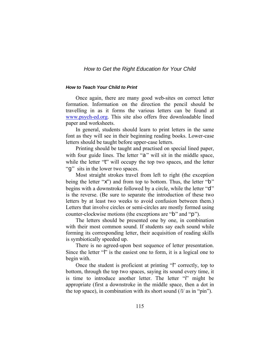#### *How to Teach Your Child to Print*

Once again, there are many good web-sites on correct letter formation. Information on the direction the pencil should be travelling in as it forms the various letters can be found at [www.psych-ed.org](http://www.psych-ed.org/). This site also offers free downloadable lined paper and worksheets.

In general, students should learn to print letters in the same font as they will see in their beginning reading books. Lower-case letters should be taught before upper-case letters.

Printing should be taught and practised on special lined paper, with four guide lines. The letter "a" will sit in the middle space, while the letter "t" will occupy the top two spaces, and the letter "q" sits in the lower two spaces.

Most straight strokes travel from left to right (the exception being the letter "x") and from top to bottom. Thus, the letter "b" begins with a downstroke followed by a circle, while the letter "d" is the reverse. (Be sure to separate the introduction of these two letters by at least two weeks to avoid confusion between them.) Letters that involve circles or semi-circles are mostly formed using counter-clockwise motions (the exceptions are "b" and "p").

The letters should be presented one by one, in combination with their most common sound. If students say each sound while forming its corresponding letter, their acquisition of reading skills is symbiotically speeded up.

There is no agreed-upon best sequence of letter presentation. Since the letter "l" is the easiest one to form, it is a logical one to begin with.

Once the student is proficient at printing "l" correctly, top to bottom, through the top two spaces, saying its sound every time, it is time to introduce another letter. The letter "i" might be appropriate (first a downstroke in the middle space, then a dot in the top space), in combination with its short sound  $(i/\alpha s)$  in "pin").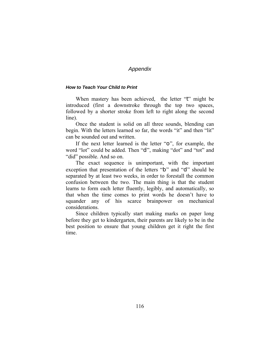#### *How to Teach Your Child to Print*

When mastery has been achieved, the letter "t" might be introduced (first a downstroke through the top two spaces, followed by a shorter stroke from left to right along the second line).

Once the student is solid on all three sounds, blending can begin. With the letters learned so far, the words "it" and then "lit" can be sounded out and written.

If the next letter learned is the letter "o", for example, the word "lot" could be added. Then "d", making "dot" and "tot" and "did" possible. And so on.

The exact sequence is unimportant, with the important exception that presentation of the letters "b" and "d" should be separated by at least two weeks, in order to forestall the common confusion between the two. The main thing is that the student learns to form each letter fluently, legibly, and automatically, so that when the time comes to print words he doesn't have to squander any of his scarce brainpower on mechanical considerations.

Since children typically start making marks on paper long before they get to kindergarten, their parents are likely to be in the best position to ensure that young children get it right the first time.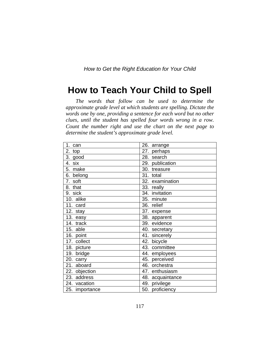# **How to Teach Your Child to Spell**

*The words that follow can be used to determine the approximate grade level at which students are spelling. Dictate the words one by one, providing a sentence for each word but no other clues, until the student has spelled four words wrong in a row. Count the number right and use the chart on the next page to determine the student's approximate grade level.* 

| 1. can         | 26. arrange      |
|----------------|------------------|
| 2.<br>top      | 27. perhaps      |
| 3. good        | 28. search       |
| six<br>4.      | 29. publication  |
| 5. make        | 30. treasure     |
| 6. belong      | 31. total        |
| 7. soft        | 32. examination  |
| 8. that        | 33. really       |
| 9. sick        | 34. invitation   |
| 10. alike      | 35. minute       |
| 11. card       | 36. relief       |
| 12. stay       | 37. expense      |
| 13. easy       | 38. apparent     |
| 14. track      | 39. evidence     |
| 15. able       | 40. secretary    |
| 16. point      | 41. sincerely    |
| 17. collect    | 42. bicycle      |
| 18. picture    | 43. committee    |
| 19. bridge     | 44. employees    |
| 20. carry      | 45. perceived    |
| 21. aboard     | 46. orchestra    |
| 22. objection  | 47. enthusiasm   |
| 23. address    | 48. acquaintance |
| 24. vacation   | 49. privilege    |
| 25. importance | 50. proficiency  |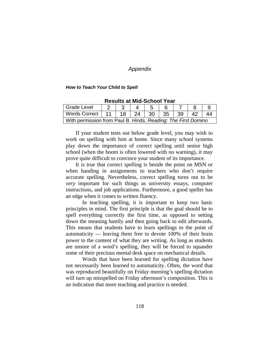#### *How to Teach Your Child to Spell*

| nosano al ma venvol Toal                                      |  |  |  |                   |  |  |    |  |  |  |
|---------------------------------------------------------------|--|--|--|-------------------|--|--|----|--|--|--|
| Grade Level                                                   |  |  |  |                   |  |  |    |  |  |  |
| Words Correct   11   18                                       |  |  |  | 24   30   35   39 |  |  | 42 |  |  |  |
| With permission from Paul B. Hinds, Reading: The First Domino |  |  |  |                   |  |  |    |  |  |  |

**Results at Mid-School Year** 

If your student tests out below grade level, you may wish to work on spelling with him at home. Since many school systems play down the importance of correct spelling until senior high school (when the boom is often lowered with no warning), it may prove quite difficult to convince your student of its importance.

It is true that correct spelling is beside the point on MSN or when handing in assignments to teachers who don't require accurate spelling. Nevertheless, correct spelling turns out to be *very* important for such things as university essays, computer instructions, and job applications. Furthermore, a good speller has an edge when it comes to written fluency.

 In teaching spelling, it is important to keep two basic principles in mind. The first principle is that the goal should be to spell everything correctly the first time, as opposed to setting down the meaning hastily and then going back to edit afterwards. This means that students have to learn spellings to the point of automaticity — leaving them free to devote 100% of their brain power to the content of what they are writing. As long as students are unsure of a word's spelling, they will be forced to squander some of their precious mental desk space on mechanical details.

 Words that have been learned for spelling dictation have not necessarily been learned to automaticity. Often, the word that was reproduced beautifully on Friday morning's spelling dictation will turn up misspelled on Friday afternoon's composition. This is an indication that more teaching and practice is needed.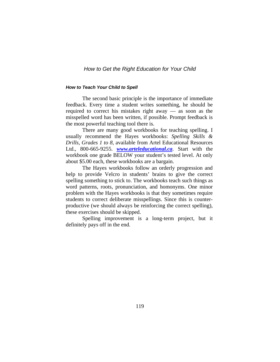#### *How to Teach Your Child to Spell*

The second basic principle is the importance of immediate feedback. Every time a student writes something, he should be required to correct his mistakes right away — as soon as the misspelled word has been written, if possible. Prompt feedback is the most powerful teaching tool there is.

 There are many good workbooks for teaching spelling. I usually recommend the Hayes workbooks: *Spelling Skills & Drills, Grades 1 to 8,* available from Artel Educational Resources Ltd., 800-665-9255. *[www.arteleducational.ca](http://www.arteleducational.ca/)*. Start with the workbook one grade BELOW your student's tested level. At only about \$5.00 each, these workbooks are a bargain.

 The Hayes workbooks follow an orderly progression and help to provide Velcro in students' brains to give the correct spelling something to stick to. The workbooks teach such things as word patterns, roots, pronunciation, and homonyms. One minor problem with the Hayes workbooks is that they sometimes require students to correct deliberate misspellings. Since this is counterproductive (we should always be reinforcing the correct spelling), these exercises should be skipped.

Spelling improvement is a long-term project, but it definitely pays off in the end.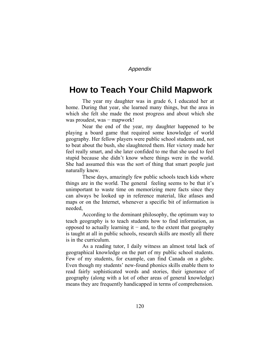## **How to Teach Your Child Mapwork**

The year my daughter was in grade 6, I educated her at home. During that year, she learned many things, but the area in which she felt she made the most progress and about which she was proudest, was – mapwork!

 Near the end of the year, my daughter happened to be playing a board game that required some knowledge of world geography. Her fellow players were public school students and, not to beat about the bush, she slaughtered them. Her victory made her feel really smart, and she later confided to me that she used to feel stupid because she didn't know where things were in the world. She had assumed this was the sort of thing that smart people just naturally knew.

 These days, amazingly few public schools teach kids where things are in the world. The general feeling seems to be that it's unimportant to waste time on memorizing mere facts since they can always be looked up in reference material, like atlases and maps or on the Internet, whenever a specific bit of information is needed,

 According to the dominant philosophy, the optimum way to teach geography is to teach students how to find information, as opposed to actually learning it  $−$  and, to the extent that geography is taught at all in public schools, research skills are mostly all there is in the curriculum.

 As a reading tutor, I daily witness an almost total lack of geographical knowledge on the part of my public school students. Few of my students, for example, can find Canada on a globe. Even though my students' new-found phonics skills enable them to read fairly sophisticated words and stories, their ignorance of geography (along with a lot of other areas of general knowledge) means they are frequently handicapped in terms of comprehension.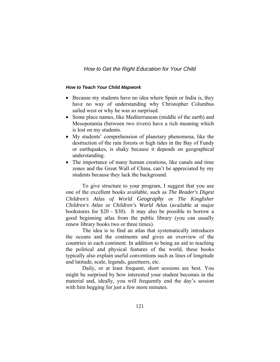#### *How to Teach Your Child Mapwork*

- Because my students have no idea where Spain or India is, they have no way of understanding why Christopher Columbus sailed west or why he was so surprised.
- Some place names, like Mediterranean (middle of the earth) and Mesopotamia (between two rivers) have a rich meaning which is lost on my students.
- My students' comprehension of planetary phenomena, like the destruction of the rain forests or high tides in the Bay of Fundy or earthquakes, is shaky because it depends on geographical understanding.
- The importance of many human creations, like canals and time zones and the Great Wall of China, can't be appreciated by my students because they lack the background.

To give structure to your program, I suggest that you use one of the excellent books available, such as *The Reader's Digest Children's Atlas of World Geography* or *The Kingfisher Children's Atlas* or *Children's World Atlas* (available at major bookstores for \$20 - \$30). It may also be possible to borrow a good beginning atlas from the public library (you can usually renew library books two or three times).

 The idea is to find an atlas that systematically introduces the oceans and the continents and gives an overview of the countries in each continent. In addition to being an aid to teaching the political and physical features of the world, these books typically also explain useful conventions such as lines of longitude and latitude, scale, legends, gazetteers, etc.

 Daily, or at least frequent, short sessions are best. You might be surprised by how interested your student becomes in the material and, ideally, you will frequently end the day's session with him begging for just a few more minutes.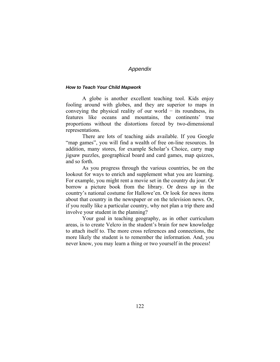#### *How to Teach Your Child Mapwork*

A globe is another excellent teaching tool. Kids enjoy fooling around with globes, and they are superior to maps in conveying the physical reality of our world  $-$  its roundness, its features like oceans and mountains, the continents' true proportions without the distortions forced by two-dimensional representations.

There are lots of teaching aids available. If you Google "map games", you will find a wealth of free on-line resources. In addition, many stores, for example Scholar's Choice, carry map jigsaw puzzles, geographical board and card games, map quizzes, and so forth.

As you progress through the various countries, be on the lookout for ways to enrich and supplement what you are learning. For example, you might rent a movie set in the country du jour. Or borrow a picture book from the library. Or dress up in the country's national costume for Hallowe'en. Or look for news items about that country in the newspaper or on the television news. Or, if you really like a particular country, why not plan a trip there and involve your student in the planning?

Your goal in teaching geography, as in other curriculum areas, is to create Velcro in the student's brain for new knowledge to attach itself to. The more cross references and connections, the more likely the student is to remember the information. And, you never know, you may learn a thing or two yourself in the process!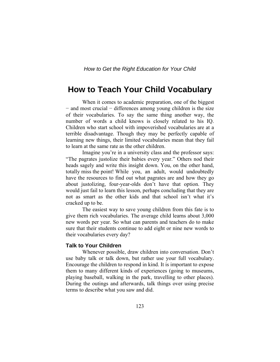## **How to Teach Your Child Vocabulary**

When it comes to academic preparation, one of the biggest − and most crucial − differences among young children is the size of their vocabularies. To say the same thing another way, the number of words a child knows is closely related to his IQ. Children who start school with impoverished vocabularies are at a terrible disadvantage. Though they may be perfectly capable of learning new things, their limited vocabularies mean that they fail to learn at the same rate as the other children.

 Imagine you're in a university class and the professor says: "The pagrates justolize their babies every year." Others nod their heads sagely and write this insight down. You, on the other hand, totally miss the point! While you, an adult, would undoubtedly have the resources to find out what pagrates are and how they go about justolizing, four-year-olds don't have that option. They would just fail to learn this lesson, perhaps concluding that they are not as smart as the other kids and that school isn't what it's cracked up to be.

 The easiest way to save young children from this fate is to give them rich vocabularies. The average child learns about 3,000 new words per year. So what can parents and teachers do to make sure that their students continue to add eight or nine new words to their vocabularies every day?

#### **Talk to Your Children**

 Whenever possible, draw children into conversation. Don't use baby talk or talk down, but rather use your full vocabulary. Encourage the children to respond in kind. It is important to expose them to many different kinds of experiences (going to museums, playing baseball, walking in the park, travelling to other places). During the outings and afterwards, talk things over using precise terms to describe what you saw and did.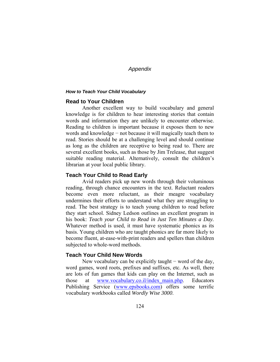#### *How to Teach Your Child Vocabulary*

## **Read to Your Children**

 Another excellent way to build vocabulary and general knowledge is for children to hear interesting stories that contain words and information they are unlikely to encounter otherwise. Reading to children is important because it exposes them to new words and knowledge − not because it will magically teach them to read. Stories should be at a challenging level and should continue as long as the children are receptive to being read to. There are several excellent books, such as those by Jim Trelease, that suggest suitable reading material. Alternatively, consult the children's librarian at your local public library.

## **Teach Your Child to Read Early**

 Avid readers pick up new words through their voluminous reading, through chance encounters in the text. Reluctant readers become even more reluctant, as their meagre vocabulary undermines their efforts to understand what they are struggling to read. The best strategy is to teach young children to read before they start school. Sidney Ledson outlines an excellent program in his book: *Teach your Child to Read in Just Ten Minutes a Day.*  Whatever method is used, it must have systematic phonics as its basis. Young children who are taught phonics are far more likely to become fluent, at-ease-with-print readers and spellers than children subjected to whole-word methods.

#### **Teach Your Child New Words**

New vocabulary can be explicitly taught – word of the day, word games, word roots, prefixes and suffixes, etc. As well, there are lots of fun games that kids can play on the Internet, such as those at [www.vocabulary.co.il/index\\_main.php.](http://www.vocabulary.co.il/index_main.php) Educators Publishing Service ([www.epsbooks.com\)](http://www.epsbooks.com/) offers some terrific vocabulary workbooks called *Wordly Wise 3000*.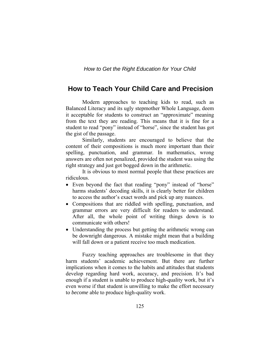## **How to Teach Your Child Care and Precision**

Modern approaches to teaching kids to read, such as Balanced Literacy and its ugly stepmother Whole Language, deem it acceptable for students to construct an "approximate" meaning from the text they are reading. This means that it is fine for a student to read "pony" instead of "horse", since the student has got the gist of the passage.

 Similarly, students are encouraged to believe that the content of their compositions is much more important than their spelling, punctuation, and grammar. In mathematics, wrong answers are often not penalized, provided the student was using the right strategy and just got bogged down in the arithmetic.

 It is obvious to most normal people that these practices are ridiculous.

- Even beyond the fact that reading "pony" instead of "horse" harms students' decoding skills, it is clearly better for children to access the author's exact words and pick up any nuances.
- Compositions that are riddled with spelling, punctuation, and grammar errors are very difficult for readers to understand. After all, the whole point of writing things down is to communicate with others!
- Understanding the process but getting the arithmetic wrong can be downright dangerous. A mistake might mean that a building will fall down or a patient receive too much medication.

Fuzzy teaching approaches are troublesome in that they harm students' academic achievement. But there are further implications when it comes to the habits and attitudes that students develop regarding hard work, accuracy, and precision. It's bad enough if a student is unable to produce high-quality work, but it's even worse if that student is unwilling to make the effort necessary to *become* able to produce high-quality work.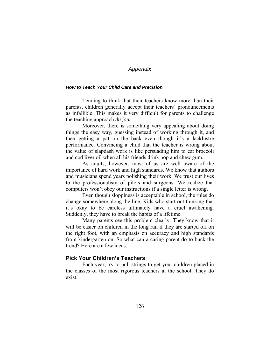#### *How to Teach Your Child Care and Precision*

Tending to think that their teachers know more than their parents, children generally accept their teachers' pronouncements as infallible. This makes it very difficult for parents to challenge the teaching approach *du jour.* 

 Moreover, there is something very appealing about doing things the easy way, guessing instead of working through it, and then getting a pat on the back even though it's a lacklustre performance. Convincing a child that the teacher is wrong about the value of slapdash work is like persuading him to eat broccoli and cod liver oil when all his friends drink pop and chew gum.

As adults, however, most of us are well aware of the importance of hard work and high standards. We know that authors and musicians spend years polishing their work. We trust our lives to the professionalism of pilots and surgeons. We realize that computers won't obey our instructions if a single letter is wrong.

 Even though sloppiness is acceptable in school, the rules do change somewhere along the line. Kids who start out thinking that it's okay to be careless ultimately have a cruel awakening. Suddenly, they have to break the habits of a lifetime.

Many parents see this problem clearly. They know that it will be easier on children in the long run if they are started off on the right foot, with an emphasis on accuracy and high standards from kindergarten on. So what can a caring parent do to buck the trend? Here are a few ideas.

#### **Pick Your Children's Teachers**

 Each year, try to pull strings to get your children placed in the classes of the most rigorous teachers at the school. They do exist.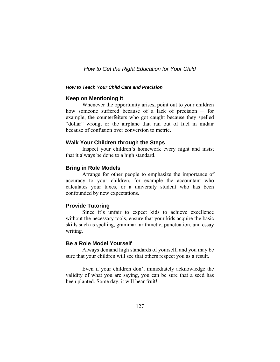#### *How to Teach Your Child Care and Precision*

#### **Keep on Mentioning It**

 Whenever the opportunity arises, point out to your children how someone suffered because of a lack of precision  $-$  for example, the counterfeiters who got caught because they spelled "dollar" wrong, or the airplane that ran out of fuel in midair because of confusion over conversion to metric.

#### **Walk Your Children through the Steps**

 Inspect your children's homework every night and insist that it always be done to a high standard.

#### **Bring in Role Models**

 Arrange for other people to emphasize the importance of accuracy to your children, for example the accountant who calculates your taxes, or a university student who has been confounded by new expectations.

## **Provide Tutoring**

 Since it's unfair to expect kids to achieve excellence without the necessary tools, ensure that your kids acquire the basic skills such as spelling, grammar, arithmetic, punctuation, and essay writing.

#### **Be a Role Model Yourself**

 Always demand high standards of yourself, and you may be sure that your children will see that others respect you as a result.

 Even if your children don't immediately acknowledge the validity of what you are saying, you can be sure that a seed has been planted. Some day, it will bear fruit!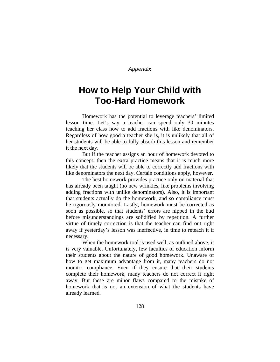# **How to Help Your Child with Too-Hard Homework**

Homework has the potential to leverage teachers' limited lesson time. Let's say a teacher can spend only 30 minutes teaching her class how to add fractions with like denominators. Regardless of how good a teacher she is, it is unlikely that all of her students will be able to fully absorb this lesson and remember it the next day.

 But if the teacher assigns an hour of homework devoted to this concept, then the extra practice means that it is much more likely that the students will be able to correctly add fractions with like denominators the next day. Certain conditions apply, however.

 The best homework provides practice only on material that has already been taught (no new wrinkles, like problems involving adding fractions with unlike denominators). Also, it is important that students actually do the homework, and so compliance must be rigorously monitored. Lastly, homework must be corrected as soon as possible, so that students' errors are nipped in the bud before misunderstandings are solidified by repetition. A further virtue of timely correction is that the teacher can find out right away if yesterday's lesson was ineffective, in time to reteach it if necessary.

 When the homework tool is used well, as outlined above, it is very valuable. Unfortunately, few faculties of education inform their students about the nature of good homework. Unaware of how to get maximum advantage from it, many teachers do not monitor compliance. Even if they ensure that their students complete their homework, many teachers do not correct it right away. But these are minor flaws compared to the mistake of homework that is not an extension of what the students have already learned.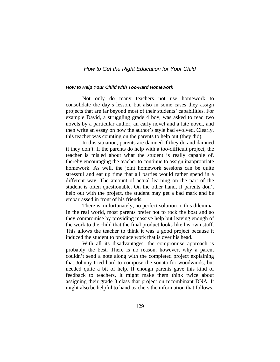#### *How to Help Your Child with Too-Hard Homework*

Not only do many teachers not use homework to consolidate the day's lesson, but also in some cases they assign projects that are far beyond most of their students' capabilities. For example David, a struggling grade 4 boy, was asked to read two novels by a particular author, an early novel and a late novel, and then write an essay on how the author's style had evolved. Clearly, this teacher was counting on the parents to help out (they did).

 In this situation, parents are damned if they do and damned if they don't. If the parents do help with a too-difficult project, the teacher is misled about what the student is really capable of, thereby encouraging the teacher to continue to assign inappropriate homework. As well, the joint homework sessions can be quite stressful and eat up time that all parties would rather spend in a different way. The amount of actual learning on the part of the student is often questionable. On the other hand, if parents don't help out with the project, the student may get a bad mark and be embarrassed in front of his friends.

 There is, unfortunately, no perfect solution to this dilemma. In the real world, most parents prefer not to rock the boat and so they compromise by providing massive help but leaving enough of the work to the child that the final product looks like his own stuff. This allows the teacher to think it was a good project because it induced the student to produce work that is over his head.

 With all its disadvantages, the compromise approach is probably the best. There is no reason, however, why a parent couldn't send a note along with the completed project explaining that Johnny tried hard to compose the sonata for woodwinds, but needed quite a bit of help. If enough parents gave this kind of feedback to teachers, it might make them think twice about assigning their grade 3 class that project on recombinant DNA. It might also be helpful to hand teachers the information that follows.